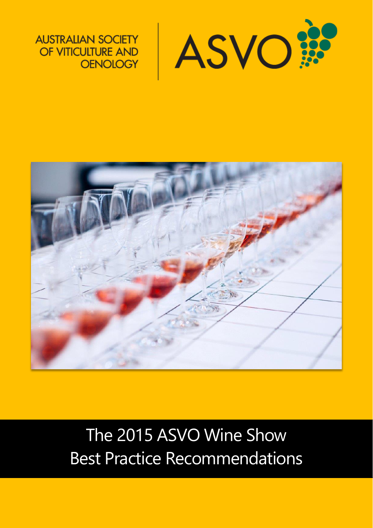

**AUSTRALIAN SOCIETY** OF VITICULTURE AND **OENOLOGY** 



The 2015 ASVO Wine Show Best Practice Recommendations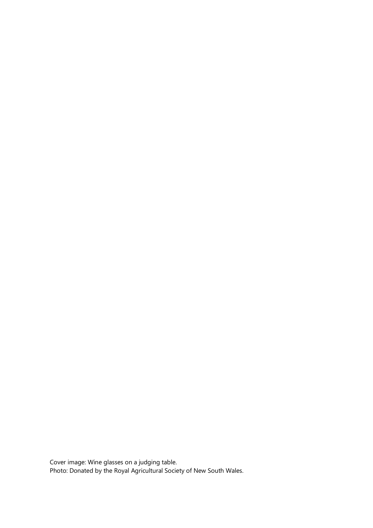Cover image: Wine glasses on a judging table. Photo: Donated by the Royal Agricultural Society of New South Wales.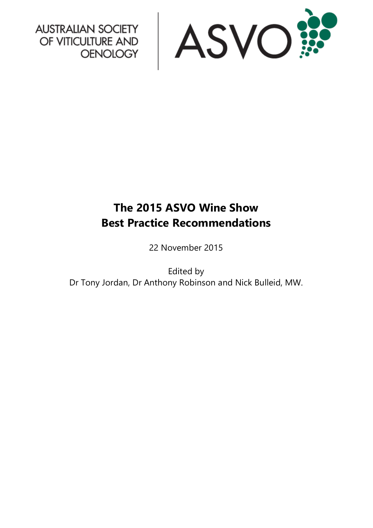

AUSTRALIAN SOCIETY<br>OF VITICULTURE AND<br>OENOLOGY

# **The 2015 ASVO Wine Show Best Practice Recommendations**

22 November 2015

Edited by Dr Tony Jordan, Dr Anthony Robinson and Nick Bulleid, MW.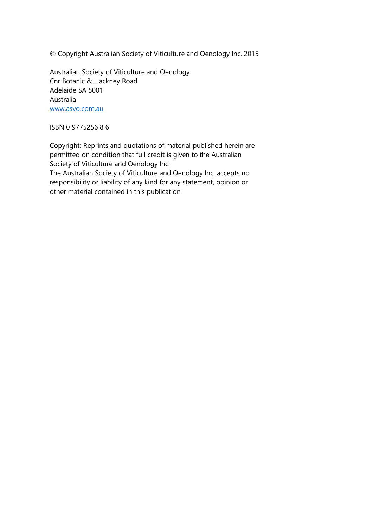© Copyright Australian Society of Viticulture and Oenology Inc. 2015

Australian Society of Viticulture and Oenology Cnr Botanic & Hackney Road Adelaide SA 5001 Australia [www.asvo.com.au](http://www.asvo.com.au/)

ISBN 0 9775256 8 6

Copyright: Reprints and quotations of material published herein are permitted on condition that full credit is given to the Australian Society of Viticulture and Oenology Inc. The Australian Society of Viticulture and Oenology Inc. accepts no responsibility or liability of any kind for any statement, opinion or other material contained in this publication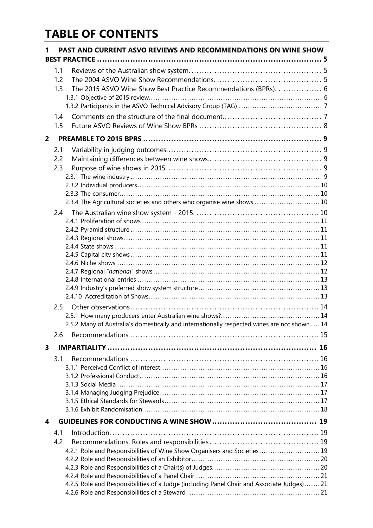## **TABLE OF CONTENTS**

| PAST AND CURRENT ASVO REVIEWS AND RECOMMENDATIONS ON WINE SHOW<br>1 |                                                                                                                                                                                     |  |  |  |
|---------------------------------------------------------------------|-------------------------------------------------------------------------------------------------------------------------------------------------------------------------------------|--|--|--|
|                                                                     | 1.1<br>1.2<br>The 2015 ASVO Wine Show Best Practice Recommendations (BPRs).  6<br>1.3<br>1.4<br>1.5                                                                                 |  |  |  |
| $\overline{2}$                                                      |                                                                                                                                                                                     |  |  |  |
|                                                                     | 2.1<br>2.2<br>2.3<br>2.3.4 The Agricultural societies and others who organise wine shows  10<br>2.4                                                                                 |  |  |  |
|                                                                     |                                                                                                                                                                                     |  |  |  |
|                                                                     | 2.5.2 Many of Australia's domestically and internationally respected wines are not shown 14                                                                                         |  |  |  |
|                                                                     | 2.6                                                                                                                                                                                 |  |  |  |
| 3                                                                   | 3.1                                                                                                                                                                                 |  |  |  |
| 4                                                                   |                                                                                                                                                                                     |  |  |  |
|                                                                     | 4.1<br>4.2<br>4.2.1 Role and Responsibilities of Wine Show Organisers and Societies 19<br>4.2.5 Role and Responsibilities of a Judge (including Panel Chair and Associate Judges)21 |  |  |  |
|                                                                     |                                                                                                                                                                                     |  |  |  |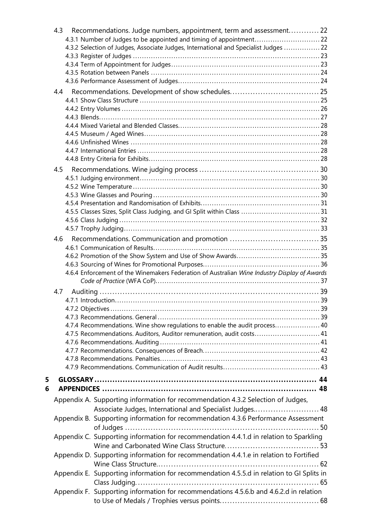| 4.3        | Recommendations. Judge numbers, appointment, term and assessment22<br>4.3.2 Selection of Judges, Associate Judges, International and Specialist Judges  22                                                                                                                                                                   |  |
|------------|------------------------------------------------------------------------------------------------------------------------------------------------------------------------------------------------------------------------------------------------------------------------------------------------------------------------------|--|
| 4.4        |                                                                                                                                                                                                                                                                                                                              |  |
| 4.5<br>4.6 | 4.6.4 Enforcement of the Winemakers Federation of Australian Wine Industry Display of Awards                                                                                                                                                                                                                                 |  |
| 4.7        | 4.7.4 Recommendations. Wine show regulations to enable the audit process 40<br>41.7.5 Recommendations. Auditors, Auditor remuneration, audit costs 41                                                                                                                                                                        |  |
| 5<br>6     |                                                                                                                                                                                                                                                                                                                              |  |
|            | Appendix A. Supporting information for recommendation 4.3.2 Selection of Judges,<br>Associate Judges, International and Specialist Judges 48<br>Appendix B. Supporting information for recommendation 4.3.6 Performance Assessment<br>Appendix C. Supporting information for recommendation 4.4.1.d in relation to Sparkling |  |
|            | Appendix D. Supporting information for recommendation 4.4.1.e in relation to Fortified<br>Appendix E. Supporting information for recommendation 4.5.5.d in relation to GI Splits in<br>Appendix F. Supporting information for recommendations 4.5.6.b and 4.6.2.d in relation                                                |  |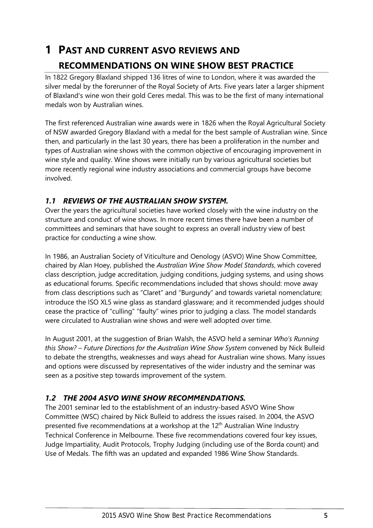## <span id="page-6-0"></span>**1 PAST AND CURRENT ASVO REVIEWS AND RECOMMENDATIONS ON WINE SHOW BEST PRACTICE**

In 1822 Gregory Blaxland shipped 136 litres of wine to London, where it was awarded the silver medal by the forerunner of the Royal Society of Arts. Five years later a larger shipment of Blaxland's wine won their gold Ceres medal. This was to be the first of many international medals won by Australian wines.

The first referenced Australian wine awards were in 1826 when the Royal Agricultural Society of NSW awarded Gregory Blaxland with a medal for the best sample of Australian wine. Since then, and particularly in the last 30 years, there has been a proliferation in the number and types of Australian wine shows with the common objective of encouraging improvement in wine style and quality. Wine shows were initially run by various agricultural societies but more recently regional wine industry associations and commercial groups have become involved.

## <span id="page-6-1"></span>*1.1 REVIEWS OF THE AUSTRALIAN SHOW SYSTEM.*

Over the years the agricultural societies have worked closely with the wine industry on the structure and conduct of wine shows. In more recent times there have been a number of committees and seminars that have sought to express an overall industry view of best practice for conducting a wine show.

In 1986, an Australian Society of Viticulture and Oenology (ASVO) Wine Show Committee, chaired by Alan Hoey, published the *Australian Wine Show Model Standards*, which covered class description, judge accreditation, judging conditions, judging systems, and using shows as educational forums. Specific recommendations included that shows should: move away from class descriptions such as "Claret" and "Burgundy" and towards varietal nomenclature; introduce the ISO XL5 wine glass as standard glassware; and it recommended judges should cease the practice of "culling" "faulty" wines prior to judging a class. The model standards were circulated to Australian wine shows and were well adopted over time.

In August 2001, at the suggestion of Brian Walsh, the ASVO held a seminar *Who's Running this Show? – Future Directions for the Australian Wine Show System* convened by Nick Bulleid to debate the strengths, weaknesses and ways ahead for Australian wine shows. Many issues and options were discussed by representatives of the wider industry and the seminar was seen as a positive step towards improvement of the system.

## <span id="page-6-2"></span>*1.2 THE 2004 ASVO WINE SHOW RECOMMENDATIONS.*

The 2001 seminar led to the establishment of an industry-based ASVO Wine Show Committee (WSC) chaired by Nick Bulleid to address the issues raised. In 2004, the ASVO presented five recommendations at a workshop at the 12<sup>th</sup> Australian Wine Industry Technical Conference in Melbourne. These five recommendations covered four key issues, Judge Impartiality, Audit Protocols, Trophy Judging (including use of the Borda count) and Use of Medals. The fifth was an updated and expanded 1986 Wine Show Standards.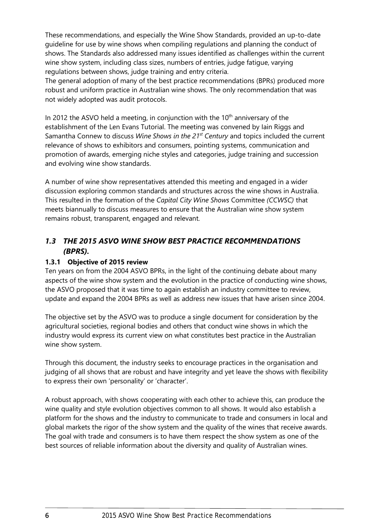These recommendations, and especially the Wine Show Standards, provided an up-to-date guideline for use by wine shows when compiling regulations and planning the conduct of shows. The Standards also addressed many issues identified as challenges within the current wine show system, including class sizes, numbers of entries, judge fatigue, varying regulations between shows, judge training and entry criteria.

The general adoption of many of the best practice recommendations (BPRs) produced more robust and uniform practice in Australian wine shows. The only recommendation that was not widely adopted was audit protocols.

In 2012 the ASVO held a meeting, in conjunction with the  $10<sup>th</sup>$  anniversary of the establishment of the Len Evans Tutorial. The meeting was convened by Iain Riggs and Samantha Connew to discuss *Wine Shows in the 21st Century* and topics included the current relevance of shows to exhibitors and consumers, pointing systems, communication and promotion of awards, emerging niche styles and categories, judge training and succession and evolving wine show standards.

A number of wine show representatives attended this meeting and engaged in a wider discussion exploring common standards and structures across the wine shows in Australia. This resulted in the formation of the *Capital City Wine Shows* Committee *(CCWSC)* that meets biannually to discuss measures to ensure that the Australian wine show system remains robust, transparent, engaged and relevant.

## <span id="page-7-0"></span>*1.3 THE 2015 ASVO WINE SHOW BEST PRACTICE RECOMMENDATIONS (BPRS).*

#### <span id="page-7-1"></span>**1.3.1 Objective of 2015 review**

Ten years on from the 2004 ASVO BPRs, in the light of the continuing debate about many aspects of the wine show system and the evolution in the practice of conducting wine shows, the ASVO proposed that it was time to again establish an industry committee to review, update and expand the 2004 BPRs as well as address new issues that have arisen since 2004.

The objective set by the ASVO was to produce a single document for consideration by the agricultural societies, regional bodies and others that conduct wine shows in which the industry would express its current view on what constitutes best practice in the Australian wine show system.

Through this document, the industry seeks to encourage practices in the organisation and judging of all shows that are robust and have integrity and yet leave the shows with flexibility to express their own 'personality' or 'character'.

A robust approach, with shows cooperating with each other to achieve this, can produce the wine quality and style evolution objectives common to all shows. It would also establish a platform for the shows and the industry to communicate to trade and consumers in local and global markets the rigor of the show system and the quality of the wines that receive awards. The goal with trade and consumers is to have them respect the show system as one of the best sources of reliable information about the diversity and quality of Australian wines.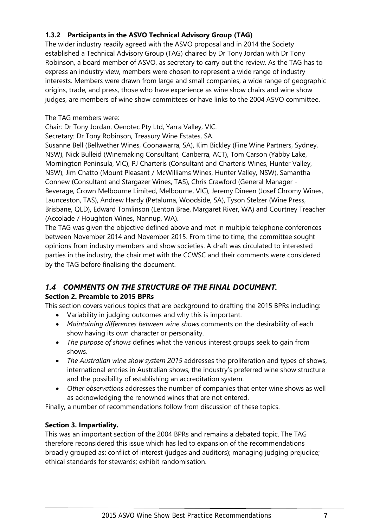## <span id="page-8-0"></span>**1.3.2 Participants in the ASVO Technical Advisory Group (TAG)**

The wider industry readily agreed with the ASVO proposal and in 2014 the Society established a Technical Advisory Group (TAG) chaired by Dr Tony Jordan with Dr Tony Robinson, a board member of ASVO, as secretary to carry out the review. As the TAG has to express an industry view, members were chosen to represent a wide range of industry interests. Members were drawn from large and small companies, a wide range of geographic origins, trade, and press, those who have experience as wine show chairs and wine show judges, are members of wine show committees or have links to the 2004 ASVO committee.

The TAG members were:

Chair: Dr Tony Jordan, Oenotec Pty Ltd, Yarra Valley, VIC.

Secretary: Dr Tony Robinson, Treasury Wine Estates, SA.

Susanne Bell (Bellwether Wines, Coonawarra, SA), Kim Bickley (Fine Wine Partners, Sydney, NSW), Nick Bulleid (Winemaking Consultant, Canberra, ACT), Tom Carson (Yabby Lake, Mornington Peninsula, VIC), PJ Charteris (Consultant and Charteris Wines, Hunter Valley, NSW), Jim Chatto (Mount Pleasant / McWilliams Wines, Hunter Valley, NSW), Samantha Connew (Consultant and Stargazer Wines, TAS), Chris Crawford (General Manager - Beverage, Crown Melbourne Limited, Melbourne, VIC), Jeremy Dineen (Josef Chromy Wines, Launceston, TAS), Andrew Hardy (Petaluma, Woodside, SA), Tyson Stelzer (Wine Press, Brisbane, QLD), Edward Tomlinson (Lenton Brae, Margaret River, WA) and Courtney Treacher (Accolade / Houghton Wines, Nannup, WA).

The TAG was given the objective defined above and met in multiple telephone conferences between November 2014 and November 2015. From time to time, the committee sought opinions from industry members and show societies. A draft was circulated to interested parties in the industry, the chair met with the CCWSC and their comments were considered by the TAG before finalising the document.

## <span id="page-8-1"></span>*1.4 COMMENTS ON THE STRUCTURE OF THE FINAL DOCUMENT.*

## **Section [2. Preamble to 2015 BPRs](#page-10-0)**

This section covers various topics that are background to drafting the 2015 BPRs including:

- Variability in judging outcomes and why this is important.
- *Maintaining differences between wine shows* comments on the desirability of each show having its own character or personality.
- *The purpose of shows* defines what the various interest groups seek to gain from shows.
- *The Australian wine show system 2015* addresses the proliferation and types of shows, international entries in Australian shows, the industry's preferred wine show structure and the possibility of establishing an accreditation system.
- *Other observations* addresses the number of companies that enter wine shows as well as acknowledging the renowned wines that are not entered.

Finally, a number of recommendations follow from discussion of these topics.

## **Section [3. Impartiality.](#page-17-0)**

This was an important section of the 2004 BPRs and remains a debated topic. The TAG therefore reconsidered this issue which has led to expansion of the recommendations broadly grouped as: conflict of interest (judges and auditors); managing judging prejudice; ethical standards for stewards; exhibit randomisation.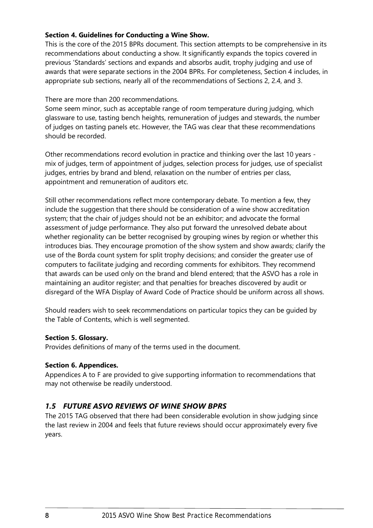#### **Section [4. Guidelines for Conducting a Wine Show.](#page-20-0)**

This is the core of the 2015 BPRs document. This section attempts to be comprehensive in its recommendations about conducting a show. It significantly expands the topics covered in previous 'Standards' sections and expands and absorbs audit, trophy judging and use of awards that were separate sections in the 2004 BPRs. For completeness, Section [4](#page-20-0) includes, in appropriate sub sections, nearly all of the recommendations of Sections [2,](#page-10-0) [2.4,](#page-11-3) and [3.](#page-17-0)

There are more than 200 recommendations.

Some seem minor, such as acceptable range of room temperature during judging, which glassware to use, tasting bench heights, remuneration of judges and stewards, the number of judges on tasting panels etc. However, the TAG was clear that these recommendations should be recorded.

Other recommendations record evolution in practice and thinking over the last 10 years mix of judges, term of appointment of judges, selection process for judges, use of specialist judges, entries by brand and blend, relaxation on the number of entries per class, appointment and remuneration of auditors etc.

Still other recommendations reflect more contemporary debate. To mention a few, they include the suggestion that there should be consideration of a wine show accreditation system; that the chair of judges should not be an exhibitor; and advocate the formal assessment of judge performance. They also put forward the unresolved debate about whether regionality can be better recognised by grouping wines by region or whether this introduces bias. They encourage promotion of the show system and show awards; clarify the use of the Borda count system for split trophy decisions; and consider the greater use of computers to facilitate judging and recording comments for exhibitors. They recommend that awards can be used only on the brand and blend entered; that the ASVO has a role in maintaining an auditor register; and that penalties for breaches discovered by audit or disregard of the WFA Display of Award Code of Practice should be uniform across all shows.

Should readers wish to seek recommendations on particular topics they can be guided by the Table of Contents, which is well segmented.

#### **Section [5. Glossary.](#page-45-0)**

Provides definitions of many of the terms used in the document.

#### **Section [6. Appendices.](#page-49-0)**

Appendices A to F are provided to give supporting information to recommendations that may not otherwise be readily understood.

## <span id="page-9-0"></span>*1.5 FUTURE ASVO REVIEWS OF WINE SHOW BPRS*

The 2015 TAG observed that there had been considerable evolution in show judging since the last review in 2004 and feels that future reviews should occur approximately every five years.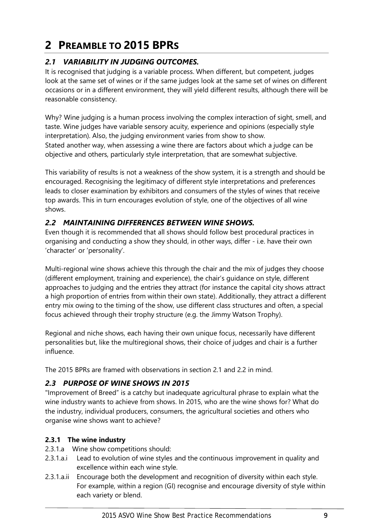# <span id="page-10-0"></span>**2 PREAMBLE TO 2015 BPRS**

## <span id="page-10-1"></span>*2.1 VARIABILITY IN JUDGING OUTCOMES.*

It is recognised that judging is a variable process. When different, but competent, judges look at the same set of wines or if the same judges look at the same set of wines on different occasions or in a different environment, they will yield different results, although there will be reasonable consistency.

Why? Wine judging is a human process involving the complex interaction of sight, smell, and taste. Wine judges have variable sensory acuity, experience and opinions (especially style interpretation). Also, the judging environment varies from show to show. Stated another way, when assessing a wine there are factors about which a judge can be objective and others, particularly style interpretation, that are somewhat subjective.

This variability of results is not a weakness of the show system, it is a strength and should be encouraged. Recognising the legitimacy of different style interpretations and preferences leads to closer examination by exhibitors and consumers of the styles of wines that receive top awards. This in turn encourages evolution of style, one of the objectives of all wine shows.

## <span id="page-10-2"></span>*2.2 MAINTAINING DIFFERENCES BETWEEN WINE SHOWS.*

Even though it is recommended that all shows should follow best procedural practices in organising and conducting a show they should, in other ways, differ - i.e. have their own 'character' or 'personality'.

Multi-regional wine shows achieve this through the chair and the mix of judges they choose (different employment, training and experience), the chair's guidance on style, different approaches to judging and the entries they attract (for instance the capital city shows attract a high proportion of entries from within their own state). Additionally, they attract a different entry mix owing to the timing of the show, use different class structures and often, a special focus achieved through their trophy structure (e.g. the Jimmy Watson Trophy).

Regional and niche shows, each having their own unique focus, necessarily have different personalities but, like the multiregional shows, their choice of judges and chair is a further influence.

The 2015 BPRs are framed with observations in section [2.1](#page-10-1) and [2.2](#page-10-2) in mind.

#### <span id="page-10-3"></span>*2.3 PURPOSE OF WINE SHOWS IN 2015*

"Improvement of Breed" is a catchy but inadequate agricultural phrase to explain what the wine industry wants to achieve from shows. In 2015, who are the wine shows for? What do the industry, individual producers, consumers, the agricultural societies and others who organise wine shows want to achieve?

#### <span id="page-10-4"></span>**2.3.1 The wine industry**

- 2.3.1.a Wine show competitions should:
- 2.3.1.a.i Lead to evolution of wine styles and the continuous improvement in quality and excellence within each wine style.
- 2.3.1.a.ii Encourage both the development and recognition of diversity within each style. For example, within a region (GI) recognise and encourage diversity of style within each variety or blend.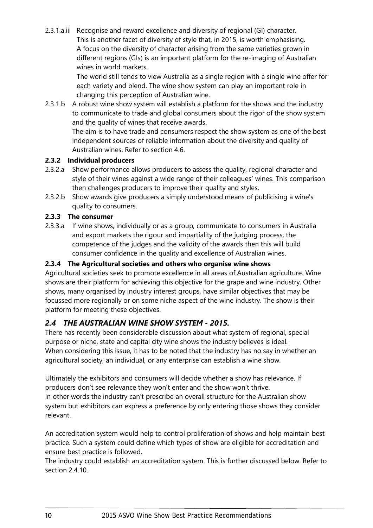2.3.1.a.iii Recognise and reward excellence and diversity of regional (GI) character. This is another facet of diversity of style that, in 2015, is worth emphasising. A focus on the diversity of character arising from the same varieties grown in different regions (GIs) is an important platform for the re-imaging of Australian wines in world markets.

> The world still tends to view Australia as a single region with a single wine offer for each variety and blend. The wine show system can play an important role in changing this perception of Australian wine.

2.3.1.b A robust wine show system will establish a platform for the shows and the industry to communicate to trade and global consumers about the rigor of the show system and the quality of wines that receive awards.

The aim is to have trade and consumers respect the show system as one of the best independent sources of reliable information about the diversity and quality of Australian wines. Refer to section [4.6.](#page-36-0)

#### <span id="page-11-0"></span>**2.3.2 Individual producers**

- 2.3.2.a Show performance allows producers to assess the quality, regional character and style of their wines against a wide range of their colleagues' wines. This comparison then challenges producers to improve their quality and styles.
- 2.3.2.b Show awards give producers a simply understood means of publicising a wine's quality to consumers.

#### <span id="page-11-1"></span>**2.3.3 The consumer**

2.3.3.a If wine shows, individually or as a group, communicate to consumers in Australia and export markets the rigour and impartiality of the judging process, the competence of the judges and the validity of the awards then this will build consumer confidence in the quality and excellence of Australian wines.

#### <span id="page-11-2"></span>**2.3.4 The Agricultural societies and others who organise wine shows**

Agricultural societies seek to promote excellence in all areas of Australian agriculture. Wine shows are their platform for achieving this objective for the grape and wine industry. Other shows, many organised by industry interest groups, have similar objectives that may be focussed more regionally or on some niche aspect of the wine industry. The show is their platform for meeting these objectives.

## <span id="page-11-3"></span>*2.4 THE AUSTRALIAN WINE SHOW SYSTEM - 2015.*

There has recently been considerable discussion about what system of regional, special purpose or niche, state and capital city wine shows the industry believes is ideal. When considering this issue, it has to be noted that the industry has no say in whether an agricultural society, an individual, or any enterprise can establish a wine show.

Ultimately the exhibitors and consumers will decide whether a show has relevance. If producers don't see relevance they won't enter and the show won't thrive. In other words the industry can't prescribe an overall structure for the Australian show system but exhibitors can express a preference by only entering those shows they consider relevant.

An accreditation system would help to control proliferation of shows and help maintain best practice. Such a system could define which types of show are eligible for accreditation and ensure best practice is followed.

The industry could establish an accreditation system. This is further discussed below. Refer to section [2.4.10.](#page-14-2)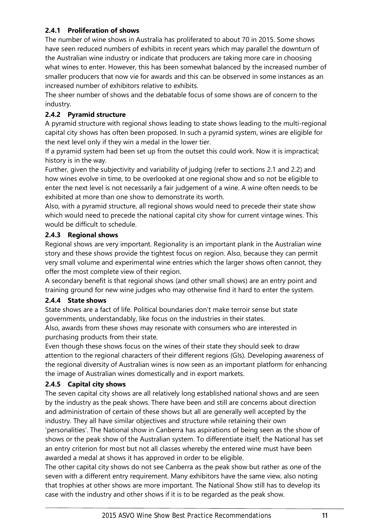#### <span id="page-12-0"></span>**2.4.1 Proliferation of shows**

The number of wine shows in Australia has proliferated to about 70 in 2015. Some shows have seen reduced numbers of exhibits in recent years which may parallel the downturn of the Australian wine industry or indicate that producers are taking more care in choosing what wines to enter. However, this has been somewhat balanced by the increased number of smaller producers that now vie for awards and this can be observed in some instances as an increased number of exhibitors relative to exhibits.

The sheer number of shows and the debatable focus of some shows are of concern to the industry.

#### <span id="page-12-1"></span>**2.4.2 Pyramid structure**

A pyramid structure with regional shows leading to state shows leading to the multi-regional capital city shows has often been proposed. In such a pyramid system, wines are eligible for the next level only if they win a medal in the lower tier.

If a pyramid system had been set up from the outset this could work. Now it is impractical; history is in the way.

Further, given the subjectivity and variability of judging (refer to sections [2.1](#page-10-1) and [2.2\)](#page-10-2) and how wines evolve in time, to be overlooked at one regional show and so not be eligible to enter the next level is not necessarily a fair judgement of a wine. A wine often needs to be exhibited at more than one show to demonstrate its worth.

Also, with a pyramid structure, all regional shows would need to precede their state show which would need to precede the national capital city show for current vintage wines. This would be difficult to schedule.

#### <span id="page-12-2"></span>**2.4.3 Regional shows**

Regional shows are very important. Regionality is an important plank in the Australian wine story and these shows provide the tightest focus on region. Also, because they can permit very small volume and experimental wine entries which the larger shows often cannot, they offer the most complete view of their region.

A secondary benefit is that regional shows (and other small shows) are an entry point and training ground for new wine judges who may otherwise find it hard to enter the system.

#### <span id="page-12-3"></span>**2.4.4 State shows**

State shows are a fact of life. Political boundaries don't make terroir sense but state governments, understandably, like focus on the industries in their states.

Also, awards from these shows may resonate with consumers who are interested in purchasing products from their state.

Even though these shows focus on the wines of their state they should seek to draw attention to the regional characters of their different regions (GIs). Developing awareness of the regional diversity of Australian wines is now seen as an important platform for enhancing the image of Australian wines domestically and in export markets.

#### <span id="page-12-4"></span>**2.4.5 Capital city shows**

The seven capital city shows are all relatively long established national shows and are seen by the industry as the peak shows. There have been and still are concerns about direction and administration of certain of these shows but all are generally well accepted by the industry. They all have similar objectives and structure while retaining their own 'personalities'. The National show in Canberra has aspirations of being seen as the show of shows or the peak show of the Australian system. To differentiate itself, the National has set an entry criterion for most but not all classes whereby the entered wine must have been awarded a medal at shows it has approved in order to be eligible.

The other capital city shows do not see Canberra as the peak show but rather as one of the seven with a different entry requirement. Many exhibitors have the same view, also noting that trophies at other shows are more important. The National Show still has to develop its case with the industry and other shows if it is to be regarded as the peak show.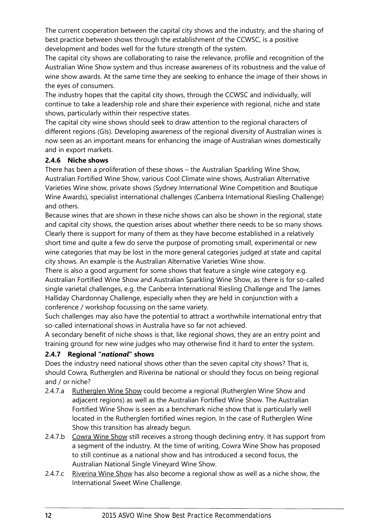The current cooperation between the capital city shows and the industry, and the sharing of best practice between shows through the establishment of the CCWSC, is a positive development and bodes well for the future strength of the system.

The capital city shows are collaborating to raise the relevance, profile and recognition of the Australian Wine Show system and thus increase awareness of its robustness and the value of wine show awards. At the same time they are seeking to enhance the image of their shows in the eyes of consumers.

The industry hopes that the capital city shows, through the CCWSC and individually, will continue to take a leadership role and share their experience with regional, niche and state shows, particularly within their respective states.

The capital city wine shows should seek to draw attention to the regional characters of different regions (GIs). Developing awareness of the regional diversity of Australian wines is now seen as an important means for enhancing the image of Australian wines domestically and in export markets.

#### <span id="page-13-0"></span>**2.4.6 Niche shows**

There has been a proliferation of these shows – the Australian Sparkling Wine Show, Australian Fortified Wine Show, various Cool Climate wine shows, Australian Alternative Varieties Wine show, private shows (Sydney International Wine Competition and Boutique Wine Awards), specialist international challenges (Canberra International Riesling Challenge) and others.

Because wines that are shown in these niche shows can also be shown in the regional, state and capital city shows, the question arises about whether there needs to be so many shows. Clearly there is support for many of them as they have become established in a relatively short time and quite a few do serve the purpose of promoting small, experimental or new wine categories that may be lost in the more general categories judged at state and capital city shows. An example is the Australian Alternative Varieties Wine show.

There is also a good argument for some shows that feature a single wine category e.g. Australian Fortified Wine Show and Australian Sparkling Wine Show, as there is for so-called single varietal challenges, e.g. the Canberra International Riesling Challenge and The James Halliday Chardonnay Challenge, especially when they are held in conjunction with a conference / workshop focussing on the same variety.

Such challenges may also have the potential to attract a worthwhile international entry that so-called international shows in Australia have so far not achieved.

A secondary benefit of niche shows is that, like regional shows, they are an entry point and training ground for new wine judges who may otherwise find it hard to enter the system.

#### <span id="page-13-1"></span>**2.4.7 Regional "***national***" shows**

Does the industry need national shows other than the seven capital city shows? That is, should Cowra, Rutherglen and Riverina be national or should they focus on being regional and / or niche?

- 2.4.7.a Rutherglen Wine Show could become a regional (Rutherglen Wine Show and adjacent regions) as well as the Australian Fortified Wine Show. The Australian Fortified Wine Show is seen as a benchmark niche show that is particularly well located in the Rutherglen fortified wines region. In the case of Rutherglen Wine Show this transition has already begun.
- 2.4.7.b Cowra Wine Show still receives a strong though declining entry. It has support from a segment of the industry. At the time of writing, Cowra Wine Show has proposed to still continue as a national show and has introduced a second focus, the Australian National Single Vineyard Wine Show.
- 2.4.7.c Riverina Wine Show has also become a regional show as well as a niche show, the International Sweet Wine Challenge.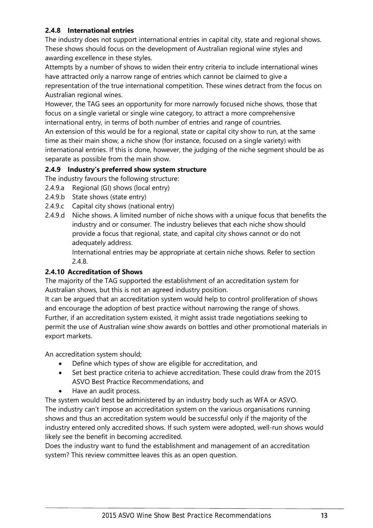#### <span id="page-14-0"></span>**2.4.8 International entries**

The industry does not support international entries in capital city, state and regional shows. These shows should focus on the development of Australian regional wine styles and awarding excellence in these styles.

Attempts by a number of shows to widen their entry criteria to include international wines have attracted only a narrow range of entries which cannot be claimed to give a representation of the true international competition. These wines detract from the focus on Australian regional wines.

However, the TAG sees an opportunity for more narrowly focused niche shows, those that focus on a single varietal or single wine category, to attract a more comprehensive international entry, in terms of both number of entries and range of countries.

An extension of this would be for a regional, state or capital city show to run, at the same time as their main show, a niche show (for instance, focused on a single variety) with international entries. If this is done, however, the judging of the niche segment should be as separate as possible from the main show.

#### <span id="page-14-1"></span>**2.4.9 Industry's preferred show system structure**

The industry favours the following structure:

- 2.4.9.a Regional (GI) shows (local entry)
- 2.4.9.b State shows (state entry)
- 2.4.9.c Capital city shows (national entry)
- 2.4.9.d Niche shows. A limited number of niche shows with a unique focus that benefits the industry and or consumer. The industry believes that each niche show should provide a focus that regional, state, and capital city shows cannot or do not adequately address.

International entries may be appropriate at certain niche shows. Refer to section [2.4.8.](#page-14-0)

## <span id="page-14-2"></span>**2.4.10 Accreditation of Shows**

The majority of the TAG supported the establishment of an accreditation system for Australian shows, but this is not an agreed industry position.

It can be argued that an accreditation system would help to control proliferation of shows and encourage the adoption of best practice without narrowing the range of shows. Further, if an accreditation system existed, it might assist trade negotiations seeking to permit the use of Australian wine show awards on bottles and other promotional materials in export markets.

An accreditation system should;

- Define which types of show are eligible for accreditation, and
- Set best practice criteria to achieve accreditation. These could draw from the 2015 ASVO Best Practice Recommendations, and
- Have an audit process.

The system would best be administered by an industry body such as WFA or ASVO. The industry can't impose an accreditation system on the various organisations running shows and thus an accreditation system would be successful only if the majority of the industry entered only accredited shows. If such system were adopted, well-run shows would likely see the benefit in becoming accredited.

Does the industry want to fund the establishment and management of an accreditation system? This review committee leaves this as an open question.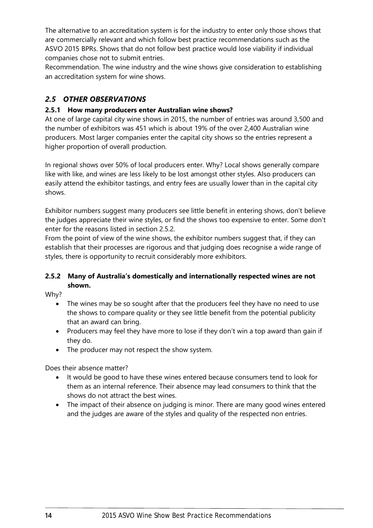The alternative to an accreditation system is for the industry to enter only those shows that are commercially relevant and which follow best practice recommendations such as the ASVO 2015 BPRs. Shows that do not follow best practice would lose viability if individual companies chose not to submit entries.

Recommendation. The wine industry and the wine shows give consideration to establishing an accreditation system for wine shows.

## <span id="page-15-0"></span>*2.5 OTHER OBSERVATIONS*

#### <span id="page-15-1"></span>**2.5.1 How many producers enter Australian wine shows?**

At one of large capital city wine shows in 2015, the number of entries was around 3,500 and the number of exhibitors was 451 which is about 19% of the over 2,400 Australian wine producers. Most larger companies enter the capital city shows so the entries represent a higher proportion of overall production.

In regional shows over 50% of local producers enter. Why? Local shows generally compare like with like, and wines are less likely to be lost amongst other styles. Also producers can easily attend the exhibitor tastings, and entry fees are usually lower than in the capital city shows.

Exhibitor numbers suggest many producers see little benefit in entering shows, don't believe the judges appreciate their wine styles, or find the shows too expensive to enter. Some don't enter for the reasons listed in section [2.5.2.](#page-15-2)

From the point of view of the wine shows, the exhibitor numbers suggest that, if they can establish that their processes are rigorous and that judging does recognise a wide range of styles, there is opportunity to recruit considerably more exhibitors.

#### <span id="page-15-2"></span>**2.5.2 Many of Australia's domestically and internationally respected wines are not shown.**

Why?

- The wines may be so sought after that the producers feel they have no need to use the shows to compare quality or they see little benefit from the potential publicity that an award can bring.
- Producers may feel they have more to lose if they don't win a top award than gain if they do.
- The producer may not respect the show system.

Does their absence matter?

- It would be good to have these wines entered because consumers tend to look for them as an internal reference. Their absence may lead consumers to think that the shows do not attract the best wines.
- The impact of their absence on judging is minor. There are many good wines entered and the judges are aware of the styles and quality of the respected non entries.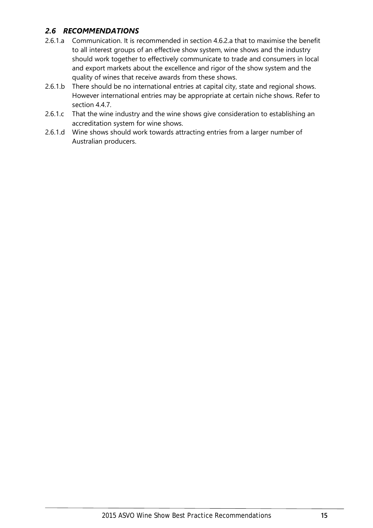## <span id="page-16-0"></span>*2.6 RECOMMENDATIONS*

- 2.6.1.a Communication. It is recommended in section [4.6.2.a](#page-36-3) that to maximise the benefit to all interest groups of an effective show system, wine shows and the industry should work together to effectively communicate to trade and consumers in local and export markets about the excellence and rigor of the show system and the quality of wines that receive awards from these shows.
- 2.6.1.b There should be no international entries at capital city, state and regional shows. However international entries may be appropriate at certain niche shows. Refer to section [4.4.7.](#page-29-3)
- 2.6.1.c That the wine industry and the wine shows give consideration to establishing an accreditation system for wine shows.
- 2.6.1.d Wine shows should work towards attracting entries from a larger number of Australian producers.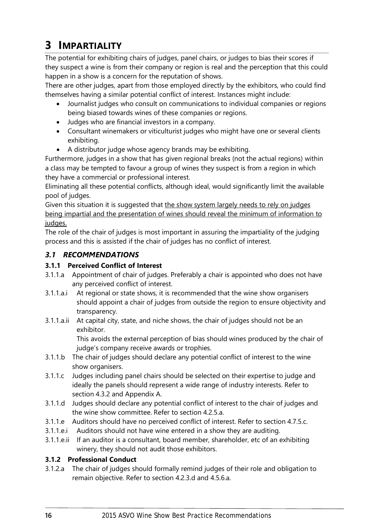# <span id="page-17-0"></span>**3 IMPARTIALITY**

The potential for exhibiting chairs of judges, panel chairs, or judges to bias their scores if they suspect a wine is from their company or region is real and the perception that this could happen in a show is a concern for the reputation of shows.

There are other judges, apart from those employed directly by the exhibitors, who could find themselves having a similar potential conflict of interest. Instances might include:

- Journalist judges who consult on communications to individual companies or regions being biased towards wines of these companies or regions.
- Judges who are financial investors in a company.
- Consultant winemakers or viticulturist judges who might have one or several clients exhibiting.
- A distributor judge whose agency brands may be exhibiting.

Furthermore, judges in a show that has given regional breaks (not the actual regions) within a class may be tempted to favour a group of wines they suspect is from a region in which they have a commercial or professional interest.

Eliminating all these potential conflicts, although ideal, would significantly limit the available pool of judges.

Given this situation it is suggested that the show system largely needs to rely on judges being impartial and the presentation of wines should reveal the minimum of information to judges.

The role of the chair of judges is most important in assuring the impartiality of the judging process and this is assisted if the chair of judges has no conflict of interest.

## <span id="page-17-1"></span>*3.1 RECOMMENDATIONS*

## <span id="page-17-2"></span>**3.1.1 Perceived Conflict of Interest**

- <span id="page-17-5"></span>3.1.1.a Appointment of chair of judges. Preferably a chair is appointed who does not have any perceived conflict of interest.
- 3.1.1.a.i At regional or state shows, it is recommended that the wine show organisers should appoint a chair of judges from outside the region to ensure objectivity and transparency.
- 3.1.1.a.ii At capital city, state, and niche shows, the chair of judges should not be an exhibitor.

This avoids the external perception of bias should wines produced by the chair of judge's company receive awards or trophies.

- <span id="page-17-4"></span>3.1.1.b The chair of judges should declare any potential conflict of interest to the wine show organisers.
- 3.1.1.c Judges including panel chairs should be selected on their expertise to judge and ideally the panels should represent a wide range of industry interests. Refer to section [4.3.2](#page-23-2) and [Appendix A.](#page-49-1)
- <span id="page-17-7"></span>3.1.1.d Judges should declare any potential conflict of interest to the chair of judges and the wine show committee. Refer to section [4.2.5.a.](#page-22-3)
- 3.1.1.e Auditors should have no perceived conflict of interest. Refer to section [4.7.5.c.](#page-42-2)
- 3.1.1.e.i Auditors should not have wine entered in a show they are auditing.
- 3.1.1.e.ii If an auditor is a consultant, board member, shareholder, etc of an exhibiting winery, they should not audit those exhibitors.

#### <span id="page-17-3"></span>**3.1.2 Professional Conduct**

<span id="page-17-6"></span>3.1.2.a The chair of judges should formally remind judges of their role and obligation to remain objective. Refer to section [4.2.3.d](#page-21-2) and [4.5.6.a.](#page-33-1)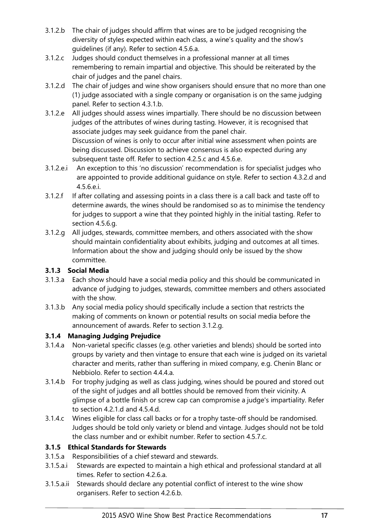- <span id="page-18-5"></span>3.1.2.b The chair of judges should affirm that wines are to be judged recognising the diversity of styles expected within each class, a wine's quality and the show's guidelines (if any). Refer to section [4.5.6.a.](#page-33-1)
- 3.1.2.c Judges should conduct themselves in a professional manner at all times remembering to remain impartial and objective. This should be reiterated by the chair of judges and the panel chairs.
- <span id="page-18-9"></span>3.1.2.d The chair of judges and wine show organisers should ensure that no more than one (1) judge associated with a single company or organisation is on the same judging panel. Refer to section [4.3.1.b.](#page-23-3)
- <span id="page-18-6"></span>3.1.2.e All judges should assess wines impartially. There should be no discussion between judges of the attributes of wines during tasting. However, it is recognised that associate judges may seek guidance from the panel chair. Discussion of wines is only to occur after initial wine assessment when points are being discussed. Discussion to achieve consensus is also expected during any subsequent taste off. Refer to section [4.2.5.c](#page-22-4) and [4.5.6.e.](#page-33-2)
- <span id="page-18-10"></span>3.1.2.e.i An exception to this 'no discussion' recommendation is for specialist judges who are appointed to provide additional guidance on style. Refer to section [4.3.2.d](#page-24-2) and [4.5.6.e.i.](#page-33-3)
- <span id="page-18-12"></span>3.1.2.f If after collating and assessing points in a class there is a call back and taste off to determine awards, the wines should be randomised so as to minimise the tendency for judges to support a wine that they pointed highly in the initial tasting. Refer to section [4.5.6.g.](#page-33-4)
- <span id="page-18-3"></span>3.1.2.g All judges, stewards, committee members, and others associated with the show should maintain confidentiality about exhibits, judging and outcomes at all times. Information about the show and judging should only be issued by the show committee.

#### <span id="page-18-0"></span>**3.1.3 Social Media**

- 3.1.3.a Each show should have a social media policy and this should be communicated in advance of judging to judges, stewards, committee members and others associated with the show.
- 3.1.3.b Any social media policy should specifically include a section that restricts the making of comments on known or potential results on social media before the announcement of awards. Refer to sectio[n 3.1.2.g.](#page-18-3)

## <span id="page-18-1"></span>**3.1.4 Managing Judging Prejudice**

- <span id="page-18-11"></span>3.1.4.a Non-varietal specific classes (e.g. other varieties and blends) should be sorted into groups by variety and then vintage to ensure that each wine is judged on its varietal character and merits, rather than suffering in mixed company, e.g. Chenin Blanc or Nebbiolo. Refer to section [4.4.4.a.](#page-29-5)
- <span id="page-18-4"></span>3.1.4.b For trophy judging as well as class judging, wines should be poured and stored out of the sight of judges and all bottles should be removed from their vicinity. A glimpse of a bottle finish or screw cap can compromise a judge's impartiality. Refer to section [4.2.1.d](#page-20-4) an[d 4.5.4.d.](#page-32-2)
- <span id="page-18-13"></span>3.1.4.c Wines eligible for class call backs or for a trophy taste-off should be randomised. Judges should be told only variety or blend and vintage. Judges should not be told the class number and or exhibit number. Refer to section [4.5.7.c.](#page-34-1)

## <span id="page-18-2"></span>**3.1.5 Ethical Standards for Stewards**

- 3.1.5.a Responsibilities of a chief steward and stewards.
- <span id="page-18-7"></span>3.1.5.a.i Stewards are expected to maintain a high ethical and professional standard at all times. Refer to section [4.2.6.a.](#page-22-5)
- <span id="page-18-8"></span>3.1.5.a.ii Stewards should declare any potential conflict of interest to the wine show organisers. Refer to section [4.2.6.b.](#page-22-6)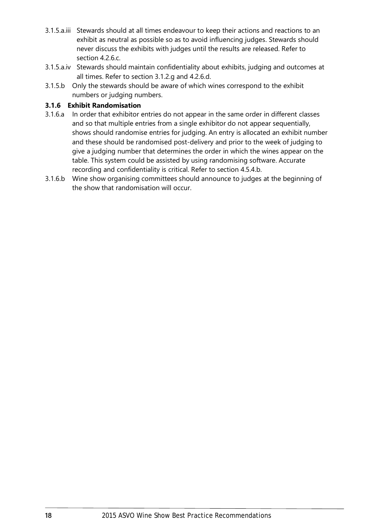- <span id="page-19-1"></span>3.1.5.a.iii Stewards should at all times endeavour to keep their actions and reactions to an exhibit as neutral as possible so as to avoid influencing judges. Stewards should never discuss the exhibits with judges until the results are released. Refer to section [4.2.6.c.](#page-22-7)
- <span id="page-19-2"></span>3.1.5.a.iv Stewards should maintain confidentiality about exhibits, judging and outcomes at all times. Refer to section [3.1.2.g](#page-18-3) and [4.2.6.d.](#page-22-8)
- 3.1.5.b Only the stewards should be aware of which wines correspond to the exhibit numbers or judging numbers.

#### <span id="page-19-0"></span>**3.1.6 Exhibit Randomisation**

- 3.1.6.a In order that exhibitor entries do not appear in the same order in different classes and so that multiple entries from a single exhibitor do not appear sequentially, shows should randomise entries for judging. An entry is allocated an exhibit number and these should be randomised post-delivery and prior to the week of judging to give a judging number that determines the order in which the wines appear on the table. This system could be assisted by using randomising software. Accurate recording and confidentiality is critical. Refer to section [4.5.4.b.](#page-32-3)
- 3.1.6.b Wine show organising committees should announce to judges at the beginning of the show that randomisation will occur.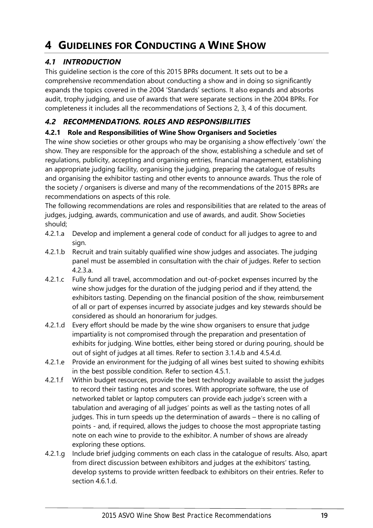## <span id="page-20-0"></span>**4 GUIDELINES FOR CONDUCTING A WINE SHOW**

## <span id="page-20-1"></span>*4.1 INTRODUCTION*

This guideline section is the core of this 2015 BPRs document. It sets out to be a comprehensive recommendation about conducting a show and in doing so significantly expands the topics covered in the 2004 'Standards' sections. It also expands and absorbs audit, trophy judging, and use of awards that were separate sections in the 2004 BPRs. For completeness it includes all the recommendations of Sections 2, 3, 4 of this document.

## <span id="page-20-2"></span>*4.2 RECOMMENDATIONS. ROLES AND RESPONSIBILITIES*

## <span id="page-20-3"></span>**4.2.1 Role and Responsibilities of Wine Show Organisers and Societies**

The wine show societies or other groups who may be organising a show effectively 'own' the show. They are responsible for the approach of the show, establishing a schedule and set of regulations, publicity, accepting and organising entries, financial management, establishing an appropriate judging facility, organising the judging, preparing the catalogue of results and organising the exhibitor tasting and other events to announce awards. Thus the role of the society / organisers is diverse and many of the recommendations of the 2015 BPRs are recommendations on aspects of this role.

The following recommendations are roles and responsibilities that are related to the areas of judges, judging, awards, communication and use of awards, and audit. Show Societies should;

- 4.2.1.a Develop and implement a general code of conduct for all judges to agree to and sign.
- <span id="page-20-5"></span>4.2.1.b Recruit and train suitably qualified wine show judges and associates. The judging panel must be assembled in consultation with the chair of judges. Refer to section [4.2.3.a.](#page-21-3)
- 4.2.1.c Fully fund all travel, accommodation and out-of-pocket expenses incurred by the wine show judges for the duration of the judging period and if they attend, the exhibitors tasting. Depending on the financial position of the show, reimbursement of all or part of expenses incurred by associate judges and key stewards should be considered as should an honorarium for judges.
- <span id="page-20-4"></span>4.2.1.d Every effort should be made by the wine show organisers to ensure that judge impartiality is not compromised through the preparation and presentation of exhibits for judging. Wine bottles, either being stored or during pouring, should be out of sight of judges at all times. Refer to section [3.1.4.b](#page-18-4) and [4.5.4.d.](#page-32-2)
- 4.2.1.e Provide an environment for the judging of all wines best suited to showing exhibits in the best possible condition. Refer to section [4.5.1.](#page-31-1)
- <span id="page-20-6"></span>4.2.1.f Within budget resources, provide the best technology available to assist the judges to record their tasting notes and scores. With appropriate software, the use of networked tablet or laptop computers can provide each judge's screen with a tabulation and averaging of all judges' points as well as the tasting notes of all judges. This in turn speeds up the determination of awards – there is no calling of points - and, if required, allows the judges to choose the most appropriate tasting note on each wine to provide to the exhibitor. A number of shows are already exploring these options.
- 4.2.1.g Include brief judging comments on each class in the catalogue of results. Also, apart from direct discussion between exhibitors and judges at the exhibitors' tasting, develop systems to provide written feedback to exhibitors on their entries. Refer to section [4.6.1.d.](#page-36-4)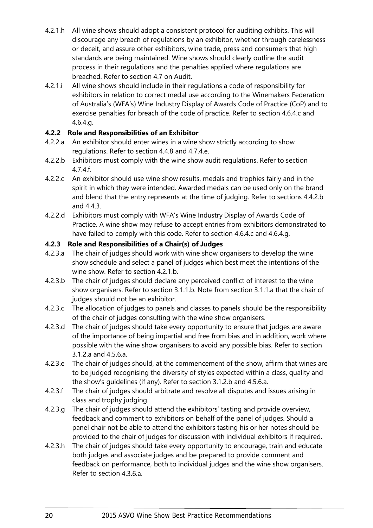- 4.2.1.h All wine shows should adopt a consistent protocol for auditing exhibits. This will discourage any breach of regulations by an exhibitor, whether through carelessness or deceit, and assure other exhibitors, wine trade, press and consumers that high standards are being maintained. Wine shows should clearly outline the audit process in their regulations and the penalties applied where regulations are breached. Refer to section [4.7](#page-40-0) on Audit.
- 4.2.1.i All wine shows should include in their regulations a code of responsibility for exhibitors in relation to correct medal use according to the Winemakers Federation of Australia's (WFA's) Wine Industry Display of Awards Code of Practice (CoP) and to exercise penalties for breach of the code of practice. Refer to section [4.6.4.c](#page-38-1) and [4.6.4.g.](#page-38-2)

#### <span id="page-21-0"></span>**4.2.2 Role and Responsibilities of an Exhibitor**

- <span id="page-21-5"></span>4.2.2.a An exhibitor should enter wines in a wine show strictly according to show regulations. Refer to section [4.4.8](#page-29-4) and [4.7.4.e.](#page-41-1)
- 4.2.2.b Exhibitors must comply with the wine show audit regulations. Refer to section [4.7.4.f.](#page-41-2)
- 4.2.2.c An exhibitor should use wine show results, medals and trophies fairly and in the spirit in which they were intended. Awarded medals can be used only on the brand and blend that the entry represents at the time of judging. Refer to sections [4.4.2.b](#page-27-1) and [4.4.3.](#page-28-0)
- 4.2.2.d Exhibitors must comply with WFA's Wine Industry Display of Awards Code of Practice. A wine show may refuse to accept entries from exhibitors demonstrated to have failed to comply with this code. Refer to section [4.6.4.c](#page-38-1) and [4.6.4.g.](#page-38-2)

#### <span id="page-21-1"></span>**4.2.3 Role and Responsibilities of a Chair(s) of Judges**

- <span id="page-21-3"></span>4.2.3.a The chair of judges should work with wine show organisers to develop the wine show schedule and select a panel of judges which best meet the intentions of the wine show. Refer to sectio[n 4.2.1.b.](#page-20-5)
- 4.2.3.b The chair of judges should declare any perceived conflict of interest to the wine show organisers. Refer to section [3.1.1.b.](#page-17-4) Note from section [3.1.1.a](#page-17-5) that the chair of judges should not be an exhibitor.
- 4.2.3.c The allocation of judges to panels and classes to panels should be the responsibility of the chair of judges consulting with the wine show organisers.
- <span id="page-21-2"></span>4.2.3.d The chair of judges should take every opportunity to ensure that judges are aware of the importance of being impartial and free from bias and in addition, work where possible with the wine show organisers to avoid any possible bias. Refer to section [3.1.2.a](#page-17-6) and [4.5.6.a.](#page-33-1)
- <span id="page-21-4"></span>4.2.3.e The chair of judges should, at the commencement of the show, affirm that wines are to be judged recognising the diversity of styles expected within a class, quality and the show's guidelines (if any). Refer to section [3.1.2.b](#page-18-5) and [4.5.6.a.](#page-33-1)
- 4.2.3.f The chair of judges should arbitrate and resolve all disputes and issues arising in class and trophy judging.
- 4.2.3.g The chair of judges should attend the exhibitors' tasting and provide overview, feedback and comment to exhibitors on behalf of the panel of judges. Should a panel chair not be able to attend the exhibitors tasting his or her notes should be provided to the chair of judges for discussion with individual exhibitors if required.
- 4.2.3.h The chair of judges should take every opportunity to encourage, train and educate both judges and associate judges and be prepared to provide comment and feedback on performance, both to individual judges and the wine show organisers. Refer to section [4.3.6.a.](#page-25-2)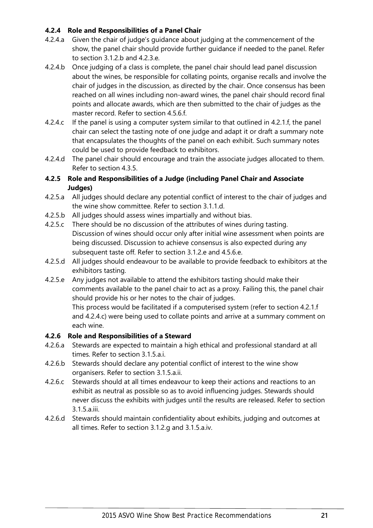#### <span id="page-22-0"></span>**4.2.4 Role and Responsibilities of a Panel Chair**

- <span id="page-22-10"></span>4.2.4.a Given the chair of judge's guidance about judging at the commencement of the show, the panel chair should provide further guidance if needed to the panel. Refer to section [3.1.2.b](#page-18-5) and [4.2.3.e.](#page-21-4)
- <span id="page-22-11"></span>4.2.4.b Once judging of a class is complete, the panel chair should lead panel discussion about the wines, be responsible for collating points, organise recalls and involve the chair of judges in the discussion, as directed by the chair. Once consensus has been reached on all wines including non-award wines, the panel chair should record final points and allocate awards, which are then submitted to the chair of judges as the master record. Refer to section [4.5.6.f.](#page-33-5)
- <span id="page-22-9"></span>4.2.4.c If the panel is using a computer system similar to that outlined in [4.2.1.f,](#page-20-6) the panel chair can select the tasting note of one judge and adapt it or draft a summary note that encapsulates the thoughts of the panel on each exhibit. Such summary notes could be used to provide feedback to exhibitors.
- 4.2.4.d The panel chair should encourage and train the associate judges allocated to them. Refer to section [4.3.5.](#page-25-0)

#### <span id="page-22-1"></span>**4.2.5 Role and Responsibilities of a Judge (including Panel Chair and Associate Judges)**

- <span id="page-22-3"></span>4.2.5.a All judges should declare any potential conflict of interest to the chair of judges and the wine show committee. Refer to section [3.1.1.d.](#page-17-7)
- 4.2.5.b All judges should assess wines impartially and without bias.
- <span id="page-22-4"></span>4.2.5.c There should be no discussion of the attributes of wines during tasting. Discussion of wines should occur only after initial wine assessment when points are being discussed. Discussion to achieve consensus is also expected during any subsequent taste off. Refer to sectio[n 3.1.2.e](#page-18-6) and [4.5.6.e.](#page-33-2)
- 4.2.5.d All judges should endeavour to be available to provide feedback to exhibitors at the exhibitors tasting.
- 4.2.5.e Any judges not available to attend the exhibitors tasting should make their comments available to the panel chair to act as a proxy. Failing this, the panel chair should provide his or her notes to the chair of judges.

This process would be facilitated if a computerised system (refer to section [4.2.1.f](#page-20-6) and [4.2.4.c\)](#page-22-9) were being used to collate points and arrive at a summary comment on each wine.

#### <span id="page-22-2"></span>**4.2.6 Role and Responsibilities of a Steward**

- <span id="page-22-5"></span>4.2.6.a Stewards are expected to maintain a high ethical and professional standard at all times. Refer to section [3.1.5.a.i.](#page-18-7)
- <span id="page-22-6"></span>4.2.6.b Stewards should declare any potential conflict of interest to the wine show organisers. Refer to section [3.1.5.a.ii.](#page-18-8)
- <span id="page-22-7"></span>4.2.6.c Stewards should at all times endeavour to keep their actions and reactions to an exhibit as neutral as possible so as to avoid influencing judges. Stewards should never discuss the exhibits with judges until the results are released. Refer to section [3.1.5.a.iii.](#page-19-1)
- <span id="page-22-8"></span>4.2.6.d Stewards should maintain confidentiality about exhibits, judging and outcomes at all times. Refer to section [3.1.2.g](#page-18-3) and [3.1.5.a.iv.](#page-19-2)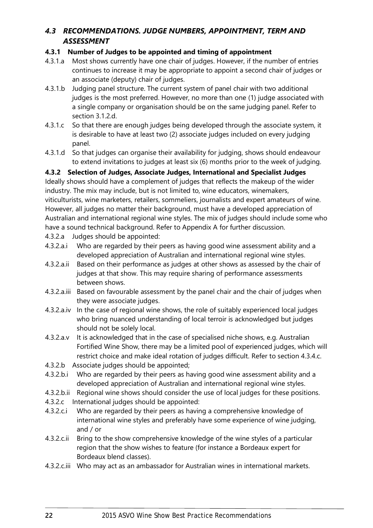## <span id="page-23-0"></span>*4.3 RECOMMENDATIONS. JUDGE NUMBERS, APPOINTMENT, TERM AND ASSESSMENT*

#### <span id="page-23-1"></span>**4.3.1 Number of Judges to be appointed and timing of appointment**

- 4.3.1.a Most shows currently have one chair of judges. However, if the number of entries continues to increase it may be appropriate to appoint a second chair of judges or an associate (deputy) chair of judges.
- <span id="page-23-3"></span>4.3.1.b Judging panel structure. The current system of panel chair with two additional judges is the most preferred. However, no more than one (1) judge associated with a single company or organisation should be on the same judging panel. Refer to section [3.1.2.d.](#page-18-9)
- 4.3.1.c So that there are enough judges being developed through the associate system, it is desirable to have at least two (2) associate judges included on every judging panel.
- 4.3.1.d So that judges can organise their availability for judging, shows should endeavour to extend invitations to judges at least six (6) months prior to the week of judging.

<span id="page-23-2"></span>**4.3.2 Selection of Judges, Associate Judges, International and Specialist Judges**

Ideally shows should have a complement of judges that reflects the makeup of the wider industry. The mix may include, but is not limited to, wine educators, winemakers, viticulturists, wine marketers, retailers, sommeliers, journalists and expert amateurs of wine. However, all judges no matter their background, must have a developed appreciation of Australian and international regional wine styles. The mix of judges should include some who have a sound technical background. Refer to [Appendix A](#page-49-1) for further discussion.

- 4.3.2.a Judges should be appointed:
- 4.3.2.a.i Who are regarded by their peers as having good wine assessment ability and a developed appreciation of Australian and international regional wine styles.
- 4.3.2.a.ii Based on their performance as judges at other shows as assessed by the chair of judges at that show. This may require sharing of performance assessments between shows.
- 4.3.2.a.iii Based on favourable assessment by the panel chair and the chair of judges when they were associate judges.
- 4.3.2.a.iv In the case of regional wine shows, the role of suitably experienced local judges who bring nuanced understanding of local terroir is acknowledged but judges should not be solely local.
- <span id="page-23-4"></span>4.3.2.a.v It is acknowledged that in the case of specialised niche shows, e.g. Australian Fortified Wine Show, there may be a limited pool of experienced judges, which will restrict choice and make ideal rotation of judges difficult. Refer to section [4.3.4.c.](#page-25-3)
- 4.3.2.b Associate judges should be appointed;
- 4.3.2.b.i Who are regarded by their peers as having good wine assessment ability and a developed appreciation of Australian and international regional wine styles.
- 4.3.2.b.ii Regional wine shows should consider the use of local judges for these positions.
- 4.3.2.c International judges should be appointed:
- 4.3.2.c.i Who are regarded by their peers as having a comprehensive knowledge of international wine styles and preferably have some experience of wine judging, and / or
- 4.3.2.c.ii Bring to the show comprehensive knowledge of the wine styles of a particular region that the show wishes to feature (for instance a Bordeaux expert for Bordeaux blend classes).
- 4.3.2.c.iii Who may act as an ambassador for Australian wines in international markets.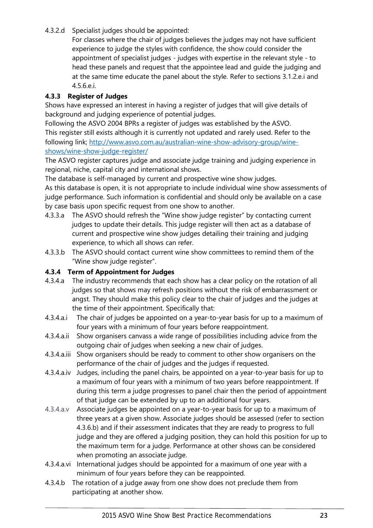<span id="page-24-2"></span>4.3.2.d Specialist judges should be appointed:

For classes where the chair of judges believes the judges may not have sufficient experience to judge the styles with confidence, the show could consider the appointment of specialist judges - judges with expertise in the relevant style - to head these panels and request that the appointee lead and guide the judging and at the same time educate the panel about the style. Refer to sections [3.1.2.e.i](#page-18-10) and [4.5.6.e.i.](#page-33-3)

#### <span id="page-24-0"></span>**4.3.3 Register of Judges**

Shows have expressed an interest in having a register of judges that will give details of background and judging experience of potential judges.

Following the ASVO 2004 BPRs a register of judges was established by the ASVO. This register still exists although it is currently not updated and rarely used. Refer to the following link; [http://www.asvo.com.au/australian-wine-show-advisory-group/wine](http://www.asvo.com.au/australian-wine-show-advisory-group/wine-shows/wine-show-judge-register/)[shows/wine-show-judge-register/](http://www.asvo.com.au/australian-wine-show-advisory-group/wine-shows/wine-show-judge-register/)

The ASVO register captures judge and associate judge training and judging experience in regional, niche, capital city and international shows.

The database is self-managed by current and prospective wine show judges.

As this database is open, it is not appropriate to include individual wine show assessments of judge performance. Such information is confidential and should only be available on a case by case basis upon specific request from one show to another.

- 4.3.3.a The ASVO should refresh the "Wine show judge register" by contacting current judges to update their details. This judge register will then act as a database of current and prospective wine show judges detailing their training and judging experience, to which all shows can refer.
- 4.3.3.b The ASVO should contact current wine show committees to remind them of the "Wine show judge register".

## <span id="page-24-1"></span>**4.3.4 Term of Appointment for Judges**

- 4.3.4.a The industry recommends that each show has a clear policy on the rotation of all judges so that shows may refresh positions without the risk of embarrassment or angst. They should make this policy clear to the chair of judges and the judges at the time of their appointment. Specifically that:
- 4.3.4.a.i The chair of judges be appointed on a year-to-year basis for up to a maximum of four years with a minimum of four years before reappointment.
- 4.3.4.a.ii Show organisers canvass a wide range of possibilities including advice from the outgoing chair of judges when seeking a new chair of judges.
- 4.3.4.a.iii Show organisers should be ready to comment to other show organisers on the performance of the chair of judges and the judges if requested.
- 4.3.4.a.iv Judges, including the panel chairs, be appointed on a year-to-year basis for up to a maximum of four years with a minimum of two years before reappointment. If during this term a judge progresses to panel chair then the period of appointment of that judge can be extended by up to an additional four years.
- 4.3.4.a.v Associate judges be appointed on a year-to-year basis for up to a maximum of three years at a given show. Associate judges should be assessed (refer to section [4.3.6.b\)](#page-25-4) and if their assessment indicates that they are ready to progress to full judge and they are offered a judging position, they can hold this position for up to the maximum term for a judge. Performance at other shows can be considered when promoting an associate judge.
- 4.3.4.a.vi International judges should be appointed for a maximum of one year with a minimum of four years before they can be reappointed.
- 4.3.4.b The rotation of a judge away from one show does not preclude them from participating at another show.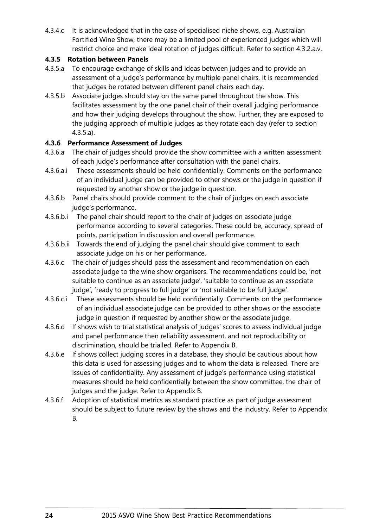<span id="page-25-3"></span>4.3.4.c It is acknowledged that in the case of specialised niche shows, e.g. Australian Fortified Wine Show, there may be a limited pool of experienced judges which will restrict choice and make ideal rotation of judges difficult. Refer to section [4.3.2.a.v.](#page-23-4)

#### <span id="page-25-0"></span>**4.3.5 Rotation between Panels**

- <span id="page-25-5"></span>4.3.5.a To encourage exchange of skills and ideas between judges and to provide an assessment of a judge's performance by multiple panel chairs, it is recommended that judges be rotated between different panel chairs each day.
- 4.3.5.b Associate judges should stay on the same panel throughout the show. This facilitates assessment by the one panel chair of their overall judging performance and how their judging develops throughout the show. Further, they are exposed to the judging approach of multiple judges as they rotate each day (refer to section [4.3.5.a\)](#page-25-5).

#### <span id="page-25-1"></span>**4.3.6 Performance Assessment of Judges**

- <span id="page-25-2"></span>4.3.6.a The chair of judges should provide the show committee with a written assessment of each judge's performance after consultation with the panel chairs.
- 4.3.6.a.i These assessments should be held confidentially. Comments on the performance of an individual judge can be provided to other shows or the judge in question if requested by another show or the judge in question.
- <span id="page-25-4"></span>4.3.6.b Panel chairs should provide comment to the chair of judges on each associate judge's performance.
- 4.3.6.b.i The panel chair should report to the chair of judges on associate judge performance according to several categories. These could be, accuracy, spread of points, participation in discussion and overall performance.
- 4.3.6.b.ii Towards the end of judging the panel chair should give comment to each associate judge on his or her performance.
- 4.3.6.c The chair of judges should pass the assessment and recommendation on each associate judge to the wine show organisers. The recommendations could be, 'not suitable to continue as an associate judge', 'suitable to continue as an associate judge', 'ready to progress to full judge' or 'not suitable to be full judge'.
- 4.3.6.c.i These assessments should be held confidentially. Comments on the performance of an individual associate judge can be provided to other shows or the associate judge in question if requested by another show or the associate judge.
- 4.3.6.d If shows wish to trial statistical analysis of judges' scores to assess individual judge and panel performance then reliability assessment, and not reproducibility or discrimination, should be trialled. Refer to [Appendix B.](#page-51-0)
- 4.3.6.e If shows collect judging scores in a database, they should be cautious about how this data is used for assessing judges and to whom the data is released. There are issues of confidentiality. Any assessment of judge's performance using statistical measures should be held confidentially between the show committee, the chair of judges and the judge. Refer to [Appendix B.](#page-51-0)
- 4.3.6.f Adoption of statistical metrics as standard practice as part of judge assessment should be subject to future review by the shows and the industry. Refer to [Appendix](#page-51-0)  [B.](#page-51-0)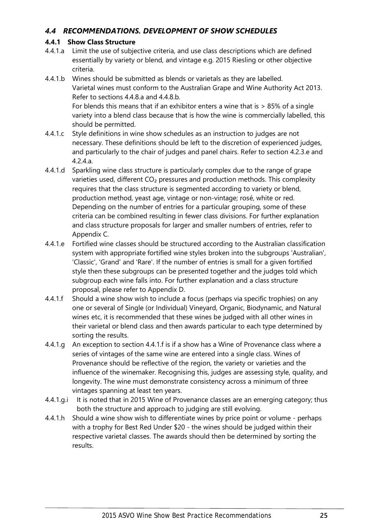## <span id="page-26-0"></span>*4.4 RECOMMENDATIONS. DEVELOPMENT OF SHOW SCHEDULES*

#### <span id="page-26-1"></span>**4.4.1 Show Class Structure**

- 4.4.1.a Limit the use of subjective criteria, and use class descriptions which are defined essentially by variety or blend, and vintage e.g. 2015 Riesling or other objective criteria.
- <span id="page-26-4"></span>4.4.1.b Wines should be submitted as blends or varietals as they are labelled. Varietal wines must conform to the Australian Grape and Wine Authority Act 2013. Refer to sections [4.4.8.a](#page-29-6) and [4.4.8.b.](#page-29-7) For blends this means that if an exhibitor enters a wine that is > 85% of a single variety into a blend class because that is how the wine is commercially labelled, this should be permitted.
- 4.4.1.c Style definitions in wine show schedules as an instruction to judges are not necessary. These definitions should be left to the discretion of experienced judges, and particularly to the chair of judges and panel chairs. Refer to section [4.2.3.e](#page-21-4) and [4.2.4.a.](#page-22-10)
- 4.4.1.d Sparkling wine class structure is particularly complex due to the range of grape varieties used, different  $CO<sub>2</sub>$  pressures and production methods. This complexity requires that the class structure is segmented according to variety or blend, production method, yeast age, vintage or non-vintage; rosé, white or red. Depending on the number of entries for a particular grouping, some of these criteria can be combined resulting in fewer class divisions. For further explanation and class structure proposals for larger and smaller numbers of entries, refer to [Appendix C.](#page-54-0)
- 4.4.1.e Fortified wine classes should be structured according to the Australian classification system with appropriate fortified wine styles broken into the subgroups 'Australian', 'Classic', 'Grand' and 'Rare'. If the number of entries is small for a given fortified style then these subgroups can be presented together and the judges told which subgroup each wine falls into. For further explanation and a class structure proposal, please refer to [Appendix D.](#page-63-0)
- <span id="page-26-2"></span>4.4.1.f Should a wine show wish to include a focus (perhaps via specific trophies) on any one or several of Single (or Individual) Vineyard, Organic, Biodynamic, and Natural wines etc, it is recommended that these wines be judged with all other wines in their varietal or blend class and then awards particular to each type determined by sorting the results.
- <span id="page-26-3"></span>4.4.1.g An exception to section [4.4.1.f](#page-26-2) is if a show has a Wine of Provenance class where a series of vintages of the same wine are entered into a single class. Wines of Provenance should be reflective of the region, the variety or varieties and the influence of the winemaker. Recognising this, judges are assessing style, quality, and longevity. The wine must demonstrate consistency across a minimum of three vintages spanning at least ten years.
- 4.4.1.g.i It is noted that in 2015 Wine of Provenance classes are an emerging category; thus both the structure and approach to judging are still evolving.
- 4.4.1.h Should a wine show wish to differentiate wines by price point or volume perhaps with a trophy for Best Red Under \$20 - the wines should be judged within their respective varietal classes. The awards should then be determined by sorting the results.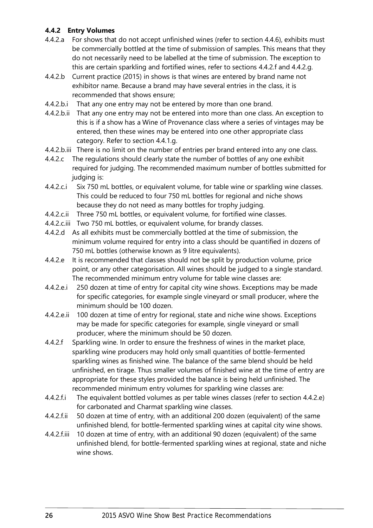#### <span id="page-27-0"></span>**4.4.2 Entry Volumes**

- 4.4.2.a For shows that do not accept unfinished wines (refer to section [4.4.6\)](#page-29-2), exhibits must be commercially bottled at the time of submission of samples. This means that they do not necessarily need to be labelled at the time of submission. The exception to this are certain sparkling and fortified wines, refer to sections [4.4.2.f](#page-27-2) and [4.4.2.g.](#page-28-1)
- <span id="page-27-1"></span>4.4.2.b Current practice (2015) in shows is that wines are entered by brand name not exhibitor name. Because a brand may have several entries in the class, it is recommended that shows ensure;
- 4.4.2.b.i That any one entry may not be entered by more than one brand.
- 4.4.2.b.ii That any one entry may not be entered into more than one class. An exception to this is if a show has a Wine of Provenance class where a series of vintages may be entered, then these wines may be entered into one other appropriate class category. Refer to section [4.4.1.g.](#page-26-3)
- 4.4.2.b.iii There is no limit on the number of entries per brand entered into any one class.
- 4.4.2.c The regulations should clearly state the number of bottles of any one exhibit required for judging. The recommended maximum number of bottles submitted for judging is:
- 4.4.2.c.i Six 750 mL bottles, or equivalent volume, for table wine or sparkling wine classes. This could be reduced to four 750 mL bottles for regional and niche shows because they do not need as many bottles for trophy judging.
- 4.4.2.c.ii Three 750 mL bottles, or equivalent volume, for fortified wine classes.
- 4.4.2.c.iii Two 750 mL bottles, or equivalent volume, for brandy classes.
- 4.4.2.d As all exhibits must be commercially bottled at the time of submission, the minimum volume required for entry into a class should be quantified in dozens of 750 mL bottles (otherwise known as 9 litre equivalents).
- <span id="page-27-3"></span>4.4.2.e It is recommended that classes should not be split by production volume, price point, or any other categorisation. All wines should be judged to a single standard. The recommended minimum entry volume for table wine classes are:
- 4.4.2.e.i 250 dozen at time of entry for capital city wine shows. Exceptions may be made for specific categories, for example single vineyard or small producer, where the minimum should be 100 dozen.
- 4.4.2.e.ii 100 dozen at time of entry for regional, state and niche wine shows. Exceptions may be made for specific categories for example, single vineyard or small producer, where the minimum should be 50 dozen.
- <span id="page-27-2"></span>4.4.2.f Sparkling wine. In order to ensure the freshness of wines in the market place, sparkling wine producers may hold only small quantities of bottle-fermented sparkling wines as finished wine. The balance of the same blend should be held unfinished, en tirage. Thus smaller volumes of finished wine at the time of entry are appropriate for these styles provided the balance is being held unfinished. The recommended minimum entry volumes for sparkling wine classes are:
- 4.4.2.f.i The equivalent bottled volumes as per table wines classes (refer to section [4.4.2.e\)](#page-27-3) for carbonated and Charmat sparkling wine classes.
- 4.4.2.f.ii 50 dozen at time of entry, with an additional 200 dozen (equivalent) of the same unfinished blend, for bottle-fermented sparkling wines at capital city wine shows.
- 4.4.2.f.iii 10 dozen at time of entry, with an additional 90 dozen (equivalent) of the same unfinished blend, for bottle-fermented sparkling wines at regional, state and niche wine shows.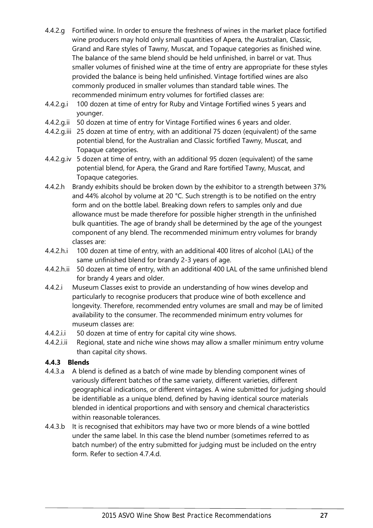- <span id="page-28-1"></span>4.4.2.g Fortified wine. In order to ensure the freshness of wines in the market place fortified wine producers may hold only small quantities of Apera, the Australian, Classic, Grand and Rare styles of Tawny, Muscat, and Topaque categories as finished wine. The balance of the same blend should be held unfinished, in barrel or vat. Thus smaller volumes of finished wine at the time of entry are appropriate for these styles provided the balance is being held unfinished. Vintage fortified wines are also commonly produced in smaller volumes than standard table wines. The recommended minimum entry volumes for fortified classes are:
- 4.4.2.g.i 100 dozen at time of entry for Ruby and Vintage Fortified wines 5 years and younger.
- 4.4.2.g.ii 50 dozen at time of entry for Vintage Fortified wines 6 years and older.
- 4.4.2.g.iii 25 dozen at time of entry, with an additional 75 dozen (equivalent) of the same potential blend, for the Australian and Classic fortified Tawny, Muscat, and Topaque categories.
- 4.4.2.g.iv 5 dozen at time of entry, with an additional 95 dozen (equivalent) of the same potential blend, for Apera, the Grand and Rare fortified Tawny, Muscat, and Topaque categories.
- 4.4.2.h Brandy exhibits should be broken down by the exhibitor to a strength between 37% and 44% alcohol by volume at 20 °C. Such strength is to be notified on the entry form and on the bottle label. Breaking down refers to samples only and due allowance must be made therefore for possible higher strength in the unfinished bulk quantities. The age of brandy shall be determined by the age of the youngest component of any blend. The recommended minimum entry volumes for brandy classes are:
- 4.4.2.h.i 100 dozen at time of entry, with an additional 400 litres of alcohol (LAL) of the same unfinished blend for brandy 2-3 years of age.
- 4.4.2.h.ii 50 dozen at time of entry, with an additional 400 LAL of the same unfinished blend for brandy 4 years and older.
- <span id="page-28-2"></span>4.4.2.i Museum Classes exist to provide an understanding of how wines develop and particularly to recognise producers that produce wine of both excellence and longevity. Therefore, recommended entry volumes are small and may be of limited availability to the consumer. The recommended minimum entry volumes for museum classes are:
- 4.4.2.i.i 50 dozen at time of entry for capital city wine shows.
- 4.4.2.i.ii Regional, state and niche wine shows may allow a smaller minimum entry volume than capital city shows.

#### <span id="page-28-0"></span>**4.4.3 Blends**

- 4.4.3.a A blend is defined as a batch of wine made by blending component wines of variously different batches of the same variety, different varieties, different geographical indications, or different vintages. A wine submitted for judging should be identifiable as a unique blend, defined by having identical source materials blended in identical proportions and with sensory and chemical characteristics within reasonable tolerances.
- 4.4.3.b It is recognised that exhibitors may have two or more blends of a wine bottled under the same label. In this case the blend number (sometimes referred to as batch number) of the entry submitted for judging must be included on the entry form. Refer to section [4.7.4.d.](#page-41-3)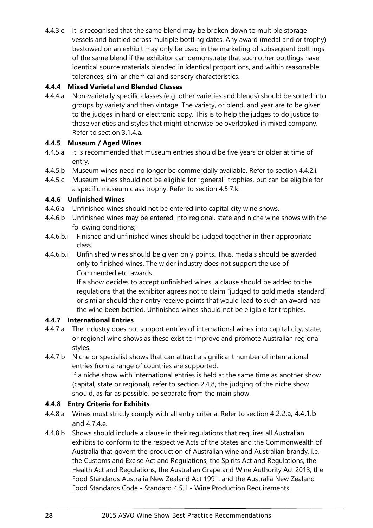4.4.3.c It is recognised that the same blend may be broken down to multiple storage vessels and bottled across multiple bottling dates. Any award (medal and or trophy) bestowed on an exhibit may only be used in the marketing of subsequent bottlings of the same blend if the exhibitor can demonstrate that such other bottlings have identical source materials blended in identical proportions, and within reasonable tolerances, similar chemical and sensory characteristics.

#### <span id="page-29-0"></span>**4.4.4 Mixed Varietal and Blended Classes**

<span id="page-29-5"></span>4.4.4.a Non-varietally specific classes (e.g. other varieties and blends) should be sorted into groups by variety and then vintage. The variety, or blend, and year are to be given to the judges in hard or electronic copy. This is to help the judges to do justice to those varieties and styles that might otherwise be overlooked in mixed company. Refer to section [3.1.4.a.](#page-18-11)

#### <span id="page-29-1"></span>**4.4.5 Museum / Aged Wines**

- 4.4.5.a It is recommended that museum entries should be five years or older at time of entry.
- 4.4.5.b Museum wines need no longer be commercially available. Refer to section [4.4.2.i.](#page-28-2)
- <span id="page-29-8"></span>4.4.5.c Museum wines should not be eligible for "general" trophies, but can be eligible for a specific museum class trophy. Refer to section [4.5.7.k.](#page-35-0)

#### <span id="page-29-2"></span>**4.4.6 Unfinished Wines**

- 4.4.6.a Unfinished wines should not be entered into capital city wine shows.
- 4.4.6.b Unfinished wines may be entered into regional, state and niche wine shows with the following conditions;
- 4.4.6.b.i Finished and unfinished wines should be judged together in their appropriate class.
- 4.4.6.b.ii Unfinished wines should be given only points. Thus, medals should be awarded only to finished wines. The wider industry does not support the use of Commended etc. awards.

If a show decides to accept unfinished wines, a clause should be added to the regulations that the exhibitor agrees not to claim "judged to gold medal standard" or similar should their entry receive points that would lead to such an award had the wine been bottled. Unfinished wines should not be eligible for trophies.

#### <span id="page-29-3"></span>**4.4.7 International Entries**

- 4.4.7.a The industry does not support entries of international wines into capital city, state, or regional wine shows as these exist to improve and promote Australian regional styles.
- 4.4.7.b Niche or specialist shows that can attract a significant number of international entries from a range of countries are supported. If a niche show with international entries is held at the same time as another show (capital, state or regional), refer to section [2.4.8,](#page-14-0) the judging of the niche show should, as far as possible, be separate from the main show.

#### <span id="page-29-4"></span>**4.4.8 Entry Criteria for Exhibits**

- <span id="page-29-6"></span>4.4.8.a Wines must strictly comply with all entry criteria. Refer to section [4.2.2.a,](#page-21-5) [4.4.1.b](#page-26-4) and [4.7.4.e.](#page-41-1)
- <span id="page-29-7"></span>4.4.8.b Shows should include a clause in their regulations that requires all Australian exhibits to conform to the respective Acts of the States and the Commonwealth of Australia that govern the production of Australian wine and Australian brandy, i.e. the Customs and Excise Act and Regulations, the Spirits Act and Regulations, the Health Act and Regulations, the Australian Grape and Wine Authority Act 2013, the Food Standards Australia New Zealand Act 1991, and the Australia New Zealand Food Standards Code - Standard 4.5.1 - Wine Production Requirements.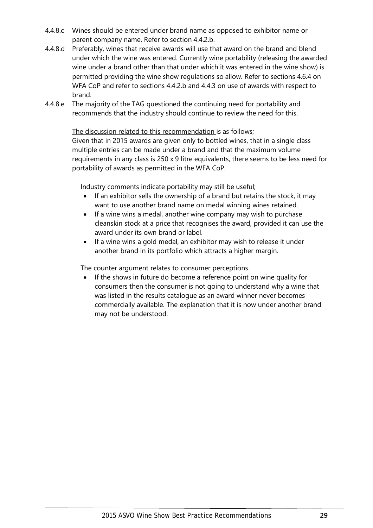- 4.4.8.c Wines should be entered under brand name as opposed to exhibitor name or parent company name. Refer to section [4.4.2.b.](#page-27-1)
- 4.4.8.d Preferably, wines that receive awards will use that award on the brand and blend under which the wine was entered. Currently wine portability (releasing the awarded wine under a brand other than that under which it was entered in the wine show) is permitted providing the wine show regulations so allow. Refer to sections [4.6.4](#page-38-0) on WFA CoP and refer to sections [4.4.2.b](#page-27-1) and [4.4.3](#page-28-0) on use of awards with respect to brand.
- 4.4.8.e The majority of the TAG questioned the continuing need for portability and recommends that the industry should continue to review the need for this.

The discussion related to this recommendation is as follows;

Given that in 2015 awards are given only to bottled wines, that in a single class multiple entries can be made under a brand and that the maximum volume requirements in any class is 250 x 9 litre equivalents, there seems to be less need for portability of awards as permitted in the WFA CoP.

Industry comments indicate portability may still be useful;

- If an exhibitor sells the ownership of a brand but retains the stock, it may want to use another brand name on medal winning wines retained.
- If a wine wins a medal, another wine company may wish to purchase cleanskin stock at a price that recognises the award, provided it can use the award under its own brand or label.
- If a wine wins a gold medal, an exhibitor may wish to release it under another brand in its portfolio which attracts a higher margin.

The counter argument relates to consumer perceptions.

If the shows in future do become a reference point on wine quality for consumers then the consumer is not going to understand why a wine that was listed in the results catalogue as an award winner never becomes commercially available. The explanation that it is now under another brand may not be understood.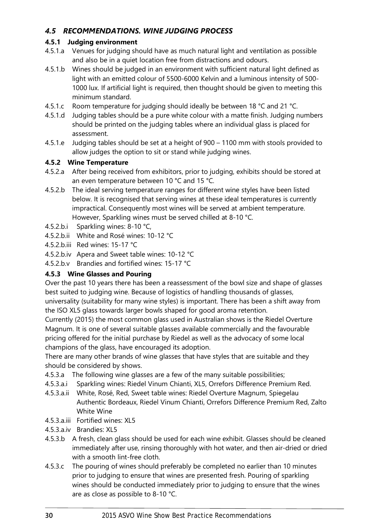## <span id="page-31-0"></span>*4.5 RECOMMENDATIONS. WINE JUDGING PROCESS*

#### <span id="page-31-1"></span>**4.5.1 Judging environment**

- 4.5.1.a Venues for judging should have as much natural light and ventilation as possible and also be in a quiet location free from distractions and odours.
- 4.5.1.b Wines should be judged in an environment with sufficient natural light defined as light with an emitted colour of 5500-6000 Kelvin and a luminous intensity of 500- 1000 lux. If artificial light is required, then thought should be given to meeting this minimum standard.
- 4.5.1.c Room temperature for judging should ideally be between 18 °C and 21 °C.
- 4.5.1.d Judging tables should be a pure white colour with a matte finish. Judging numbers should be printed on the judging tables where an individual glass is placed for assessment.
- 4.5.1.e Judging tables should be set at a height of 900 1100 mm with stools provided to allow judges the option to sit or stand while judging wines.

#### <span id="page-31-2"></span>**4.5.2 Wine Temperature**

- 4.5.2.a After being received from exhibitors, prior to judging, exhibits should be stored at an even temperature between 10 °C and 15 °C.
- 4.5.2.b The ideal serving temperature ranges for different wine styles have been listed below. It is recognised that serving wines at these ideal temperatures is currently impractical. Consequently most wines will be served at ambient temperature. However, Sparkling wines must be served chilled at 8-10 °C.
- 4.5.2.b.i Sparkling wines: 8-10 °C,
- 4.5.2.b.ii White and Rosé wines: 10-12 °C
- 4.5.2.b.iii Red wines: 15-17 °C
- 4.5.2.b.iv Apera and Sweet table wines: 10-12 °C
- 4.5.2.b.v Brandies and fortified wines: 15-17 °C

#### <span id="page-31-3"></span>**4.5.3 Wine Glasses and Pouring**

Over the past 10 years there has been a reassessment of the bowl size and shape of glasses best suited to judging wine. Because of logistics of handling thousands of glasses, universality (suitability for many wine styles) is important. There has been a shift away from the ISO XL5 glass towards larger bowls shaped for good aroma retention.

Currently (2015) the most common glass used in Australian shows is the Riedel Overture Magnum. It is one of several suitable glasses available commercially and the favourable pricing offered for the initial purchase by Riedel as well as the advocacy of some local champions of the glass, have encouraged its adoption.

There are many other brands of wine glasses that have styles that are suitable and they should be considered by shows.

- 4.5.3.a The following wine glasses are a few of the many suitable possibilities;
- 4.5.3.a.i Sparkling wines: Riedel Vinum Chianti, XL5, Orrefors Difference Premium Red.
- 4.5.3.a.ii White, Rosé, Red, Sweet table wines: Riedel Overture Magnum, Spiegelau Authentic Bordeaux, Riedel Vinum Chianti, Orrefors Difference Premium Red, Zalto White Wine
- 4.5.3.a.iii Fortified wines: XL5
- 4.5.3.a.iv Brandies: XL5
- 4.5.3.b A fresh, clean glass should be used for each wine exhibit. Glasses should be cleaned immediately after use, rinsing thoroughly with hot water, and then air-dried or dried with a smooth lint-free cloth.
- 4.5.3.c The pouring of wines should preferably be completed no earlier than 10 minutes prior to judging to ensure that wines are presented fresh. Pouring of sparkling wines should be conducted immediately prior to judging to ensure that the wines are as close as possible to 8-10 °C.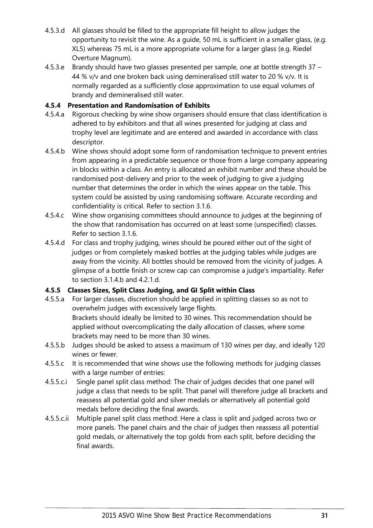- 4.5.3.d All glasses should be filled to the appropriate fill height to allow judges the opportunity to revisit the wine. As a guide, 50 mL is sufficient in a smaller glass, (e.g. XL5) whereas 75 mL is a more appropriate volume for a larger glass (e.g. Riedel Overture Magnum).
- 4.5.3.e Brandy should have two glasses presented per sample, one at bottle strength 37 44 % v/v and one broken back using demineralised still water to 20 % v/v. It is normally regarded as a sufficiently close approximation to use equal volumes of brandy and demineralised still water.

#### <span id="page-32-0"></span>**4.5.4 Presentation and Randomisation of Exhibits**

- 4.5.4.a Rigorous checking by wine show organisers should ensure that class identification is adhered to by exhibitors and that all wines presented for judging at class and trophy level are legitimate and are entered and awarded in accordance with class descriptor.
- <span id="page-32-3"></span>4.5.4.b Wine shows should adopt some form of randomisation technique to prevent entries from appearing in a predictable sequence or those from a large company appearing in blocks within a class. An entry is allocated an exhibit number and these should be randomised post-delivery and prior to the week of judging to give a judging number that determines the order in which the wines appear on the table. This system could be assisted by using randomising software. Accurate recording and confidentiality is critical. Refer to section [3.1.6.](#page-19-0)
- 4.5.4.c Wine show organising committees should announce to judges at the beginning of the show that randomisation has occurred on at least some (unspecified) classes. Refer to section [3.1.6.](#page-19-0)
- <span id="page-32-2"></span>4.5.4.d For class and trophy judging, wines should be poured either out of the sight of judges or from completely masked bottles at the judging tables while judges are away from the vicinity. All bottles should be removed from the vicinity of judges. A glimpse of a bottle finish or screw cap can compromise a judge's impartiality. Refer to section [3.1.4.b](#page-18-4) and [4.2.1.d.](#page-20-4)

## <span id="page-32-1"></span>**4.5.5 Classes Sizes, Split Class Judging, and GI Split within Class**

- 4.5.5.a For larger classes, discretion should be applied in splitting classes so as not to overwhelm judges with excessively large flights. Brackets should ideally be limited to 30 wines. This recommendation should be applied without overcomplicating the daily allocation of classes, where some brackets may need to be more than 30 wines.
- 4.5.5.b Judges should be asked to assess a maximum of 130 wines per day, and ideally 120 wines or fewer.
- 4.5.5.c It is recommended that wine shows use the following methods for judging classes with a large number of entries:
- 4.5.5.c.i Single panel split class method: The chair of judges decides that one panel will judge a class that needs to be split. That panel will therefore judge all brackets and reassess all potential gold and silver medals or alternatively all potential gold medals before deciding the final awards.
- 4.5.5.c.ii Multiple panel split class method: Here a class is split and judged across two or more panels. The panel chairs and the chair of judges then reassess all potential gold medals, or alternatively the top golds from each split, before deciding the final awards.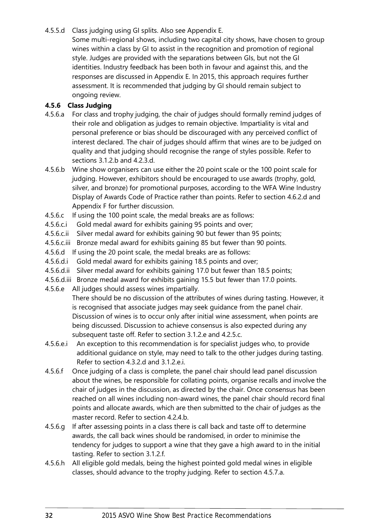- 4.5.5.d Class judging using GI splits. Also see [Appendix E.](#page-66-0)
	- Some multi-regional shows, including two capital city shows, have chosen to group wines within a class by GI to assist in the recognition and promotion of regional style. Judges are provided with the separations between GIs, but not the GI identities. Industry feedback has been both in favour and against this, and the responses are discussed in [Appendix E.](#page-66-0) In 2015, this approach requires further assessment. It is recommended that judging by GI should remain subject to ongoing review.

#### <span id="page-33-0"></span>**4.5.6 Class Judging**

- <span id="page-33-1"></span>4.5.6.a For class and trophy judging, the chair of judges should formally remind judges of their role and obligation as judges to remain objective. Impartiality is vital and personal preference or bias should be discouraged with any perceived conflict of interest declared. The chair of judges should affirm that wines are to be judged on quality and that judging should recognise the range of styles possible. Refer to sections [3.1.2.b](#page-18-5) and [4.2.3.d.](#page-21-2)
- 4.5.6.b Wine show organisers can use either the 20 point scale or the 100 point scale for judging. However, exhibitors should be encouraged to use awards (trophy, gold, silver, and bronze) for promotional purposes, according to the WFA Wine Industry Display of Awards Code of Practice rather than points. Refer to section [4.6.2.d](#page-36-5) and [Appendix F](#page-69-0) for further discussion.
- 4.5.6.c If using the 100 point scale, the medal breaks are as follows:
- 4.5.6.c.i Gold medal award for exhibits gaining 95 points and over;
- 4.5.6.c.ii Silver medal award for exhibits gaining 90 but fewer than 95 points;
- 4.5.6.c.iii Bronze medal award for exhibits gaining 85 but fewer than 90 points.
- 4.5.6.d If using the 20 point scale, the medal breaks are as follows:
- 4.5.6.d.i Gold medal award for exhibits gaining 18.5 points and over;
- 4.5.6.d.ii Silver medal award for exhibits gaining 17.0 but fewer than 18.5 points;
- 4.5.6.d.iii Bronze medal award for exhibits gaining 15.5 but fewer than 17.0 points.
- <span id="page-33-2"></span>4.5.6.e All judges should assess wines impartially. There should be no discussion of the attributes of wines during tasting. However, it is recognised that associate judges may seek guidance from the panel chair. Discussion of wines is to occur only after initial wine assessment, when points are being discussed. Discussion to achieve consensus is also expected during any subsequent taste off. Refer to section [3.1.2.e](#page-18-6) and [4.2.5.c.](#page-22-4)
- <span id="page-33-3"></span>4.5.6.e.i An exception to this recommendation is for specialist judges who, to provide additional guidance on style, may need to talk to the other judges during tasting. Refer to section [4.3.2.d](#page-24-2) and [3.1.2.e.i.](#page-18-10)
- <span id="page-33-5"></span>4.5.6.f Once judging of a class is complete, the panel chair should lead panel discussion about the wines, be responsible for collating points, organise recalls and involve the chair of judges in the discussion, as directed by the chair. Once consensus has been reached on all wines including non-award wines, the panel chair should record final points and allocate awards, which are then submitted to the chair of judges as the master record. Refer to section [4.2.4.b.](#page-22-11)
- <span id="page-33-4"></span>4.5.6.g If after assessing points in a class there is call back and taste off to determine awards, the call back wines should be randomised, in order to minimise the tendency for judges to support a wine that they gave a high award to in the initial tasting. Refer to section [3.1.2.f.](#page-18-12)
- <span id="page-33-6"></span>4.5.6.h All eligible gold medals, being the highest pointed gold medal wines in eligible classes, should advance to the trophy judging. Refer to section [4.5.7.a.](#page-34-2)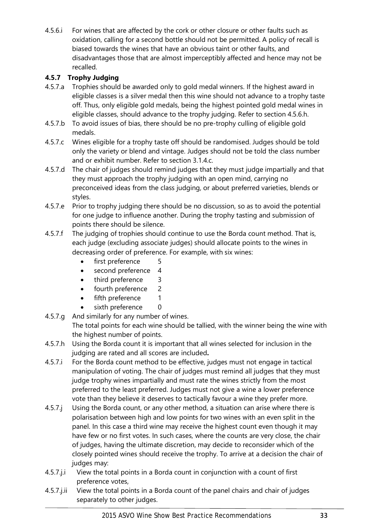4.5.6.i For wines that are affected by the cork or other closure or other faults such as oxidation, calling for a second bottle should not be permitted. A policy of recall is biased towards the wines that have an obvious taint or other faults, and disadvantages those that are almost imperceptibly affected and hence may not be recalled.

#### <span id="page-34-0"></span>**4.5.7 Trophy Judging**

- <span id="page-34-2"></span>4.5.7.a Trophies should be awarded only to gold medal winners. If the highest award in eligible classes is a silver medal then this wine should not advance to a trophy taste off. Thus, only eligible gold medals, being the highest pointed gold medal wines in eligible classes, should advance to the trophy judging. Refer to section [4.5.6.h.](#page-33-6)
- 4.5.7.b To avoid issues of bias, there should be no pre-trophy culling of eligible gold medals.
- <span id="page-34-1"></span>4.5.7.c Wines eligible for a trophy taste off should be randomised. Judges should be told only the variety or blend and vintage. Judges should not be told the class number and or exhibit number. Refer to section [3.1.4.c.](#page-18-13)
- 4.5.7.d The chair of judges should remind judges that they must judge impartially and that they must approach the trophy judging with an open mind, carrying no preconceived ideas from the class judging, or about preferred varieties, blends or styles.
- 4.5.7.e Prior to trophy judging there should be no discussion, so as to avoid the potential for one judge to influence another. During the trophy tasting and submission of points there should be silence.
- 4.5.7.f The judging of trophies should continue to use the Borda count method. That is, each judge (excluding associate judges) should allocate points to the wines in decreasing order of preference. For example, with six wines:
	- first preference 5
	- second preference 4
	- third preference 3
	- fourth preference 2
	- fifth preference 1
	- sixth preference 0
- 4.5.7.g And similarly for any number of wines. The total points for each wine should be tallied, with the winner being the wine with the highest number of points.
- 4.5.7.h Using the Borda count it is important that all wines selected for inclusion in the judging are rated and all scores are included**.**
- 4.5.7.i For the Borda count method to be effective, judges must not engage in tactical manipulation of voting. The chair of judges must remind all judges that they must judge trophy wines impartially and must rate the wines strictly from the most preferred to the least preferred. Judges must not give a wine a lower preference vote than they believe it deserves to tactically favour a wine they prefer more.
- 4.5.7.j Using the Borda count, or any other method, a situation can arise where there is polarisation between high and low points for two wines with an even split in the panel. In this case a third wine may receive the highest count even though it may have few or no first votes. In such cases, where the counts are very close, the chair of judges, having the ultimate discretion, may decide to reconsider which of the closely pointed wines should receive the trophy. To arrive at a decision the chair of judges may:
- 4.5.7.j.i View the total points in a Borda count in conjunction with a count of first preference votes,
- 4.5.7.j.ii View the total points in a Borda count of the panel chairs and chair of judges separately to other judges.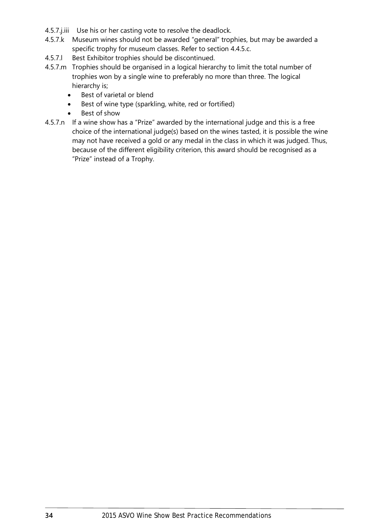- 4.5.7.j.iii Use his or her casting vote to resolve the deadlock.
- <span id="page-35-0"></span>4.5.7.k Museum wines should not be awarded "general" trophies, but may be awarded a specific trophy for museum classes. Refer to section [4.4.5.c.](#page-29-8)
- 4.5.7.l Best Exhibitor trophies should be discontinued.
- 4.5.7.m Trophies should be organised in a logical hierarchy to limit the total number of trophies won by a single wine to preferably no more than three. The logical hierarchy is;
	- Best of varietal or blend
	- Best of wine type (sparkling, white, red or fortified)
	- Best of show
- 4.5.7.n If a wine show has a "Prize" awarded by the international judge and this is a free choice of the international judge(s) based on the wines tasted, it is possible the wine may not have received a gold or any medal in the class in which it was judged. Thus, because of the different eligibility criterion, this award should be recognised as a "Prize" instead of a Trophy.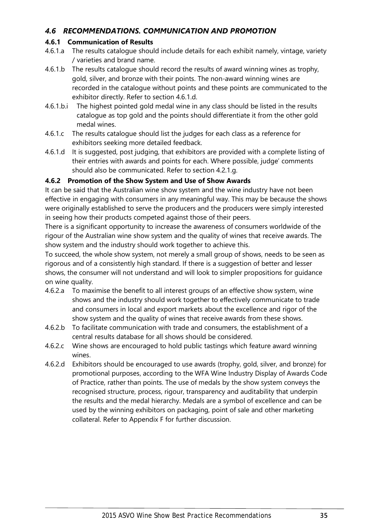# *4.6 RECOMMENDATIONS. COMMUNICATION AND PROMOTION*

# **4.6.1 Communication of Results**

- 4.6.1.a The results catalogue should include details for each exhibit namely, vintage, variety / varieties and brand name.
- 4.6.1.b The results catalogue should record the results of award winning wines as trophy, gold, silver, and bronze with their points. The non-award winning wines are recorded in the catalogue without points and these points are communicated to the exhibitor directly. Refer to section [4.6.1.d.](#page-36-0)
- 4.6.1.b.i The highest pointed gold medal wine in any class should be listed in the results catalogue as top gold and the points should differentiate it from the other gold medal wines.
- 4.6.1.c The results catalogue should list the judges for each class as a reference for exhibitors seeking more detailed feedback.
- <span id="page-36-0"></span>4.6.1.d It is suggested, post judging, that exhibitors are provided with a complete listing of their entries with awards and points for each. Where possible, judge' comments should also be communicated. Refer to section [4.2.1.g.](#page-20-0)

# **4.6.2 Promotion of the Show System and Use of Show Awards**

It can be said that the Australian wine show system and the wine industry have not been effective in engaging with consumers in any meaningful way. This may be because the shows were originally established to serve the producers and the producers were simply interested in seeing how their products competed against those of their peers.

There is a significant opportunity to increase the awareness of consumers worldwide of the rigour of the Australian wine show system and the quality of wines that receive awards. The show system and the industry should work together to achieve this.

To succeed, the whole show system, not merely a small group of shows, needs to be seen as rigorous and of a consistently high standard. If there is a suggestion of better and lesser shows, the consumer will not understand and will look to simpler propositions for guidance on wine quality.

- <span id="page-36-2"></span>4.6.2.a To maximise the benefit to all interest groups of an effective show system, wine shows and the industry should work together to effectively communicate to trade and consumers in local and export markets about the excellence and rigor of the show system and the quality of wines that receive awards from these shows.
- 4.6.2.b To facilitate communication with trade and consumers, the establishment of a central results database for all shows should be considered.
- 4.6.2.c Wine shows are encouraged to hold public tastings which feature award winning wines.
- <span id="page-36-1"></span>4.6.2.d Exhibitors should be encouraged to use awards (trophy, gold, silver, and bronze) for promotional purposes, according to the WFA Wine Industry Display of Awards Code of Practice, rather than points. The use of medals by the show system conveys the recognised structure, process, rigour, transparency and auditability that underpin the results and the medal hierarchy. Medals are a symbol of excellence and can be used by the winning exhibitors on packaging, point of sale and other marketing collateral. Refer to [Appendix F](#page-69-0) for further discussion.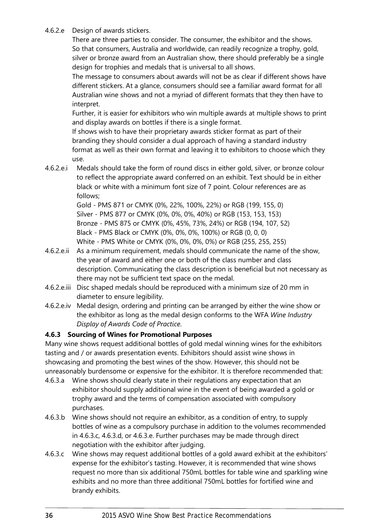# 4.6.2.e Design of awards stickers.

There are three parties to consider. The consumer, the exhibitor and the shows. So that consumers, Australia and worldwide, can readily recognize a trophy, gold, silver or bronze award from an Australian show, there should preferably be a single design for trophies and medals that is universal to all shows.

The message to consumers about awards will not be as clear if different shows have different stickers. At a glance, consumers should see a familiar award format for all Australian wine shows and not a myriad of different formats that they then have to interpret.

Further, it is easier for exhibitors who win multiple awards at multiple shows to print and display awards on bottles if there is a single format.

If shows wish to have their proprietary awards sticker format as part of their branding they should consider a dual approach of having a standard industry format as well as their own format and leaving it to exhibitors to choose which they use.

4.6.2.e.i Medals should take the form of round discs in either gold, silver, or bronze colour to reflect the appropriate award conferred on an exhibit. Text should be in either black or white with a minimum font size of 7 point. Colour references are as follows;

> Gold - PMS 871 or CMYK (0%, 22%, 100%, 22%) or RGB (199, 155, 0) Silver - PMS 877 or CMYK (0%, 0%, 0%, 40%) or RGB (153, 153, 153) Bronze - PMS 875 or CMYK (0%, 45%, 73%, 24%) or RGB (194, 107, 52) Black - PMS Black or CMYK (0%, 0%, 0%, 100%) or RGB (0, 0, 0) White - PMS White or CMYK (0%, 0%, 0%, 0%) or RGB (255, 255, 255)

- 4.6.2.e.ii As a minimum requirement, medals should communicate the name of the show, the year of award and either one or both of the class number and class description. Communicating the class description is beneficial but not necessary as there may not be sufficient text space on the medal.
- 4.6.2.e.iii Disc shaped medals should be reproduced with a minimum size of 20 mm in diameter to ensure legibility.
- 4.6.2.e.iv Medal design, ordering and printing can be arranged by either the wine show or the exhibitor as long as the medal design conforms to the WFA *Wine Industry Display of Awards Code of Practice*.

# **4.6.3 Sourcing of Wines for Promotional Purposes**

Many wine shows request additional bottles of gold medal winning wines for the exhibitors tasting and / or awards presentation events. Exhibitors should assist wine shows in showcasing and promoting the best wines of the show. However, this should not be unreasonably burdensome or expensive for the exhibitor. It is therefore recommended that:

- 4.6.3.a Wine shows should clearly state in their regulations any expectation that an exhibitor should supply additional wine in the event of being awarded a gold or trophy award and the terms of compensation associated with compulsory purchases.
- <span id="page-37-1"></span>4.6.3.b Wine shows should not require an exhibitor, as a condition of entry, to supply bottles of wine as a compulsory purchase in addition to the volumes recommended in [4.6.3.c,](#page-37-0) [4.6.3.d,](#page-38-0) or [4.6.3.e.](#page-38-1) Further purchases may be made through direct negotiation with the exhibitor after judging.
- <span id="page-37-0"></span>4.6.3.c Wine shows may request additional bottles of a gold award exhibit at the exhibitors' expense for the exhibitor's tasting. However, it is recommended that wine shows request no more than six additional 750mL bottles for table wine and sparkling wine exhibits and no more than three additional 750mL bottles for fortified wine and brandy exhibits.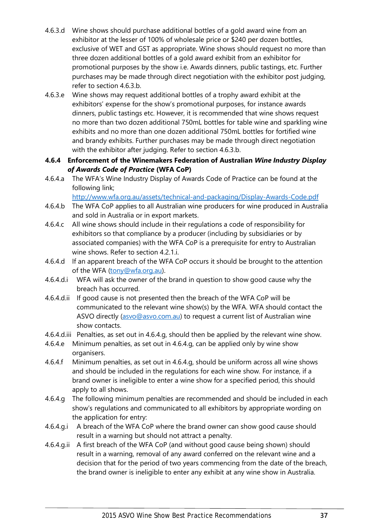- <span id="page-38-0"></span>4.6.3.d Wine shows should purchase additional bottles of a gold award wine from an exhibitor at the lesser of 100% of wholesale price or \$240 per dozen bottles, exclusive of WET and GST as appropriate. Wine shows should request no more than three dozen additional bottles of a gold award exhibit from an exhibitor for promotional purposes by the show i.e. Awards dinners, public tastings, etc. Further purchases may be made through direct negotiation with the exhibitor post judging, refer to section [4.6.3.b.](#page-37-1)
- <span id="page-38-1"></span>4.6.3.e Wine shows may request additional bottles of a trophy award exhibit at the exhibitors' expense for the show's promotional purposes, for instance awards dinners, public tastings etc. However, it is recommended that wine shows request no more than two dozen additional 750mL bottles for table wine and sparkling wine exhibits and no more than one dozen additional 750mL bottles for fortified wine and brandy exhibits. Further purchases may be made through direct negotiation with the exhibitor after judging. Refer to section [4.6.3.b.](#page-37-1)
- **4.6.4 Enforcement of the Winemakers Federation of Australian** *Wine Industry Display of Awards Code of Practice* **(WFA CoP)**
- 4.6.4.a The WFA's Wine Industry Display of Awards Code of Practice can be found at the following link;

<http://www.wfa.org.au/assets/technical-and-packaging/Display-Awards-Code.pdf>

- 4.6.4.b The WFA CoP applies to all Australian wine producers for wine produced in Australia and sold in Australia or in export markets.
- 4.6.4.c All wine shows should include in their regulations a code of responsibility for exhibitors so that compliance by a producer (including by subsidiaries or by associated companies) with the WFA CoP is a prerequisite for entry to Australian wine shows. Refer to section [4.2.1.i.](#page-21-0)
- 4.6.4.d If an apparent breach of the WFA CoP occurs it should be brought to the attention of the WFA (tony@wfa.org.au).
- 4.6.4.d.i WFA will ask the owner of the brand in question to show good cause why the breach has occurred.
- 4.6.4.d.ii If good cause is not presented then the breach of the WFA CoP will be communicated to the relevant wine show(s) by the WFA. WFA should contact the ASVO directly (asvo@asvo.com.au) to request a current list of Australian wine show contacts.
- 4.6.4.d.iii Penalties, as set out in [4.6.4.g,](#page-38-2) should then be applied by the relevant wine show.
- 4.6.4.e Minimum penalties, as set out in [4.6.4.g,](#page-38-2) can be applied only by wine show organisers.
- 4.6.4.f Minimum penalties, as set out in [4.6.4.g,](#page-38-2) should be uniform across all wine shows and should be included in the regulations for each wine show. For instance, if a brand owner is ineligible to enter a wine show for a specified period, this should apply to all shows.
- <span id="page-38-2"></span>4.6.4.g The following minimum penalties are recommended and should be included in each show's regulations and communicated to all exhibitors by appropriate wording on the application for entry:
- <span id="page-38-3"></span>4.6.4.g.i A breach of the WFA CoP where the brand owner can show good cause should result in a warning but should not attract a penalty.
- <span id="page-38-4"></span>4.6.4.g.ii A first breach of the WFA CoP (and without good cause being shown) should result in a warning, removal of any award conferred on the relevant wine and a decision that for the period of two years commencing from the date of the breach, the brand owner is ineligible to enter any exhibit at any wine show in Australia.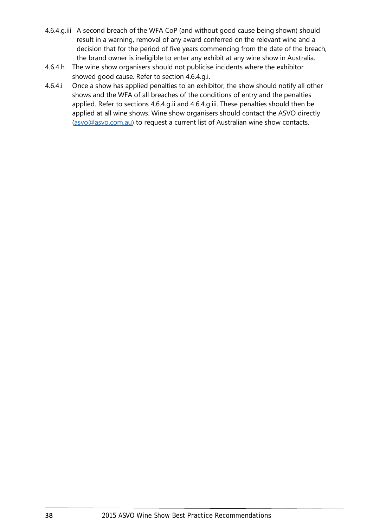- <span id="page-39-0"></span>4.6.4.g.iii A second breach of the WFA CoP (and without good cause being shown) should result in a warning, removal of any award conferred on the relevant wine and a decision that for the period of five years commencing from the date of the breach, the brand owner is ineligible to enter any exhibit at any wine show in Australia.
- 4.6.4.h The wine show organisers should not publicise incidents where the exhibitor showed good cause. Refer to section [4.6.4.g.i.](#page-38-3)
- 4.6.4.i Once a show has applied penalties to an exhibitor, the show should notify all other shows and the WFA of all breaches of the conditions of entry and the penalties applied. Refer to sections [4.6.4.g.ii](#page-38-4) and [4.6.4.g.iii.](#page-39-0) These penalties should then be applied at all wine shows. Wine show organisers should contact the ASVO directly (asvo@asvo.com.au) to request a current list of Australian wine show contacts.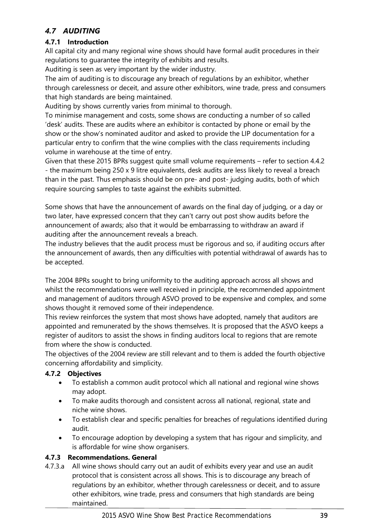# *4.7 AUDITING*

# <span id="page-40-0"></span>**4.7.1 Introduction**

All capital city and many regional wine shows should have formal audit procedures in their regulations to guarantee the integrity of exhibits and results.

Auditing is seen as very important by the wider industry.

The aim of auditing is to discourage any breach of regulations by an exhibitor, whether through carelessness or deceit, and assure other exhibitors, wine trade, press and consumers that high standards are being maintained.

Auditing by shows currently varies from minimal to thorough.

To minimise management and costs, some shows are conducting a number of so called 'desk' audits. These are audits where an exhibitor is contacted by phone or email by the show or the show's nominated auditor and asked to provide the LIP documentation for a particular entry to confirm that the wine complies with the class requirements including volume in warehouse at the time of entry.

Given that these 2015 BPRs suggest quite small volume requirements – refer to section [4.4.2](#page-27-0) - the maximum being 250 x 9 litre equivalents, desk audits are less likely to reveal a breach than in the past. Thus emphasis should be on pre- and post- judging audits, both of which require sourcing samples to taste against the exhibits submitted.

Some shows that have the announcement of awards on the final day of judging, or a day or two later, have expressed concern that they can't carry out post show audits before the announcement of awards; also that it would be embarrassing to withdraw an award if auditing after the announcement reveals a breach.

The industry believes that the audit process must be rigorous and so, if auditing occurs after the announcement of awards, then any difficulties with potential withdrawal of awards has to be accepted.

The 2004 BPRs sought to bring uniformity to the auditing approach across all shows and whilst the recommendations were well received in principle, the recommended appointment and management of auditors through ASVO proved to be expensive and complex, and some shows thought it removed some of their independence.

This review reinforces the system that most shows have adopted, namely that auditors are appointed and remunerated by the shows themselves. It is proposed that the ASVO keeps a register of auditors to assist the shows in finding auditors local to regions that are remote from where the show is conducted.

The objectives of the 2004 review are still relevant and to them is added the fourth objective concerning affordability and simplicity.

# **4.7.2 Objectives**

- To establish a common audit protocol which all national and regional wine shows may adopt.
- To make audits thorough and consistent across all national, regional, state and niche wine shows.
- To establish clear and specific penalties for breaches of regulations identified during audit.
- To encourage adoption by developing a system that has rigour and simplicity, and is affordable for wine show organisers.

# **4.7.3 Recommendations. General**

4.7.3.a All wine shows should carry out an audit of exhibits every year and use an audit protocol that is consistent across all shows. This is to discourage any breach of regulations by an exhibitor, whether through carelessness or deceit, and to assure other exhibitors, wine trade, press and consumers that high standards are being maintained.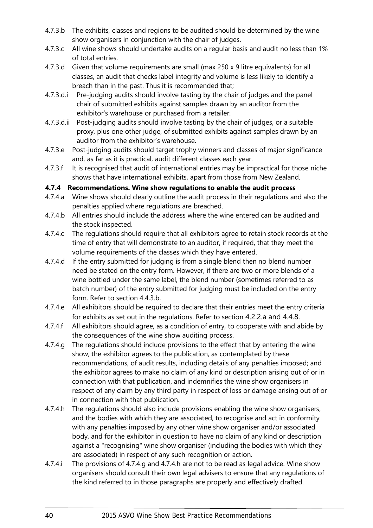- 4.7.3.b The exhibits, classes and regions to be audited should be determined by the wine show organisers in conjunction with the chair of judges.
- 4.7.3.c All wine shows should undertake audits on a regular basis and audit no less than 1% of total entries.
- 4.7.3.d Given that volume requirements are small (max 250 x 9 litre equivalents) for all classes, an audit that checks label integrity and volume is less likely to identify a breach than in the past. Thus it is recommended that;
- 4.7.3.d.i Pre-judging audits should involve tasting by the chair of judges and the panel chair of submitted exhibits against samples drawn by an auditor from the exhibitor's warehouse or purchased from a retailer.
- 4.7.3.d.ii Post-judging audits should involve tasting by the chair of judges, or a suitable proxy, plus one other judge, of submitted exhibits against samples drawn by an auditor from the exhibitor's warehouse.
- 4.7.3.e Post-judging audits should target trophy winners and classes of major significance and, as far as it is practical, audit different classes each year.
- 4.7.3.f It is recognised that audit of international entries may be impractical for those niche shows that have international exhibits, apart from those from New Zealand.

# **4.7.4 Recommendations. Wine show regulations to enable the audit process**

- 4.7.4.a Wine shows should clearly outline the audit process in their regulations and also the penalties applied where regulations are breached.
- 4.7.4.b All entries should include the address where the wine entered can be audited and the stock inspected.
- 4.7.4.c The regulations should require that all exhibitors agree to retain stock records at the time of entry that will demonstrate to an auditor, if required, that they meet the volume requirements of the classes which they have entered.
- <span id="page-41-2"></span>4.7.4.d If the entry submitted for judging is from a single blend then no blend number need be stated on the entry form. However, if there are two or more blends of a wine bottled under the same label, the blend number (sometimes referred to as batch number) of the entry submitted for judging must be included on the entry form. Refer to section [4.4.3.b.](#page-28-0)
- <span id="page-41-3"></span>4.7.4.e All exhibitors should be required to declare that their entries meet the entry criteria for exhibits as set out in the regulations. Refer to section [4.2.2.a](#page-21-1) and [4.4.8.](#page-29-0)
- 4.7.4.f All exhibitors should agree, as a condition of entry, to cooperate with and abide by the consequences of the wine show auditing process.
- <span id="page-41-0"></span>4.7.4.g The regulations should include provisions to the effect that by entering the wine show, the exhibitor agrees to the publication, as contemplated by these recommendations, of audit results, including details of any penalties imposed; and the exhibitor agrees to make no claim of any kind or description arising out of or in connection with that publication, and indemnifies the wine show organisers in respect of any claim by any third party in respect of loss or damage arising out of or in connection with that publication.
- <span id="page-41-1"></span>4.7.4.h The regulations should also include provisions enabling the wine show organisers, and the bodies with which they are associated, to recognise and act in conformity with any penalties imposed by any other wine show organiser and/or associated body, and for the exhibitor in question to have no claim of any kind or description against a "recognising" wine show organiser (including the bodies with which they are associated) in respect of any such recognition or action.
- 4.7.4.i The provisions of [4.7.4.g](#page-41-0) and [4.7.4.h](#page-41-1) are not to be read as legal advice. Wine show organisers should consult their own legal advisers to ensure that any regulations of the kind referred to in those paragraphs are properly and effectively drafted.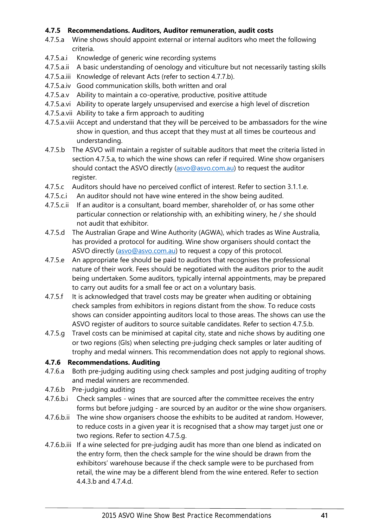# **4.7.5 Recommendations. Auditors, Auditor remuneration, audit costs**

- <span id="page-42-0"></span>4.7.5.a Wine shows should appoint external or internal auditors who meet the following criteria.
- 4.7.5.a.i Knowledge of generic wine recording systems
- 4.7.5.a.ii A basic understanding of oenology and viticulture but not necessarily tasting skills
- 4.7.5.a.iii Knowledge of relevant Acts (refer to section [4.7.7.b\)](#page-44-0).
- 4.7.5.a.iv Good communication skills, both written and oral
- 4.7.5.a.v Ability to maintain a co-operative, productive, positive attitude
- 4.7.5.a.vi Ability to operate largely unsupervised and exercise a high level of discretion
- 4.7.5.a.vii Ability to take a firm approach to auditing
- 4.7.5.a.viii Accept and understand that they will be perceived to be ambassadors for the wine show in question, and thus accept that they must at all times be courteous and understanding.
- <span id="page-42-1"></span>4.7.5.b The ASVO will maintain a register of suitable auditors that meet the criteria listed in section [4.7.5.a,](#page-42-0) to which the wine shows can refer if required. Wine show organisers should contact the ASVO directly (asvo@asvo.com.au) to request the auditor register.
- 4.7.5.c Auditors should have no perceived conflict of interest. Refer to section [3.1.1.e.](#page-17-0)
- 4.7.5.c.i An auditor should not have wine entered in the show being audited.
- 4.7.5.c.ii If an auditor is a consultant, board member, shareholder of, or has some other particular connection or relationship with, an exhibiting winery, he / she should not audit that exhibitor.
- 4.7.5.d The Australian Grape and Wine Authority (AGWA), which trades as Wine Australia, has provided a protocol for auditing. Wine show organisers should contact the ASVO directly (asvo@asvo.com.au) to request a copy of this protocol.
- 4.7.5.e An appropriate fee should be paid to auditors that recognises the professional nature of their work. Fees should be negotiated with the auditors prior to the audit being undertaken. Some auditors, typically internal appointments, may be prepared to carry out audits for a small fee or act on a voluntary basis.
- 4.7.5.f It is acknowledged that travel costs may be greater when auditing or obtaining check samples from exhibitors in regions distant from the show. To reduce costs shows can consider appointing auditors local to those areas. The shows can use the ASVO register of auditors to source suitable candidates. Refer to section [4.7.5.b.](#page-42-1)
- <span id="page-42-2"></span>4.7.5.g Travel costs can be minimised at capital city, state and niche shows by auditing one or two regions (GIs) when selecting pre-judging check samples or later auditing of trophy and medal winners. This recommendation does not apply to regional shows.

## **4.7.6 Recommendations. Auditing**

- 4.7.6.a Both pre-judging auditing using check samples and post judging auditing of trophy and medal winners are recommended.
- 4.7.6.b Pre-judging auditing
- 4.7.6.b.i Check samples wines that are sourced after the committee receives the entry forms but before judging - are sourced by an auditor or the wine show organisers.
- 4.7.6.b.ii The wine show organisers choose the exhibits to be audited at random. However, to reduce costs in a given year it is recognised that a show may target just one or two regions. Refer to section [4.7.5.g.](#page-42-2)
- 4.7.6.b.iii If a wine selected for pre-judging audit has more than one blend as indicated on the entry form, then the check sample for the wine should be drawn from the exhibitors' warehouse because if the check sample were to be purchased from retail, the wine may be a different blend from the wine entered. Refer to section [4.4.3.b](#page-28-0) and [4.7.4.d.](#page-41-2)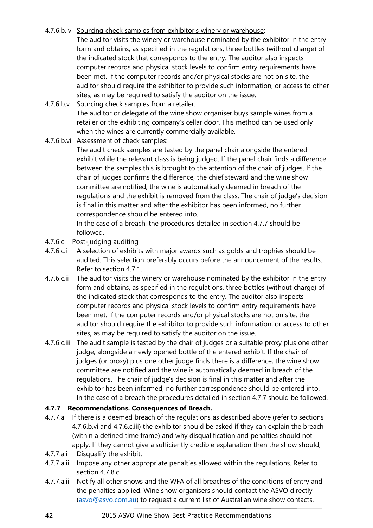# 4.7.6.b.iv Sourcing check samples from exhibitor's winery or warehouse:

The auditor visits the winery or warehouse nominated by the exhibitor in the entry form and obtains, as specified in the regulations, three bottles (without charge) of the indicated stock that corresponds to the entry. The auditor also inspects computer records and physical stock levels to confirm entry requirements have been met. If the computer records and/or physical stocks are not on site, the auditor should require the exhibitor to provide such information, or access to other sites, as may be required to satisfy the auditor on the issue.

4.7.6.b.v Sourcing check samples from a retailer: The auditor or delegate of the wine show organiser buys sample wines from a retailer or the exhibiting company's cellar door. This method can be used only when the wines are currently commercially available.

<span id="page-43-1"></span>4.7.6.b.vi Assessment of check samples:

The audit check samples are tasted by the panel chair alongside the entered exhibit while the relevant class is being judged. If the panel chair finds a difference between the samples this is brought to the attention of the chair of judges. If the chair of judges confirms the difference, the chief steward and the wine show committee are notified, the wine is automatically deemed in breach of the regulations and the exhibit is removed from the class. The chair of judge's decision is final in this matter and after the exhibitor has been informed, no further correspondence should be entered into.

In the case of a breach, the procedures detailed in section [4.7.7](#page-43-0) should be followed.

- 4.7.6.c Post-judging auditing
- 4.7.6.c.i A selection of exhibits with major awards such as golds and trophies should be audited. This selection preferably occurs before the announcement of the results. Refer to section [4.7.1.](#page-40-0)
- 4.7.6.c.ii The auditor visits the winery or warehouse nominated by the exhibitor in the entry form and obtains, as specified in the regulations, three bottles (without charge) of the indicated stock that corresponds to the entry. The auditor also inspects computer records and physical stock levels to confirm entry requirements have been met. If the computer records and/or physical stocks are not on site, the auditor should require the exhibitor to provide such information, or access to other sites, as may be required to satisfy the auditor on the issue.
- <span id="page-43-2"></span>4.7.6.c.iii The audit sample is tasted by the chair of judges or a suitable proxy plus one other judge, alongside a newly opened bottle of the entered exhibit. If the chair of judges (or proxy) plus one other judge finds there is a difference, the wine show committee are notified and the wine is automatically deemed in breach of the regulations. The chair of judge's decision is final in this matter and after the exhibitor has been informed, no further correspondence should be entered into. In the case of a breach the procedures detailed in section [4.7.7](#page-43-0) should be followed.

## <span id="page-43-0"></span>**4.7.7 Recommendations. Consequences of Breach.**

- 4.7.7.a If there is a deemed breach of the regulations as described above (refer to sections [4.7.6.b.vi](#page-43-1) and [4.7.6.c.iii\)](#page-43-2) the exhibitor should be asked if they can explain the breach (within a defined time frame) and why disqualification and penalties should not apply. If they cannot give a sufficiently credible explanation then the show should;
- 4.7.7.a.i Disqualify the exhibit.
- 4.7.7.a.ii Impose any other appropriate penalties allowed within the regulations. Refer to section [4.7.8.c.](#page-44-1)
- 4.7.7.a.iii Notify all other shows and the WFA of all breaches of the conditions of entry and the penalties applied. Wine show organisers should contact the ASVO directly (asvo@asvo.com.au) to request a current list of Australian wine show contacts.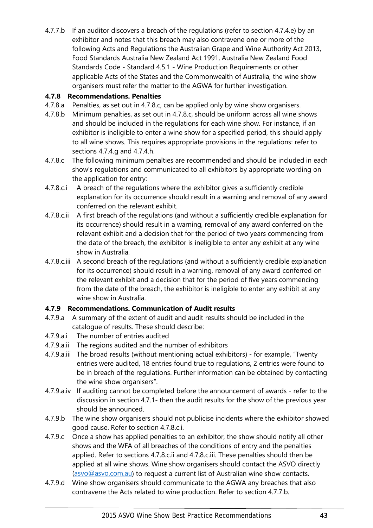<span id="page-44-0"></span>4.7.7.b If an auditor discovers a breach of the regulations (refer to section [4.7.4.e\)](#page-41-3) by an exhibitor and notes that this breach may also contravene one or more of the following Acts and Regulations the Australian Grape and Wine Authority Act 2013, Food Standards Australia New Zealand Act 1991, Australia New Zealand Food Standards Code - Standard 4.5.1 - Wine Production Requirements or other applicable Acts of the States and the Commonwealth of Australia, the wine show organisers must refer the matter to the AGWA for further investigation.

# **4.7.8 Recommendations. Penalties**

- 4.7.8.a Penalties, as set out in [4.7.8.c,](#page-44-1) can be applied only by wine show organisers.
- 4.7.8.b Minimum penalties, as set out in [4.7.8.c,](#page-44-1) should be uniform across all wine shows and should be included in the regulations for each wine show. For instance, if an exhibitor is ineligible to enter a wine show for a specified period, this should apply to all wine shows. This requires appropriate provisions in the regulations: refer to sections [4.7.4.g](#page-41-0) and [4.7.4.h.](#page-41-1)
- <span id="page-44-1"></span>4.7.8.c The following minimum penalties are recommended and should be included in each show's regulations and communicated to all exhibitors by appropriate wording on the application for entry:
- <span id="page-44-2"></span>4.7.8.c.i A breach of the regulations where the exhibitor gives a sufficiently credible explanation for its occurrence should result in a warning and removal of any award conferred on the relevant exhibit.
- <span id="page-44-3"></span>4.7.8.c.ii A first breach of the regulations (and without a sufficiently credible explanation for its occurrence) should result in a warning, removal of any award conferred on the relevant exhibit and a decision that for the period of two years commencing from the date of the breach, the exhibitor is ineligible to enter any exhibit at any wine show in Australia.
- <span id="page-44-4"></span>4.7.8.c.iii A second breach of the regulations (and without a sufficiently credible explanation for its occurrence) should result in a warning, removal of any award conferred on the relevant exhibit and a decision that for the period of five years commencing from the date of the breach, the exhibitor is ineligible to enter any exhibit at any wine show in Australia.

# **4.7.9 Recommendations. Communication of Audit results**

- 4.7.9.a A summary of the extent of audit and audit results should be included in the catalogue of results. These should describe:
- 4.7.9.a.i The number of entries audited
- 4.7.9.a.ii The regions audited and the number of exhibitors
- 4.7.9.a.iii The broad results (without mentioning actual exhibitors) for example, "Twenty entries were audited, 18 entries found true to regulations, 2 entries were found to be in breach of the regulations. Further information can be obtained by contacting the wine show organisers".
- 4.7.9.a.iv If auditing cannot be completed before the announcement of awards refer to the discussion in sectio[n 4.7.1-](#page-40-0) then the audit results for the show of the previous year should be announced.
- 4.7.9.b The wine show organisers should not publicise incidents where the exhibitor showed good cause. Refer to section [4.7.8.c.i.](#page-44-2)
- 4.7.9.c Once a show has applied penalties to an exhibitor, the show should notify all other shows and the WFA of all breaches of the conditions of entry and the penalties applied. Refer to sections [4.7.8.c.ii](#page-44-3) and [4.7.8.c.iii.](#page-44-4) These penalties should then be applied at all wine shows. Wine show organisers should contact the ASVO directly (asvo@asvo.com.au) to request a current list of Australian wine show contacts.
- 4.7.9.d Wine show organisers should communicate to the AGWA any breaches that also contravene the Acts related to wine production. Refer to section [4.7.7.b.](#page-44-0)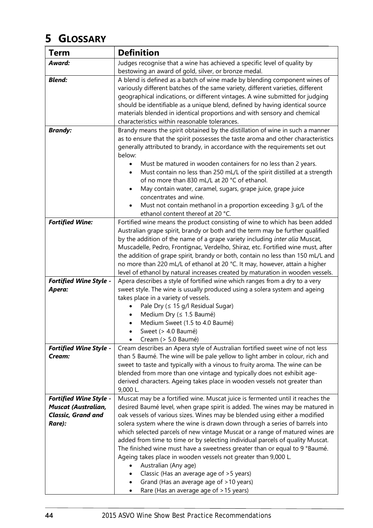# **5 GLOSSARY**

| <b>Term</b>                                                       | <b>Definition</b>                                                                                                                                                                                                                                                                                                                                                                                                                                                                                                                                                                                                                                                                                                    |
|-------------------------------------------------------------------|----------------------------------------------------------------------------------------------------------------------------------------------------------------------------------------------------------------------------------------------------------------------------------------------------------------------------------------------------------------------------------------------------------------------------------------------------------------------------------------------------------------------------------------------------------------------------------------------------------------------------------------------------------------------------------------------------------------------|
| Award:                                                            | Judges recognise that a wine has achieved a specific level of quality by                                                                                                                                                                                                                                                                                                                                                                                                                                                                                                                                                                                                                                             |
|                                                                   | bestowing an award of gold, silver, or bronze medal.                                                                                                                                                                                                                                                                                                                                                                                                                                                                                                                                                                                                                                                                 |
| <b>Blend:</b>                                                     | A blend is defined as a batch of wine made by blending component wines of<br>variously different batches of the same variety, different varieties, different<br>geographical indications, or different vintages. A wine submitted for judging<br>should be identifiable as a unique blend, defined by having identical source<br>materials blended in identical proportions and with sensory and chemical<br>characteristics within reasonable tolerances.                                                                                                                                                                                                                                                           |
| <b>Brandy:</b>                                                    | Brandy means the spirit obtained by the distillation of wine in such a manner<br>as to ensure that the spirit possesses the taste aroma and other characteristics<br>generally attributed to brandy, in accordance with the requirements set out<br>below:<br>Must be matured in wooden containers for no less than 2 years.<br>Must contain no less than 250 mL/L of the spirit distilled at a strength<br>of no more than 830 mL/L at 20 °C of ethanol.<br>May contain water, caramel, sugars, grape juice, grape juice<br>$\bullet$<br>concentrates and wine.<br>Must not contain methanol in a proportion exceeding 3 g/L of the                                                                                 |
|                                                                   | ethanol content thereof at 20 °C.                                                                                                                                                                                                                                                                                                                                                                                                                                                                                                                                                                                                                                                                                    |
| <b>Fortified Wine:</b>                                            | Fortified wine means the product consisting of wine to which has been added<br>Australian grape spirit, brandy or both and the term may be further qualified<br>by the addition of the name of a grape variety including inter alia Muscat,<br>Muscadelle, Pedro, Frontignac, Verdelho, Shiraz, etc. Fortified wine must, after<br>the addition of grape spirit, brandy or both, contain no less than 150 mL/L and<br>no more than 220 mL/L of ethanol at 20 °C. It may, however, attain a higher<br>level of ethanol by natural increases created by maturation in wooden vessels.                                                                                                                                  |
| <b>Fortified Wine Style -</b>                                     | Apera describes a style of fortified wine which ranges from a dry to a very                                                                                                                                                                                                                                                                                                                                                                                                                                                                                                                                                                                                                                          |
| Apera:                                                            | sweet style. The wine is usually produced using a solera system and ageing<br>takes place in a variety of vessels.<br>Pale Dry (≤ 15 g/l Residual Sugar)<br>Medium Dry (≤ 1.5 Baumé)<br>Medium Sweet (1.5 to 4.0 Baumé)<br>Sweet (> 4.0 Baumé)<br>Cream (> 5.0 Baumé)                                                                                                                                                                                                                                                                                                                                                                                                                                                |
| <b>Fortified Wine Style -</b><br>Cream:                           | Cream describes an Apera style of Australian fortified sweet wine of not less<br>than 5 Baumé. The wine will be pale yellow to light amber in colour, rich and<br>sweet to taste and typically with a vinous to fruity aroma. The wine can be<br>blended from more than one vintage and typically does not exhibit age-<br>derived characters. Ageing takes place in wooden vessels not greater than<br>9,000 L.                                                                                                                                                                                                                                                                                                     |
| <b>Fortified Wine Style -</b>                                     | Muscat may be a fortified wine. Muscat juice is fermented until it reaches the                                                                                                                                                                                                                                                                                                                                                                                                                                                                                                                                                                                                                                       |
| <b>Muscat (Australian,</b><br><b>Classic, Grand and</b><br>Rare): | desired Baumé level, when grape spirit is added. The wines may be matured in<br>oak vessels of various sizes. Wines may be blended using either a modified<br>solera system where the wine is drawn down through a series of barrels into<br>which selected parcels of new vintage Muscat or a range of matured wines are<br>added from time to time or by selecting individual parcels of quality Muscat.<br>The finished wine must have a sweetness greater than or equal to 9 °Baumé.<br>Ageing takes place in wooden vessels not greater than 9,000 L.<br>Australian (Any age)<br>Classic (Has an average age of > 5 years)<br>Grand (Has an average age of >10 years)<br>Rare (Has an average age of >15 years) |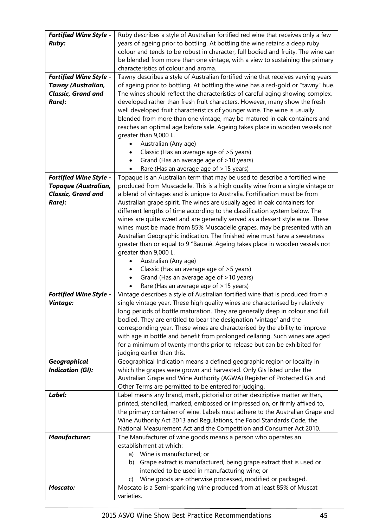| <b>Fortified Wine Style -</b> | Ruby describes a style of Australian fortified red wine that receives only a few                                         |
|-------------------------------|--------------------------------------------------------------------------------------------------------------------------|
| <b>Ruby:</b>                  | years of ageing prior to bottling. At bottling the wine retains a deep ruby                                              |
|                               | colour and tends to be robust in character, full bodied and fruity. The wine can                                         |
|                               | be blended from more than one vintage, with a view to sustaining the primary                                             |
|                               | characteristics of colour and aroma.                                                                                     |
| <b>Fortified Wine Style -</b> | Tawny describes a style of Australian fortified wine that receives varying years                                         |
| <b>Tawny (Australian,</b>     | of ageing prior to bottling. At bottling the wine has a red-gold or "tawny" hue.                                         |
| <b>Classic, Grand and</b>     | The wines should reflect the characteristics of careful aging showing complex,                                           |
| Rare):                        | developed rather than fresh fruit characters. However, many show the fresh                                               |
|                               | well developed fruit characteristics of younger wine. The wine is usually                                                |
|                               | blended from more than one vintage, may be matured in oak containers and                                                 |
|                               | reaches an optimal age before sale. Ageing takes place in wooden vessels not                                             |
|                               | greater than 9,000 L.                                                                                                    |
|                               | Australian (Any age)                                                                                                     |
|                               | Classic (Has an average age of > 5 years)                                                                                |
|                               | Grand (Has an average age of >10 years)                                                                                  |
|                               | Rare (Has an average age of >15 years)                                                                                   |
| <b>Fortified Wine Style -</b> | Topaque is an Australian term that may be used to describe a fortified wine                                              |
| Topaque (Australian,          | produced from Muscadelle. This is a high quality wine from a single vintage or                                           |
| <b>Classic, Grand and</b>     | a blend of vintages and is unique to Australia. Fortification must be from                                               |
| Rare):                        | Australian grape spirit. The wines are usually aged in oak containers for                                                |
|                               | different lengths of time according to the classification system below. The                                              |
|                               | wines are quite sweet and are generally served as a dessert style wine. These                                            |
|                               | wines must be made from 85% Muscadelle grapes, may be presented with an                                                  |
|                               | Australian Geographic indication. The finished wine must have a sweetness                                                |
|                               | greater than or equal to 9 °Baumé. Ageing takes place in wooden vessels not                                              |
|                               | greater than 9,000 L.                                                                                                    |
|                               | Australian (Any age)                                                                                                     |
|                               | Classic (Has an average age of >5 years)                                                                                 |
|                               | Grand (Has an average age of >10 years)<br>$\bullet$                                                                     |
| <b>Fortified Wine Style -</b> | Rare (Has an average age of >15 years)<br>Vintage describes a style of Australian fortified wine that is produced from a |
| Vintage:                      | single vintage year. These high quality wines are characterised by relatively                                            |
|                               | long periods of bottle maturation. They are generally deep in colour and full                                            |
|                               | bodied. They are entitled to bear the designation 'vintage' and the                                                      |
|                               | corresponding year. These wines are characterised by the ability to improve                                              |
|                               | with age in bottle and benefit from prolonged cellaring. Such wines are aged                                             |
|                               | for a minimum of twenty months prior to release but can be exhibited for                                                 |
|                               | judging earlier than this.                                                                                               |
| Geographical                  | Geographical Indication means a defined geographic region or locality in                                                 |
| <b>Indication (GI):</b>       | which the grapes were grown and harvested. Only GIs listed under the                                                     |
|                               | Australian Grape and Wine Authority (AGWA) Register of Protected Gls and                                                 |
|                               | Other Terms are permitted to be entered for judging.                                                                     |
| Label:                        | Label means any brand, mark, pictorial or other descriptive matter written,                                              |
|                               | printed, stencilled, marked, embossed or impressed on, or firmly affixed to,                                             |
|                               | the primary container of wine. Labels must adhere to the Australian Grape and                                            |
|                               | Wine Authority Act 2013 and Regulations, the Food Standards Code, the                                                    |
|                               | National Measurement Act and the Competition and Consumer Act 2010.                                                      |
| <b>Manufacturer:</b>          | The Manufacturer of wine goods means a person who operates an                                                            |
|                               | establishment at which:                                                                                                  |
|                               | Wine is manufactured; or<br>a)                                                                                           |
|                               | Grape extract is manufactured, being grape extract that is used or<br>b)                                                 |
|                               | intended to be used in manufacturing wine; or                                                                            |
|                               | Wine goods are otherwise processed, modified or packaged.<br>C)                                                          |
| <b>Moscato:</b>               | Moscato is a Semi-sparkling wine produced from at least 85% of Muscat                                                    |
|                               | varieties.                                                                                                               |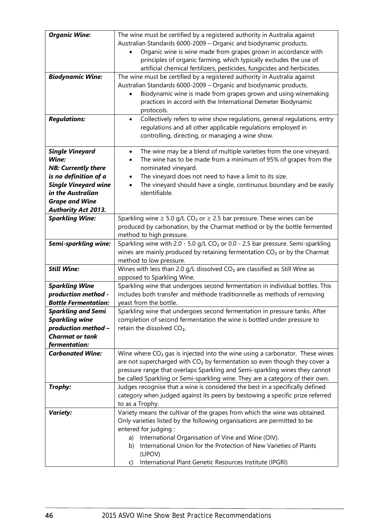| <b>Organic Wine:</b>        | The wine must be certified by a registered authority in Australia against                        |
|-----------------------------|--------------------------------------------------------------------------------------------------|
|                             | Australian Standards 6000-2009 - Organic and biodynamic products.                                |
|                             | Organic wine is wine made from grapes grown in accordance with                                   |
|                             | principles of organic farming, which typically excludes the use of                               |
|                             | artificial chemical fertilizers, pesticides, fungicides and herbicides.                          |
| <b>Biodynamic Wine:</b>     | The wine must be certified by a registered authority in Australia against                        |
|                             | Australian Standards 6000-2009 - Organic and biodynamic products.                                |
|                             | Biodynamic wine is made from grapes grown and using winemaking                                   |
|                             | practices in accord with the International Demeter Biodynamic                                    |
|                             | protocols.                                                                                       |
| <b>Regulations:</b>         | Collectively refers to wine show regulations, general regulations, entry                         |
|                             | regulations and all other applicable regulations employed in                                     |
|                             | controlling, directing, or managing a wine show.                                                 |
|                             |                                                                                                  |
| <b>Single Vineyard</b>      | The wine may be a blend of multiple varieties from the one vineyard.<br>$\bullet$                |
| Wine:                       | The wine has to be made from a minimum of 95% of grapes from the                                 |
| <b>NB: Currently there</b>  | nominated vineyard.                                                                              |
| is no definition of a       | The vineyard does not need to have a limit to its size.<br>$\bullet$                             |
| <b>Single Vineyard wine</b> | The vineyard should have a single, continuous boundary and be easily                             |
| in the Australian           | identifiable.                                                                                    |
| <b>Grape and Wine</b>       |                                                                                                  |
| <b>Authority Act 2013.</b>  |                                                                                                  |
| <b>Sparkling Wine:</b>      | Sparkling wine $\geq 5.0$ g/L CO <sub>2</sub> or $\geq 2.5$ bar pressure. These wines can be     |
|                             | produced by carbonation, by the Charmat method or by the bottle fermented                        |
|                             | method to high pressure.                                                                         |
| Semi-sparkling wine:        | Sparkling wine with 2.0 - 5.0 g/L CO <sub>2</sub> or 0.0 - 2.5 bar pressure. Semi-sparkling      |
|                             | wines are mainly produced by retaining fermentation $CO2$ or by the Charmat                      |
|                             | method to low pressure.                                                                          |
| <b>Still Wine:</b>          | Wines with less than 2.0 g/L dissolved $CO2$ are classified as Still Wine as                     |
|                             | opposed to Sparkling Wine.                                                                       |
| <b>Sparkling Wine</b>       | Sparkling wine that undergoes second fermentation in individual bottles. This                    |
| production method -         | includes both transfer and méthode traditionnelle as methods of removing                         |
| <b>Bottle Fermentation:</b> | yeast from the bottle.                                                                           |
| <b>Sparkling and Semi</b>   | Sparkling wine that undergoes second fermentation in pressure tanks. After                       |
| <b>Sparkling wine</b>       | completion of second fermentation the wine is bottled under pressure to                          |
| production method -         | retain the dissolved CO <sub>2</sub> .                                                           |
| <b>Charmat or tank</b>      |                                                                                                  |
| fermentation:               |                                                                                                  |
| <b>Carbonated Wine:</b>     | Wine where $CO2$ gas is injected into the wine using a carbonator. These wines                   |
|                             | are not supercharged with $CO2$ by fermentation so even though they cover a                      |
|                             | pressure range that overlaps Sparkling and Semi-sparkling wines they cannot                      |
|                             | be called Sparkling or Semi-sparkling wine. They are a category of their own.                    |
| Trophy:                     | Judges recognise that a wine is considered the best in a specifically defined                    |
|                             | category when judged against its peers by bestowing a specific prize referred                    |
| <b>Variety:</b>             | to as a Trophy.<br>Variety means the cultivar of the grapes from which the wine was obtained.    |
|                             |                                                                                                  |
|                             | Only varieties listed by the following organisations are permitted to be<br>entered for judging: |
|                             | International Organisation of Vine and Wine (OIV).<br>a)                                         |
|                             | International Union for the Protection of New Varieties of Plants<br>b)                          |
|                             | (UPOV)                                                                                           |
|                             | International Plant Genetic Resources Institute (IPGRI)<br>C)                                    |
|                             |                                                                                                  |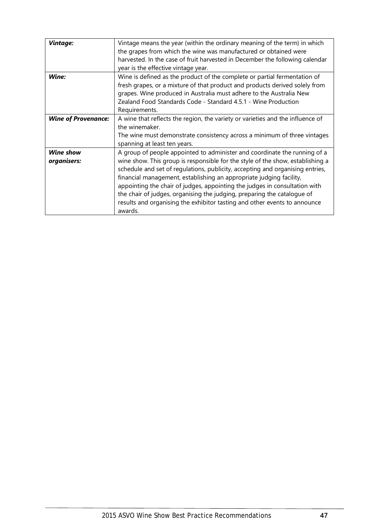| <b>Vintage:</b>            | Vintage means the year (within the ordinary meaning of the term) in which      |
|----------------------------|--------------------------------------------------------------------------------|
|                            | the grapes from which the wine was manufactured or obtained were               |
|                            | harvested. In the case of fruit harvested in December the following calendar   |
|                            | year is the effective vintage year.                                            |
| Wine:                      | Wine is defined as the product of the complete or partial fermentation of      |
|                            | fresh grapes, or a mixture of that product and products derived solely from    |
|                            | grapes. Wine produced in Australia must adhere to the Australia New            |
|                            | Zealand Food Standards Code - Standard 4.5.1 - Wine Production                 |
|                            | Requirements.                                                                  |
| <b>Wine of Provenance:</b> | A wine that reflects the region, the variety or varieties and the influence of |
|                            | the winemaker.                                                                 |
|                            | The wine must demonstrate consistency across a minimum of three vintages       |
|                            | spanning at least ten years.                                                   |
| <b>Wine show</b>           | A group of people appointed to administer and coordinate the running of a      |
| organisers:                | wine show. This group is responsible for the style of the show, establishing a |
|                            | schedule and set of regulations, publicity, accepting and organising entries,  |
|                            | financial management, establishing an appropriate judging facility,            |
|                            | appointing the chair of judges, appointing the judges in consultation with     |
|                            | the chair of judges, organising the judging, preparing the catalogue of        |
|                            | results and organising the exhibitor tasting and other events to announce      |
|                            | awards.                                                                        |
|                            |                                                                                |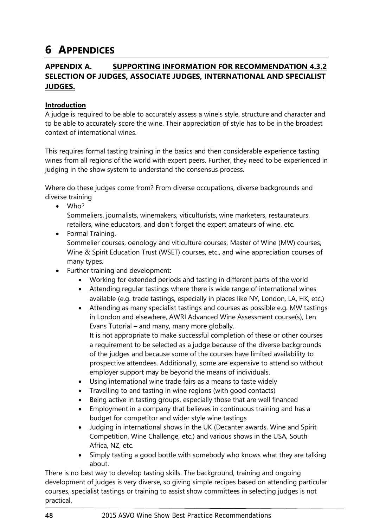# **6 APPENDICES**

# **APPENDIX A. SUPPORTING INFORMATION FOR RECOMMENDATION [4.3.2](#page-23-0) SELECTION OF JUDGES, [ASSOCIATE JUDGES, INTERNATIONAL AND SPECIALIST](#page-23-0)  [JUDGES.](#page-23-0)**

# **Introduction**

A judge is required to be able to accurately assess a wine's style, structure and character and to be able to accurately score the wine. Their appreciation of style has to be in the broadest context of international wines.

This requires formal tasting training in the basics and then considerable experience tasting wines from all regions of the world with expert peers. Further, they need to be experienced in judging in the show system to understand the consensus process.

Where do these judges come from? From diverse occupations, diverse backgrounds and diverse training

• Who?

Sommeliers, journalists, winemakers, viticulturists, wine marketers, restaurateurs, retailers, wine educators, and don't forget the expert amateurs of wine, etc.

- Formal Training. Sommelier courses, oenology and viticulture courses, Master of Wine (MW) courses, Wine & Spirit Education Trust (WSET) courses, etc., and wine appreciation courses of many types.
- Further training and development:
	- Working for extended periods and tasting in different parts of the world
	- Attending regular tastings where there is wide range of international wines available (e.g. trade tastings, especially in places like NY, London, LA, HK, etc.)
	- Attending as many specialist tastings and courses as possible e.g. MW tastings in London and elsewhere, AWRI Advanced Wine Assessment course(s), Len Evans Tutorial – and many, many more globally. It is not appropriate to make successful completion of these or other courses a requirement to be selected as a judge because of the diverse backgrounds of the judges and because some of the courses have limited availability to prospective attendees. Additionally, some are expensive to attend so without employer support may be beyond the means of individuals.
	- Using international wine trade fairs as a means to taste widely
	- Travelling to and tasting in wine regions (with good contacts)
	- Being active in tasting groups, especially those that are well financed
	- Employment in a company that believes in continuous training and has a budget for competitor and wider style wine tastings
	- Judging in international shows in the UK (Decanter awards, Wine and Spirit Competition, Wine Challenge, etc.) and various shows in the USA, South Africa, NZ, etc.
	- Simply tasting a good bottle with somebody who knows what they are talking about.

There is no best way to develop tasting skills. The background, training and ongoing development of judges is very diverse, so giving simple recipes based on attending particular courses, specialist tastings or training to assist show committees in selecting judges is not practical.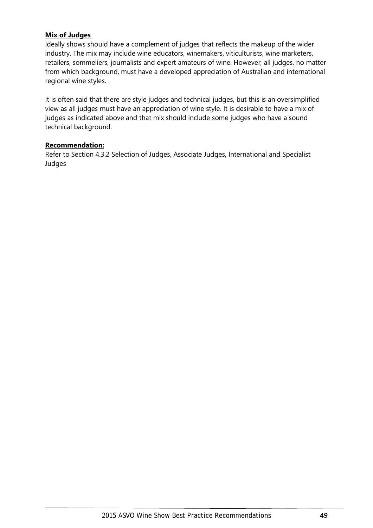# **Mix of Judges**

Ideally shows should have a complement of judges that reflects the makeup of the wider industry. The mix may include wine educators, winemakers, viticulturists, wine marketers, retailers, sommeliers, journalists and expert amateurs of wine. However, all judges, no matter from which background, must have a developed appreciation of Australian and international regional wine styles.

It is often said that there are style judges and technical judges, but this is an oversimplified view as all judges must have an appreciation of wine style. It is desirable to have a mix of judges as indicated above and that mix should include some judges who have a sound technical background.

## **Recommendation:**

Refer to Section [4.3.2](#page-23-0) [Selection of Judges, Associate Judges, International and Specialist](#page-23-0)  [Judges](#page-23-0)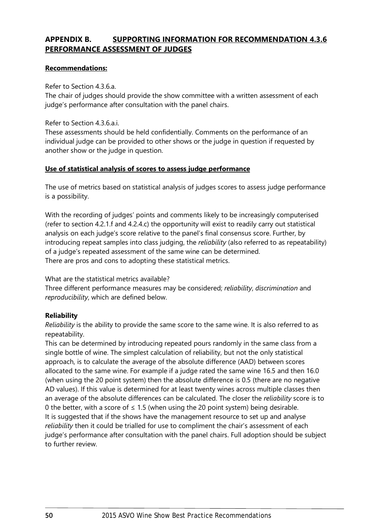# **APPENDIX B. SUPPORTING INFORMATION FOR RECOMMENDATION [4.3.6](#page-25-0) [PERFORMANCE ASSESSMENT OF JUDGES](#page-25-0)**

## **Recommendations:**

Refer to Section [4.3.6.a.](#page-25-1)

[The chair of judges should provide the show committee with a written assessment of each](#page-25-1)  [judge's performance after consultation with the panel chairs.](#page-25-1) 

Refer to Section [4.3.6.a.i.](#page-25-2)

[These assessments should be held confidentially. Comments on the performance of an](#page-25-2)  [individual judge can be provided to other shows or the judge in question if requested by](#page-25-2)  [another show or the judge in question.](#page-25-2)

# **Use of statistical analysis of scores to assess judge performance**

The use of metrics based on statistical analysis of judges scores to assess judge performance is a possibility.

With the recording of judges' points and comments likely to be increasingly computerised (refer to section [4.2.1.f](#page-20-1) and [4.2.4.c\)](#page-22-0) the opportunity will exist to readily carry out statistical analysis on each judge's score relative to the panel's final consensus score. Further, by introducing repeat samples into class judging, the *reliability* (also referred to as repeatability) of a judge's repeated assessment of the same wine can be determined. There are pros and cons to adopting these statistical metrics.

What are the statistical metrics available?

Three different performance measures may be considered; *reliability*, *discrimination* and *reproducibility*, which are defined below.

# **Reliability**

*Reliability* is the ability to provide the same score to the same wine. It is also referred to as repeatability.

This can be determined by introducing repeated pours randomly in the same class from a single bottle of wine. The simplest calculation of reliability, but not the only statistical approach, is to calculate the average of the absolute difference (AAD) between scores allocated to the same wine. For example if a judge rated the same wine 16.5 and then 16.0 (when using the 20 point system) then the absolute difference is 0.5 (there are no negative AD values). If this value is determined for at least twenty wines across multiple classes then an average of the absolute differences can be calculated. The closer the *reliability* score is to 0 the better, with a score of  $\leq$  1.5 (when using the 20 point system) being desirable. It is suggested that if the shows have the management resource to set up and analyse *reliability* then it could be trialled for use to compliment the chair's assessment of each judge's performance after consultation with the panel chairs. Full adoption should be subject to further review.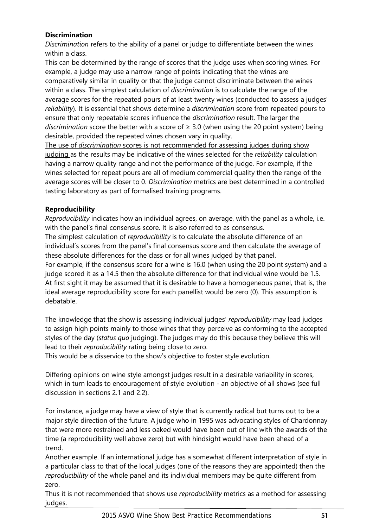# **Discrimination**

*Discrimination* refers to the ability of a panel or judge to differentiate between the wines within a class.

This can be determined by the range of scores that the judge uses when scoring wines. For example, a judge may use a narrow range of points indicating that the wines are comparatively similar in quality or that the judge cannot discriminate between the wines within a class. The simplest calculation of *discrimination* is to calculate the range of the average scores for the repeated pours of at least twenty wines (conducted to assess a judges' *reliability*). It is essential that shows determine a *discrimination* score from repeated pours to ensure that only repeatable scores influence the *discrimination* result. The larger the *discrimination* score the better with a score of ≥ 3.0 (when using the 20 point system) being desirable, provided the repeated wines chosen vary in quality.

The use of *discrimination* scores is not recommended for assessing judges during show judging as the results may be indicative of the wines selected for the *reliability* calculation having a narrow quality range and not the performance of the judge. For example, if the wines selected for repeat pours are all of medium commercial quality then the range of the average scores will be closer to 0. *Discrimination* metrics are best determined in a controlled tasting laboratory as part of formalised training programs.

# **Reproducibility**

*Reproducibility* indicates how an individual agrees, on average, with the panel as a whole, i.e. with the panel's final consensus score. It is also referred to as consensus.

The simplest calculation of *reproducibility* is to calculate the absolute difference of an individual's scores from the panel's final consensus score and then calculate the average of these absolute differences for the class or for all wines judged by that panel.

For example, if the consensus score for a wine is 16.0 (when using the 20 point system) and a judge scored it as a 14.5 then the absolute difference for that individual wine would be 1.5. At first sight it may be assumed that it is desirable to have a homogeneous panel, that is, the ideal average reproducibility score for each panellist would be zero (0). This assumption is debatable.

The knowledge that the show is assessing individual judges' *reproducibility* may lead judges to assign high points mainly to those wines that they perceive as conforming to the accepted styles of the day (*status quo* judging). The judges may do this because they believe this will lead to their *reproducibility* rating being close to zero.

This would be a disservice to the show's objective to foster style evolution.

Differing opinions on wine style amongst judges result in a desirable variability in scores, which in turn leads to encouragement of style evolution - an objective of all shows (see full discussion in sections [2.1](#page-10-0) and [2.2\)](#page-10-1).

For instance, a judge may have a view of style that is currently radical but turns out to be a major style direction of the future. A judge who in 1995 was advocating styles of Chardonnay that were more restrained and less oaked would have been out of line with the awards of the time (a reproducibility well above zero) but with hindsight would have been ahead of a trend.

Another example. If an international judge has a somewhat different interpretation of style in a particular class to that of the local judges (one of the reasons they are appointed) then the *reproducibility* of the whole panel and its individual members may be quite different from zero.

Thus it is not recommended that shows use *reproducibility* metrics as a method for assessing judges.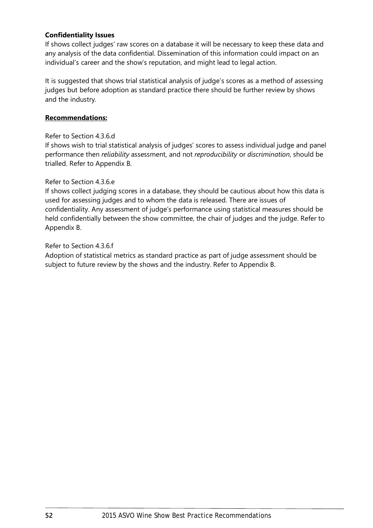## **Confidentiality Issues**

If shows collect judges' raw scores on a database it will be necessary to keep these data and any analysis of the data confidential. Dissemination of this information could impact on an individual's career and the show's reputation, and might lead to legal action.

It is suggested that shows trial statistical analysis of judge's scores as a method of assessing judges but before adoption as standard practice there should be further review by shows and the industry.

# **Recommendations:**

## Refer to Section [4.3.6.d](#page-25-3)

[If shows wish to trial statistical analysis of judges' scores to assess individual judge and panel](#page-25-3)  performance then *reliability* [assessment, and not](#page-25-3) *reproducibility* or *discrimination*, should be [trialled. Refer to Appendix B.](#page-25-3)

# Refer to Section [4.3.6.e](#page-25-4)

[If shows collect judging scores in a database, they should be cautious about how this data is](#page-25-4)  [used for assessing judges and to whom the data is released. There are issues of](#page-25-4)  confidentiality. [Any assessment of judge's performance using statistical measures should be](#page-25-4)  [held confidentially between the show committee, the chair of judges and the judge.](#page-25-4) Refer to [Appendix B.](#page-25-4)

# Refer to Section [4.3.6.f](#page-25-5)

[Adoption of statistical metrics as standard practice as part of judge assessment should be](#page-25-5)  [subject to future review by the shows and the industry.](#page-25-5) Refer to Appendix B.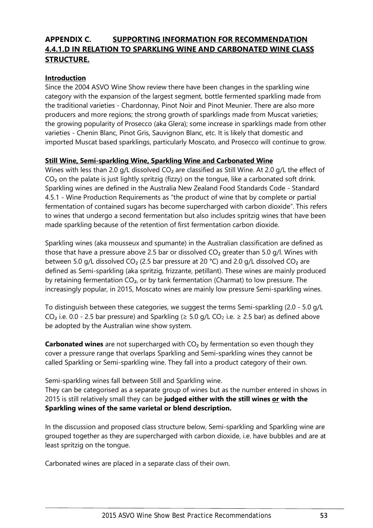# **APPENDIX C. SUPPORTING INFORMATION FOR RECOMMENDATION [4.4.1.D](#page-26-0) IN RELATION TO SPARKLING WINE AND CARBONATED WINE CLASS STRUCTURE.**

# **Introduction**

Since the 2004 ASVO Wine Show review there have been changes in the sparkling wine category with the expansion of the largest segment, bottle fermented sparkling made from the traditional varieties - Chardonnay, Pinot Noir and Pinot Meunier. There are also more producers and more regions; the strong growth of sparklings made from Muscat varieties; the growing popularity of Prosecco (aka Glera); some increase in sparklings made from other varieties - Chenin Blanc, Pinot Gris, Sauvignon Blanc, etc. It is likely that domestic and imported Muscat based sparklings, particularly Moscato, and Prosecco will continue to grow.

## **Still Wine, Semi-sparkling Wine, Sparkling Wine and Carbonated Wine**

Wines with less than 2.0 g/L dissolved CO<sub>2</sub> are classified as Still Wine. At 2.0 g/L the effect of CO<sub>2</sub> on the palate is just lightly spritzig (fizzy) on the tongue, like a carbonated soft drink. Sparkling wines are defined in the Australia New Zealand Food Standards Code - Standard 4.5.1 - Wine Production Requirements as "the product of wine that by complete or partial fermentation of contained sugars has become supercharged with carbon dioxide". This refers to wines that undergo a second fermentation but also includes spritzig wines that have been made sparkling because of the retention of first fermentation carbon dioxide.

Sparkling wines (aka mousseux and spumante) in the Australian classification are defined as those that have a pressure above 2.5 bar or dissolved  $CO<sub>2</sub>$  greater than 5.0 g/l. Wines with between 5.0 g/L dissolved  $CO<sub>2</sub>$  (2.5 bar pressure at 20 °C) and 2.0 g/L dissolved  $CO<sub>2</sub>$  are defined as Semi-sparkling (aka spritzig, frizzante, petillant). These wines are mainly produced by retaining fermentation CO<sub>2</sub>, or by tank fermentation (Charmat) to low pressure. The increasingly popular, in 2015, Moscato wines are mainly low pressure Semi-sparkling wines.

To distinguish between these categories, we suggest the terms Semi-sparkling (2.0 - 5.0 g/L CO<sub>2</sub> i.e. 0.0 - 2.5 bar pressure) and Sparkling ( $\geq$  5.0 g/L CO<sub>2</sub> i.e.  $\geq$  2.5 bar) as defined above be adopted by the Australian wine show system.

**Carbonated wines** are not supercharged with CO<sub>2</sub> by fermentation so even though they cover a pressure range that overlaps Sparkling and Semi-sparkling wines they cannot be called Sparkling or Semi-sparkling wine. They fall into a product category of their own.

Semi-sparkling wines fall between Still and Sparkling wine.

They can be categorised as a separate group of wines but as the number entered in shows in 2015 is still relatively small they can be **judged either with the still wines or with the Sparkling wines of the same varietal or blend description.** 

In the discussion and proposed class structure below, Semi-sparkling and Sparkling wine are grouped together as they are supercharged with carbon dioxide, i.e. have bubbles and are at least spritzig on the tongue.

Carbonated wines are placed in a separate class of their own.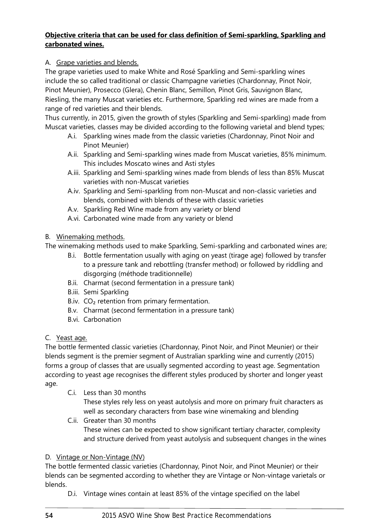# **Objective criteria that can be used for class definition of Semi-sparkling, Sparkling and carbonated wines.**

# A. Grape varieties and blends.

The grape varieties used to make White and Rosé Sparkling and Semi-sparkling wines include the so called traditional or classic Champagne varieties (Chardonnay, Pinot Noir, Pinot Meunier), Prosecco (Glera), Chenin Blanc, Semillon, Pinot Gris, Sauvignon Blanc, Riesling, the many Muscat varieties etc. Furthermore, Sparkling red wines are made from a range of red varieties and their blends.

<span id="page-55-0"></span>Thus currently, in 2015, given the growth of styles (Sparkling and Semi-sparkling) made from Muscat varieties, classes may be divided according to the following varietal and blend types;

- A.i. Sparkling wines made from the classic varieties (Chardonnay, Pinot Noir and Pinot Meunier)
- <span id="page-55-1"></span>A.ii. Sparkling and Semi-sparkling wines made from Muscat varieties, 85% minimum. This includes Moscato wines and Asti styles
- <span id="page-55-2"></span>A.iii. Sparkling and Semi-sparkling wines made from blends of less than 85% Muscat varieties with non-Muscat varieties
- <span id="page-55-3"></span>A.iv. Sparkling and Semi-sparkling from non-Muscat and non-classic varieties and blends, combined with blends of these with classic varieties
- <span id="page-55-4"></span>A.v. Sparkling Red Wine made from any variety or blend
- A.vi. Carbonated wine made from any variety or blend

# <span id="page-55-5"></span>B. Winemaking methods.

The winemaking methods used to make Sparkling, Semi-sparkling and carbonated wines are;

- B.i. Bottle fermentation usually with aging on yeast (tirage age) followed by transfer to a pressure tank and rebottling (transfer method) or followed by riddling and disgorging (méthode traditionnelle)
- B.ii. Charmat (second fermentation in a pressure tank)
- B.iii. Semi Sparkling
- B.iv.  $CO<sub>2</sub>$  retention from primary fermentation.
- B.v. Charmat (second fermentation in a pressure tank)
- B.vi. Carbonation
- C. Yeast age.

The bottle fermented classic varieties (Chardonnay, Pinot Noir, and Pinot Meunier) or their blends segment is the premier segment of Australian sparkling wine and currently (2015) forms a group of classes that are usually segmented according to yeast age. Segmentation according to yeast age recognises the different styles produced by shorter and longer yeast age.

C.i. Less than 30 months

These styles rely less on yeast autolysis and more on primary fruit characters as well as secondary characters from base wine winemaking and blending

C.ii. Greater than 30 months These wines can be expected to show significant tertiary character, complexity and structure derived from yeast autolysis and subsequent changes in the wines

# D. Vintage or Non-Vintage (NV)

The bottle fermented classic varieties (Chardonnay, Pinot Noir, and Pinot Meunier) or their blends can be segmented according to whether they are Vintage or Non-vintage varietals or blends.

D.i. Vintage wines contain at least 85% of the vintage specified on the label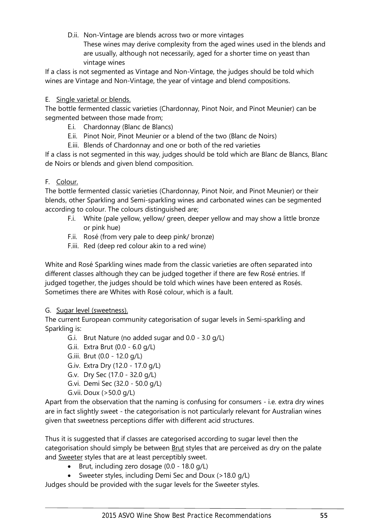D.ii. Non-Vintage are blends across two or more vintages

These wines may derive complexity from the aged wines used in the blends and are usually, although not necessarily, aged for a shorter time on yeast than vintage wines

If a class is not segmented as Vintage and Non-Vintage, the judges should be told which wines are Vintage and Non-Vintage, the year of vintage and blend compositions.

# E. Single varietal or blends.

The bottle fermented classic varieties (Chardonnay, Pinot Noir, and Pinot Meunier) can be segmented between those made from;

- E.i. Chardonnay (Blanc de Blancs)
- E.ii. Pinot Noir, Pinot Meunier or a blend of the two (Blanc de Noirs)
- E.iii. Blends of Chardonnay and one or both of the red varieties

If a class is not segmented in this way, judges should be told which are Blanc de Blancs, Blanc de Noirs or blends and given blend composition.

# F. Colour.

The bottle fermented classic varieties (Chardonnay, Pinot Noir, and Pinot Meunier) or their blends, other Sparkling and Semi-sparkling wines and carbonated wines can be segmented according to colour. The colours distinguished are;

- F.i. White (pale yellow, yellow/ green, deeper yellow and may show a little bronze or pink hue)
- F.ii. Rosé (from very pale to deep pink/ bronze)
- F.iii. Red (deep red colour akin to a red wine)

White and Rosé Sparkling wines made from the classic varieties are often separated into different classes although they can be judged together if there are few Rosé entries. If judged together, the judges should be told which wines have been entered as Rosés. Sometimes there are Whites with Rosé colour, which is a fault.

## G. Sugar level (sweetness).

The current European community categorisation of sugar levels in Semi-sparkling and Sparkling is:

- G.i. Brut Nature (no added sugar and 0.0 3.0 g/L)
- G.ii. Extra Brut (0.0 6.0 g/L)
- G.iii. Brut (0.0 12.0 g/L)
- G.iv. Extra Dry (12.0 17.0 g/L)
- G.v. Dry Sec (17.0 32.0 g/L)
- G.vi. Demi Sec (32.0 50.0 g/L)
- G.vii. Doux (>50.0 g/L)

Apart from the observation that the naming is confusing for consumers - i.e. extra dry wines are in fact slightly sweet - the categorisation is not particularly relevant for Australian wines given that sweetness perceptions differ with different acid structures.

Thus it is suggested that if classes are categorised according to sugar level then the categorisation should simply be between **Brut** styles that are perceived as dry on the palate and Sweeter styles that are at least perceptibly sweet.

- Brut, including zero dosage (0.0 18.0 g/L)
- Sweeter styles, including Demi Sec and Doux (>18.0 g/L)

Judges should be provided with the sugar levels for the Sweeter styles.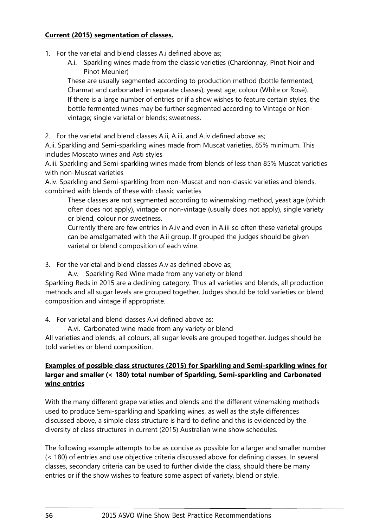# **Current (2015) segmentation of classes.**

- <span id="page-57-0"></span>1. For the varietal and blend classes [A.i](#page-55-0) defined above as;
	- [A.i.](#page-55-0) [Sparkling wines made from the classic varieties \(Chardonnay, Pinot Noir and](#page-55-0)  [Pinot Meunier\)](#page-55-0)

These are usually segmented according to production method (bottle fermented, Charmat and carbonated in separate classes); yeast age; colour (White or Rosé). If there is a large number of entries or if a show wishes to feature certain styles, the bottle fermented wines may be further segmented according to Vintage or Nonvintage; single varietal or blends; sweetness.

2. For the varietal and blend classes [A.ii,](#page-55-1) [A.iii,](#page-55-2) and [A.iv](#page-55-3) defined above as;

[A.ii. Sparkling and Semi-sparkling wines made from Muscat varieties, 85% minimum. This](#page-55-1)  [includes Moscato wines and Asti styles](#page-55-1)

[A.iii. Sparkling and Semi-sparkling wines made from blends of less than 85% Muscat varieties](#page-55-2)  [with non-Muscat varieties](#page-55-2)

[A.iv. Sparkling and Semi-sparkling from](#page-55-3) non-Muscat and non-classic varieties and blends, [combined with blends of these with classic varieties](#page-55-3)

These classes are not segmented according to winemaking method, yeast age (which often does not apply), vintage or non-vintage (usually does not apply), single variety or blend, colour nor sweetness.

Currently there are few entries in [A.iv](#page-55-3) and even in [A.iii](#page-55-2) so often these varietal groups can be amalgamated with the [A.ii](#page-55-1) group. If grouped the judges should be given varietal or blend composition of each wine.

3. For the varietal and blend classes [A.v](#page-55-4) as defined above as;

[A.v.](#page-55-4) [Sparkling Red Wine made from any variety or blend](#page-55-4)

Sparkling Reds in 2015 are a declining category. Thus all varieties and blends, all production methods and all sugar levels are grouped together. Judges should be told varieties or blend composition and vintage if appropriate.

4. For varietal and blend classes [A.vi](#page-55-5) defined above as;

[A.vi. Carbonated wine made from any variety or blend](#page-55-5)

All varieties and blends, all colours, all sugar levels are grouped together. Judges should be told varieties or blend composition.

# **Examples of possible class structures (2015) for Sparkling and Semi-sparkling wines for larger and smaller (< 180) total number of Sparkling, Semi-sparkling and Carbonated wine entries**

With the many different grape varieties and blends and the different winemaking methods used to produce Semi-sparkling and Sparkling wines, as well as the style differences discussed above, a simple class structure is hard to define and this is evidenced by the diversity of class structures in current (2015) Australian wine show schedules.

The following example attempts to be as concise as possible for a larger and smaller number (< 180) of entries and use objective criteria discussed above for defining classes. In several classes, secondary criteria can be used to further divide the class, should there be many entries or if the show wishes to feature some aspect of variety, blend or style.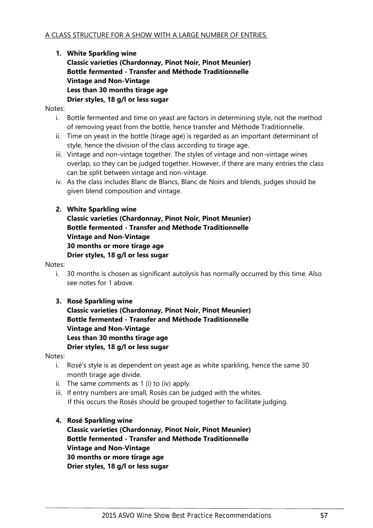**1. White Sparkling wine Classic varieties (Chardonnay, Pinot Noir, Pinot Meunier) Bottle fermented - Transfer and Méthode Traditionnelle Vintage and Non-Vintage Less than 30 months tirage age Drier styles, 18 g/l or less sugar**

<span id="page-58-0"></span>Notes:

- i. Bottle fermented and time on yeast are factors in determining style, not the method of removing yeast from the bottle, hence transfer and Méthode Traditionnelle.
- ii. Time on yeast in the bottle (tirage age) is regarded as an important determinant of style, hence the division of the class according to tirage age.
- iii. Vintage and non-vintage together. The styles of vintage and non-vintage wines overlap, so they can be judged together. However, if there are many entries the class can be split between vintage and non-vintage.
- <span id="page-58-1"></span>iv. As the class includes Blanc de Blancs, Blanc de Noirs and blends, judges should be given blend composition and vintage.

# **2. White Sparkling wine**

**Classic varieties (Chardonnay, Pinot Noir, Pinot Meunier) Bottle fermented - Transfer and Méthode Traditionnelle Vintage and Non-Vintage 30 months or more tirage age Drier styles, 18 g/l or less sugar**

#### Notes:

- i. 30 months is chosen as significant autolysis has normally occurred by this time. Also see notes for [1](#page-57-0) above.
- **3. Rosé Sparkling wine Classic varieties (Chardonnay, Pinot Noir, Pinot Meunier) Bottle fermented - Transfer and Méthode Traditionnelle Vintage and Non-Vintage Less than 30 months tirage age Drier styles, 18 g/l or less sugar**

Notes:

- i. Rosé's style is as dependent on yeast age as white sparkling, hence the same 30 month tirage age divide.
- ii. The same comments as [1](#page-57-0) [\(i\)](#page-58-0) to [\(iv\)](#page-58-1) apply.
- iii. If entry numbers are small, Rosés can be judged with the whites. If this occurs the Rosés should be grouped together to facilitate judging.

#### **4. Rosé Sparkling wine**

**Classic varieties (Chardonnay, Pinot Noir, Pinot Meunier) Bottle fermented - Transfer and Méthode Traditionnelle Vintage and Non-Vintage 30 months or more tirage age Drier styles, 18 g/l or less sugar**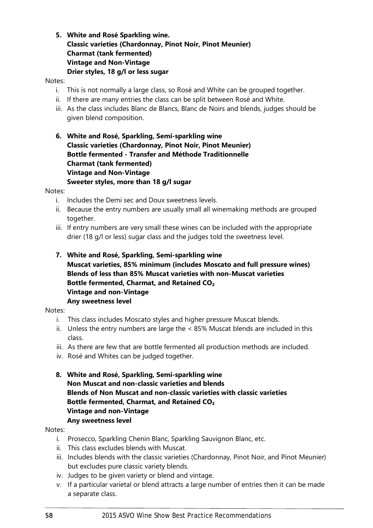**5. White and Rosé Sparkling wine. Classic varieties (Chardonnay, Pinot Noir, Pinot Meunier) Charmat (tank fermented) Vintage and Non-Vintage Drier styles, 18 g/l or less sugar**

#### Notes:

- i. This is not normally a large class, so Rosé and White can be grouped together.
- ii. If there are many entries the class can be split between Rosé and White.
- iii. As the class includes Blanc de Blancs, Blanc de Noirs and blends, judges should be given blend composition.
- **6. White and Rosé, Sparkling, Semi-sparkling wine Classic varieties (Chardonnay, Pinot Noir, Pinot Meunier) Bottle fermented - Transfer and Méthode Traditionnelle Charmat (tank fermented) Vintage and Non-Vintage Sweeter styles, more than 18 g/l sugar**

Notes:

- i. Includes the Demi sec and Doux sweetness levels.
- ii. Because the entry numbers are usually small all winemaking methods are grouped together.
- iii. If entry numbers are very small these wines can be included with the appropriate drier (18 g/l or less) sugar class and the judges told the sweetness level.
- **7. White and Rosé, Sparkling, Semi-sparkling wine Muscat varieties, 85% minimum (includes Moscato and full pressure wines) Blends of less than 85% Muscat varieties with non-Muscat varieties Bottle fermented, Charmat, and Retained CO₂ Vintage and non-Vintage Any sweetness level**

#### Notes:

- i. This class includes Moscato styles and higher pressure Muscat blends.
- ii. Unless the entry numbers are large the < 85% Muscat blends are included in this class.
- iii. As there are few that are bottle fermented all production methods are included.
- iv. Rosé and Whites can be judged together.
- **8. White and Rosé, Sparkling, Semi-sparkling wine Non Muscat and non-classic varieties and blends Blends of Non Muscat and non-classic varieties with classic varieties Bottle fermented, Charmat, and Retained CO₂ Vintage and non-Vintage Any sweetness level**

#### Notes:

- i. Prosecco, Sparkling Chenin Blanc, Sparkling Sauvignon Blanc, etc.
- ii. This class excludes blends with Muscat.
- iii. Includes blends with the classic varieties (Chardonnay, Pinot Noir, and Pinot Meunier) but excludes pure classic variety blends.
- iv. Judges to be given variety or blend and vintage.
- v. If a particular varietal or blend attracts a large number of entries then it can be made a separate class.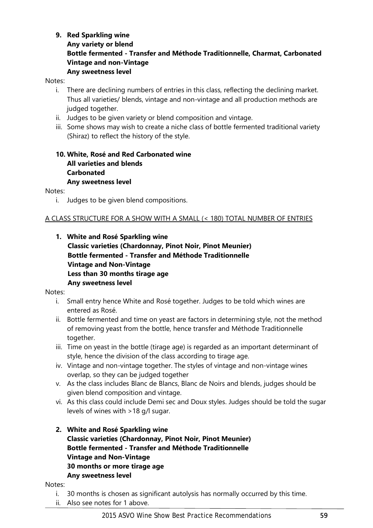# **9. Red Sparkling wine**

**Any variety or blend Bottle fermented - Transfer and Méthode Traditionnelle, Charmat, Carbonated Vintage and non-Vintage Any sweetness level**

#### Notes:

- i. There are declining numbers of entries in this class, reflecting the declining market. Thus all varieties/ blends, vintage and non-vintage and all production methods are judged together.
- ii. Judges to be given variety or blend composition and vintage.
- iii. Some shows may wish to create a niche class of bottle fermented traditional variety (Shiraz) to reflect the history of the style.

## **10. White, Rosé and Red Carbonated wine All varieties and blends Carbonated Any sweetness level**

Notes:

i. Judges to be given blend compositions.

## A CLASS STRUCTURE FOR A SHOW WITH A SMALL (< 180) TOTAL NUMBER OF ENTRIES

<span id="page-60-0"></span>**1. White and Rosé Sparkling wine Classic varieties (Chardonnay, Pinot Noir, Pinot Meunier) Bottle fermented - Transfer and Méthode Traditionnelle Vintage and Non-Vintage Less than 30 months tirage age Any sweetness level**

#### Notes:

- i. Small entry hence White and Rosé together. Judges to be told which wines are entered as Rosé.
- ii. Bottle fermented and time on yeast are factors in determining style, not the method of removing yeast from the bottle, hence transfer and Méthode Traditionnelle together.
- iii. Time on yeast in the bottle (tirage age) is regarded as an important determinant of style, hence the division of the class according to tirage age.
- iv. Vintage and non-vintage together. The styles of vintage and non-vintage wines overlap, so they can be judged together
- v. As the class includes Blanc de Blancs, Blanc de Noirs and blends, judges should be given blend composition and vintage.
- vi. As this class could include Demi sec and Doux styles. Judges should be told the sugar levels of wines with >18 g/l sugar.
- **2. White and Rosé Sparkling wine Classic varieties (Chardonnay, Pinot Noir, Pinot Meunier) Bottle fermented - Transfer and Méthode Traditionnelle Vintage and Non-Vintage 30 months or more tirage age Any sweetness level**

#### Notes:

- i. 30 months is chosen as significant autolysis has normally occurred by this time.
- ii. Also see notes for [1](#page-60-0) above.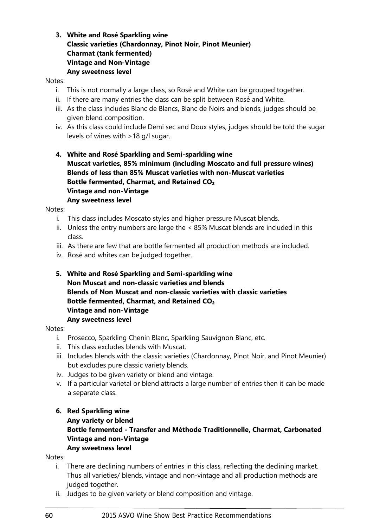# **3. White and Rosé Sparkling wine Classic varieties (Chardonnay, Pinot Noir, Pinot Meunier) Charmat (tank fermented) Vintage and Non-Vintage Any sweetness level**

#### Notes:

- i. This is not normally a large class, so Rosé and White can be grouped together.
- ii. If there are many entries the class can be split between Rosé and White.
- iii. As the class includes Blanc de Blancs, Blanc de Noirs and blends, judges should be given blend composition.
- iv. As this class could include Demi sec and Doux styles, judges should be told the sugar levels of wines with >18 g/l sugar.
- **4. White and Rosé Sparkling and Semi-sparkling wine Muscat varieties, 85% minimum (including Moscato and full pressure wines) Blends of less than 85% Muscat varieties with non-Muscat varieties Bottle fermented, Charmat, and Retained CO₂ Vintage and non-Vintage Any sweetness level**

Notes:

- i. This class includes Moscato styles and higher pressure Muscat blends.
- ii. Unless the entry numbers are large the < 85% Muscat blends are included in this class.
- iii. As there are few that are bottle fermented all production methods are included.
- iv. Rosé and whites can be judged together.
- **5. White and Rosé Sparkling and Semi-sparkling wine Non Muscat and non-classic varieties and blends Blends of Non Muscat and non-classic varieties with classic varieties Bottle fermented, Charmat, and Retained CO₂ Vintage and non-Vintage Any sweetness level**

#### Notes:

- i. Prosecco, Sparkling Chenin Blanc, Sparkling Sauvignon Blanc, etc.
- ii. This class excludes blends with Muscat.
- iii. Includes blends with the classic varieties (Chardonnay, Pinot Noir, and Pinot Meunier) but excludes pure classic variety blends.
- iv. Judges to be given variety or blend and vintage.
- v. If a particular varietal or blend attracts a large number of entries then it can be made a separate class.

# **6. Red Sparkling wine**

**Any variety or blend**

# **Bottle fermented - Transfer and Méthode Traditionnelle, Charmat, Carbonated Vintage and non-Vintage**

**Any sweetness level**

Notes:

- i. There are declining numbers of entries in this class, reflecting the declining market. Thus all varieties/ blends, vintage and non-vintage and all production methods are judged together.
- ii. Judges to be given variety or blend composition and vintage.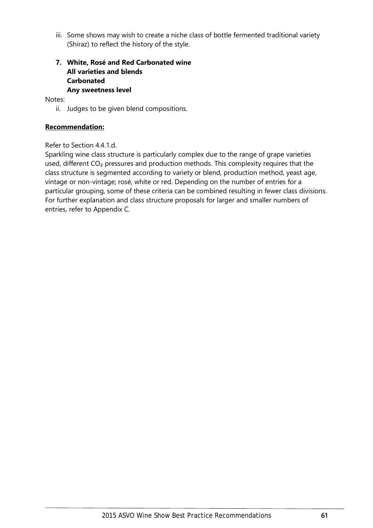iii. Some shows may wish to create a niche class of bottle fermented traditional variety (Shiraz) to reflect the history of the style.

# **7. White, Rosé and Red Carbonated wine All varieties and blends Carbonated Any sweetness level**

Notes:

ii. Judges to be given blend compositions.

### **Recommendation:**

#### Refer to Section [4.4.1.d.](#page-26-0)

[Sparkling wine class structure is particularly complex due to the range of grape varieties](#page-26-0)  used, different CO<sub>2</sub> pressures and production methods. This complexity requires that the [class structure is segmented according to variety or blend, production method, yeast age,](#page-26-0)  [vintage or non-vintage; rosé, white or red. Depending on the number of entries for a](#page-26-0)  [particular grouping, some of these criteria can be combined resulting in fewer class divisions.](#page-26-0)  [For further explanation and class structure proposals for larger and smaller numbers of](#page-26-0)  [entries, refer to Appendix C.](#page-26-0)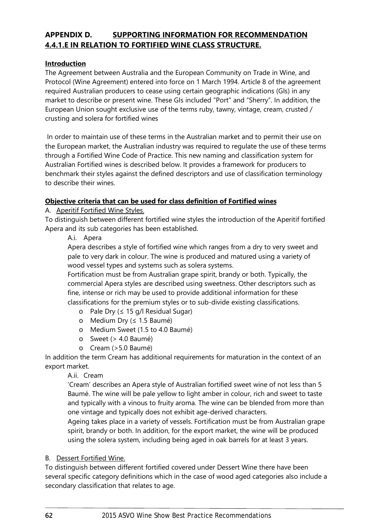# **APPENDIX D. SUPPORTING INFORMATION FOR RECOMMENDATION [4.4.1.E](#page-26-1) IN RELATION TO FORTIFIED WINE CLASS STRUCTURE.**

# **Introduction**

The Agreement between Australia and the European Community on Trade in Wine, and Protocol (Wine Agreement) entered into force on 1 March 1994. Article 8 of the agreement required Australian producers to cease using certain geographic indications (GIs) in any market to describe or present wine. These GIs included "Port" and "Sherry". In addition, the European Union sought exclusive use of the terms ruby, tawny, vintage, cream, crusted / crusting and solera for fortified wines

In order to maintain use of these terms in the Australian market and to permit their use on the European market, the Australian industry was required to regulate the use of these terms through a Fortified Wine Code of Practice. This new naming and classification system for Australian Fortified wines is described below. It provides a framework for producers to benchmark their styles against the defined descriptors and use of classification terminology to describe their wines.

# **Objective criteria that can be used for class definition of Fortified wines**

# A. Aperitif Fortified Wine Styles.

To distinguish between different fortified wine styles the introduction of the Aperitif fortified Apera and its sub categories has been established.

A.i. Apera

Apera describes a style of fortified wine which ranges from a dry to very sweet and pale to very dark in colour. The wine is produced and matured using a variety of wood vessel types and systems such as solera systems.

Fortification must be from Australian grape spirit, brandy or both. Typically, the commercial Apera styles are described using sweetness. Other descriptors such as fine, intense or rich may be used to provide additional information for these classifications for the premium styles or to sub-divide existing classifications.

- o Pale Dry (≤ 15 g/l Residual Sugar)
- o Medium Dry (≤ 1.5 Baumé)
- o Medium Sweet (1.5 to 4.0 Baumé)
- o Sweet (> 4.0 Baumé)
- o Cream (>5.0 Baumé)

In addition the term Cream has additional requirements for maturation in the context of an export market.

## A.ii. Cream

'Cream' describes an Apera style of Australian fortified sweet wine of not less than 5 Baumé. The wine will be pale yellow to light amber in colour, rich and sweet to taste and typically with a vinous to fruity aroma. The wine can be blended from more than one vintage and typically does not exhibit age-derived characters.

Ageing takes place in a variety of vessels. Fortification must be from Australian grape spirit, brandy or both. In addition, for the export market, the wine will be produced using the solera system, including being aged in oak barrels for at least 3 years.

## B. Dessert Fortified Wine.

To distinguish between different fortified covered under Dessert Wine there have been several specific category definitions which in the case of wood aged categories also include a secondary classification that relates to age.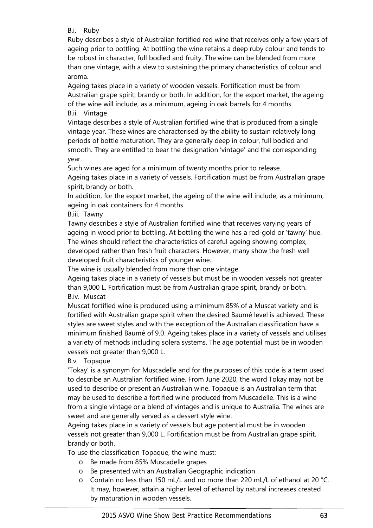B.i. Ruby

Ruby describes a style of Australian fortified red wine that receives only a few years of ageing prior to bottling. At bottling the wine retains a deep ruby colour and tends to be robust in character, full bodied and fruity. The wine can be blended from more than one vintage, with a view to sustaining the primary characteristics of colour and aroma.

Ageing takes place in a variety of wooden vessels. Fortification must be from Australian grape spirit, brandy or both. In addition, for the export market, the ageing of the wine will include, as a minimum, ageing in oak barrels for 4 months. B.ii. Vintage

Vintage describes a style of Australian fortified wine that is produced from a single vintage year. These wines are characterised by the ability to sustain relatively long periods of bottle maturation. They are generally deep in colour, full bodied and smooth. They are entitled to bear the designation 'vintage' and the corresponding year.

Such wines are aged for a minimum of twenty months prior to release.

Ageing takes place in a variety of vessels. Fortification must be from Australian grape spirit, brandy or both.

In addition, for the export market, the ageing of the wine will include, as a minimum, ageing in oak containers for 4 months.

B.iii. Tawny

Tawny describes a style of Australian fortified wine that receives varying years of ageing in wood prior to bottling. At bottling the wine has a red-gold or 'tawny' hue. The wines should reflect the characteristics of careful ageing showing complex, developed rather than fresh fruit characters. However, many show the fresh well developed fruit characteristics of younger wine.

The wine is usually blended from more than one vintage.

Ageing takes place in a variety of vessels but must be in wooden vessels not greater than 9,000 L. Fortification must be from Australian grape spirit, brandy or both. B.iv. Muscat

Muscat fortified wine is produced using a minimum 85% of a Muscat variety and is fortified with Australian grape spirit when the desired Baumé level is achieved. These styles are sweet styles and with the exception of the Australian classification have a minimum finished Baumé of 9.0. Ageing takes place in a variety of vessels and utilises a variety of methods including solera systems. The age potential must be in wooden vessels not greater than 9,000 L.

# B.v. Topaque

'Tokay' is a synonym for Muscadelle and for the purposes of this code is a term used to describe an Australian fortified wine. From June 2020, the word Tokay may not be used to describe or present an Australian wine. Topaque is an Australian term that may be used to describe a fortified wine produced from Muscadelle. This is a wine from a single vintage or a blend of vintages and is unique to Australia. The wines are sweet and are generally served as a dessert style wine.

Ageing takes place in a variety of vessels but age potential must be in wooden vessels not greater than 9,000 L. Fortification must be from Australian grape spirit, brandy or both.

To use the classification Topaque, the wine must:

- o Be made from 85% Muscadelle grapes
- o Be presented with an Australian Geographic indication
- o Contain no less than 150 mL/L and no more than 220 mL/L of ethanol at 20 °C. It may, however, attain a higher level of ethanol by natural increases created by maturation in wooden vessels.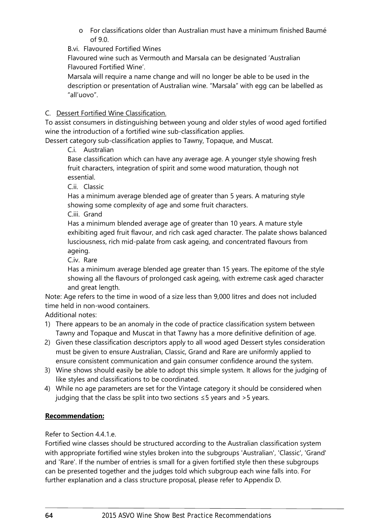o For classifications older than Australian must have a minimum finished Baumé of 9.0.

B.vi. Flavoured Fortified Wines

Flavoured wine such as Vermouth and Marsala can be designated 'Australian Flavoured Fortified Wine'.

Marsala will require a name change and will no longer be able to be used in the description or presentation of Australian wine. "Marsala" with egg can be labelled as "all'uovo".

# C. Dessert Fortified Wine Classification.

To assist consumers in distinguishing between young and older styles of wood aged fortified wine the introduction of a fortified wine sub-classification applies.

Dessert category sub-classification applies to Tawny, Topaque, and Muscat.

C.i. Australian

Base classification which can have any average age. A younger style showing fresh fruit characters, integration of spirit and some wood maturation, though not essential.

C.ii. Classic

Has a minimum average blended age of greater than 5 years. A maturing style showing some complexity of age and some fruit characters.

C.iii. Grand

Has a minimum blended average age of greater than 10 years. A mature style exhibiting aged fruit flavour, and rich cask aged character. The palate shows balanced lusciousness, rich mid-palate from cask ageing, and concentrated flavours from ageing.

C.iv. Rare

Has a minimum average blended age greater than 15 years. The epitome of the style showing all the flavours of prolonged cask ageing, with extreme cask aged character and great length.

Note: Age refers to the time in wood of a size less than 9,000 litres and does not included time held in non-wood containers.

Additional notes:

- 1) There appears to be an anomaly in the code of practice classification system between Tawny and Topaque and Muscat in that Tawny has a more definitive definition of age.
- 2) Given these classification descriptors apply to all wood aged Dessert styles consideration must be given to ensure Australian, Classic, Grand and Rare are uniformly applied to ensure consistent communication and gain consumer confidence around the system.
- 3) Wine shows should easily be able to adopt this simple system. It allows for the judging of like styles and classifications to be coordinated.
- 4) While no age parameters are set for the Vintage category it should be considered when judging that the class be split into two sections  $\leq$  5 years and > 5 years.

# **Recommendation:**

Refer to Section [4.4.1.e.](#page-26-1)

[Fortified wine classes should be structured according to the Australian classification system](#page-26-1)  [with appropriate fortified wine styles broken into the subgroups 'Australian', 'Classic', 'Grand'](#page-26-1)  [and 'Rare'. If the number of entries is small for a given fortified style then these subgroups](#page-26-1)  [can be presented together and the judges told which subgroup each wine falls into. For](#page-26-1)  [further explanation and a class structure proposal, please refer to Appendix D.](#page-26-1)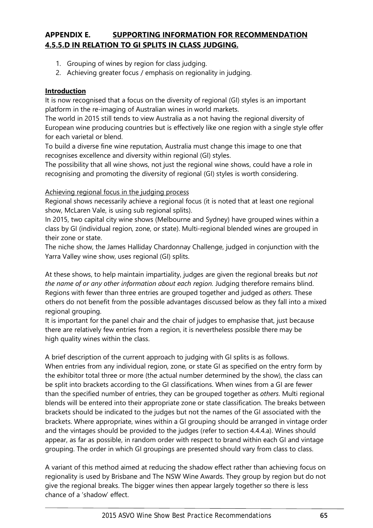# **APPENDIX E. SUPPORTING INFORMATION FOR RECOMMENDATION [4.5.5.D](#page-33-0) IN RELATION TO GI SPLITS IN CLASS JUDGING.**

- 1. Grouping of wines by region for class judging.
- 2. Achieving greater focus / emphasis on regionality in judging.

# **Introduction**

It is now recognised that a focus on the diversity of regional (GI) styles is an important platform in the re-imaging of Australian wines in world markets.

The world in 2015 still tends to view Australia as a not having the regional diversity of European wine producing countries but is effectively like one region with a single style offer for each varietal or blend.

To build a diverse fine wine reputation, Australia must change this image to one that recognises excellence and diversity within regional (GI) styles.

The possibility that all wine shows, not just the regional wine shows, could have a role in recognising and promoting the diversity of regional (GI) styles is worth considering.

# Achieving regional focus in the judging process

Regional shows necessarily achieve a regional focus (it is noted that at least one regional show, McLaren Vale, is using sub regional splits).

In 2015, two capital city wine shows (Melbourne and Sydney) have grouped wines within a class by GI (individual region, zone, or state). Multi-regional blended wines are grouped in their zone or state.

The niche show, the James Halliday Chardonnay Challenge, judged in conjunction with the Yarra Valley wine show, uses regional (GI) splits.

At these shows, to help maintain impartiality, judges are given the regional breaks but *not the name of or any other information about each region.* Judging therefore remains blind. Regions with fewer than three entries are grouped together and judged as *others*. These others do not benefit from the possible advantages discussed below as they fall into a mixed regional grouping.

It is important for the panel chair and the chair of judges to emphasise that, just because there are relatively few entries from a region, it is nevertheless possible there may be high quality wines within the class.

A brief description of the current approach to judging with GI splits is as follows. When entries from any individual region, zone, or state GI as specified on the entry form by the exhibitor total three or more (the actual number determined by the show), the class can be split into brackets according to the GI classifications. When wines from a GI are fewer than the specified number of entries, they can be grouped together as *others*. Multi regional blends will be entered into their appropriate zone or state classification. The breaks between brackets should be indicated to the judges but not the names of the GI associated with the brackets. Where appropriate, wines within a GI grouping should be arranged in vintage order and the vintages should be provided to the judges (refer to section [4.4.4.a\)](#page-29-1). Wines should appear, as far as possible, in random order with respect to brand within each GI and vintage grouping. The order in which GI groupings are presented should vary from class to class.

A variant of this method aimed at reducing the shadow effect rather than achieving focus on regionality is used by Brisbane and The NSW Wine Awards. They group by region but do not give the regional breaks. The bigger wines then appear largely together so there is less chance of a 'shadow' effect.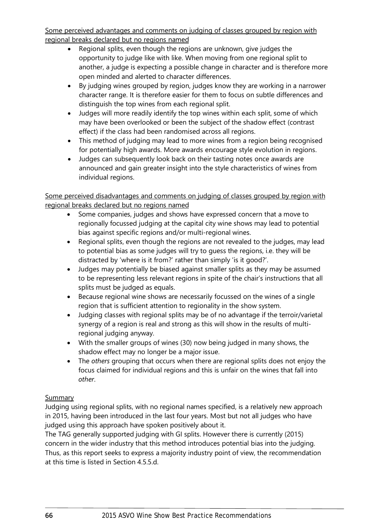Some perceived advantages and comments on judging of classes grouped by region with regional breaks declared but no regions named

- Regional splits, even though the regions are unknown, give judges the opportunity to judge like with like. When moving from one regional split to another, a judge is expecting a possible change in character and is therefore more open minded and alerted to character differences.
- By judging wines grouped by region, judges know they are working in a narrower character range. It is therefore easier for them to focus on subtle differences and distinguish the top wines from each regional split.
- Judges will more readily identify the top wines within each split, some of which may have been overlooked or been the subject of the shadow effect (contrast effect) if the class had been randomised across all regions.
- This method of judging may lead to more wines from a region being recognised for potentially high awards. More awards encourage style evolution in regions.
- Judges can subsequently look back on their tasting notes once awards are announced and gain greater insight into the style characteristics of wines from individual regions.

Some perceived disadvantages and comments on judging of classes grouped by region with regional breaks declared but no regions named

- Some companies, judges and shows have expressed concern that a move to regionally focussed judging at the capital city wine shows may lead to potential bias against specific regions and/or multi-regional wines.
- Regional splits, even though the regions are not revealed to the judges, may lead to potential bias as some judges will try to guess the regions, i.e. they will be distracted by 'where is it from?' rather than simply 'is it good?'.
- Judges may potentially be biased against smaller splits as they may be assumed to be representing less relevant regions in spite of the chair's instructions that all splits must be judged as equals.
- Because regional wine shows are necessarily focussed on the wines of a single region that is sufficient attention to regionality in the show system.
- Judging classes with regional splits may be of no advantage if the terroir/varietal synergy of a region is real and strong as this will show in the results of multiregional judging anyway.
- With the smaller groups of wines (30) now being judged in many shows, the shadow effect may no longer be a major issue.
- The *others* grouping that occurs when there are regional splits does not enjoy the focus claimed for individual regions and this is unfair on the wines that fall into *other*.

# **Summary**

Judging using regional splits, with no regional names specified, is a relatively new approach in 2015, having been introduced in the last four years. Most but not all judges who have judged using this approach have spoken positively about it.

The TAG generally supported judging with GI splits. However there is currently (2015) concern in the wider industry that this method introduces potential bias into the judging. Thus, as this report seeks to express a majority industry point of view, the recommendation at this time is listed in Section [4.5.5.d.](#page-33-0)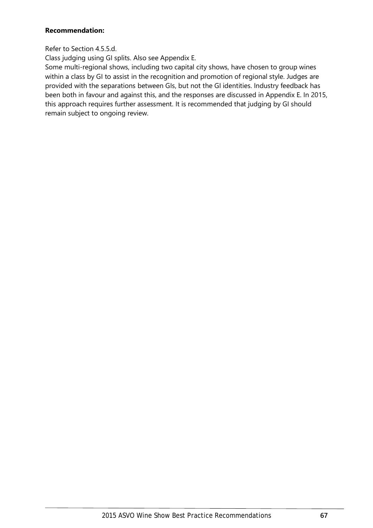## **Recommendation:**

# Refer to Section [4.5.5.d.](#page-33-0)

[Class judging using GI splits. Also see Appendix E.](#page-33-0)

[Some multi-regional shows, including two capital city shows, have chosen to group wines](#page-33-0)  [within a class by GI to assist in the recognition and promotion of regional style. Judges are](#page-33-0)  [provided with the separations between GIs, but not the GI identities. Industry feedback has](#page-33-0)  [been both in favour and against this, and the responses are discussed in Appendix E. In 2015,](#page-33-0)  [this approach requires further assessment. It is recommended that judging by GI should](#page-33-0)  [remain subject to ongoing review.](#page-33-0)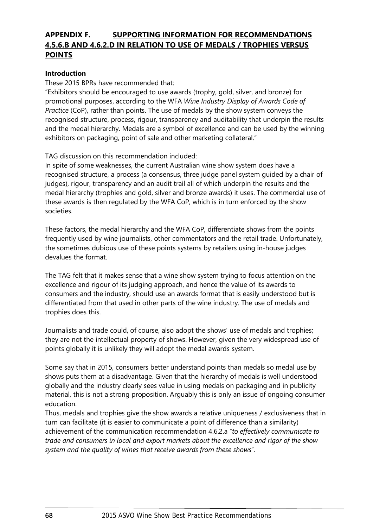# <span id="page-69-0"></span>**APPENDIX F. SUPPORTING INFORMATION FOR RECOMMENDATIONS [4.5.6.B](#page-33-1) AND [4.6.2.D](#page-36-1) IN RELATION TO USE OF MEDALS / TROPHIES VERSUS POINTS**

## **Introduction**

These 2015 BPRs have recommended that:

"Exhibitors should be encouraged to use awards (trophy, gold, silver, and bronze) for promotional purposes, according to the WFA *Wine Industry Display of Awards Code of Practice* (CoP), rather than points. The use of medals by the show system conveys the recognised structure, process, rigour, transparency and auditability that underpin the results and the medal hierarchy. Medals are a symbol of excellence and can be used by the winning exhibitors on packaging, point of sale and other marketing collateral."

TAG discussion on this recommendation included:

In spite of some weaknesses, the current Australian wine show system does have a recognised structure, a process (a consensus, three judge panel system guided by a chair of judges), rigour, transparency and an audit trail all of which underpin the results and the medal hierarchy (trophies and gold, silver and bronze awards) it uses. The commercial use of these awards is then regulated by the WFA CoP, which is in turn enforced by the show societies.

These factors, the medal hierarchy and the WFA CoP, differentiate shows from the points frequently used by wine journalists, other commentators and the retail trade. Unfortunately, the sometimes dubious use of these points systems by retailers using in-house judges devalues the format.

The TAG felt that it makes sense that a wine show system trying to focus attention on the excellence and rigour of its judging approach, and hence the value of its awards to consumers and the industry, should use an awards format that is easily understood but is differentiated from that used in other parts of the wine industry. The use of medals and trophies does this.

Journalists and trade could, of course, also adopt the shows' use of medals and trophies; they are not the intellectual property of shows. However, given the very widespread use of points globally it is unlikely they will adopt the medal awards system.

Some say that in 2015, consumers better understand points than medals so medal use by shows puts them at a disadvantage. Given that the hierarchy of medals is well understood globally and the industry clearly sees value in using medals on packaging and in publicity material, this is not a strong proposition. Arguably this is only an issue of ongoing consumer education.

Thus, medals and trophies give the show awards a relative uniqueness / exclusiveness that in turn can facilitate (it is easier to communicate a point of difference than a similarity) achievement of the communication recommendation [4.6.2.a](#page-36-2) "*to effectively communicate to trade and consumers in local and export markets about the excellence and rigor of the show system and the quality of wines that receive awards from these shows*".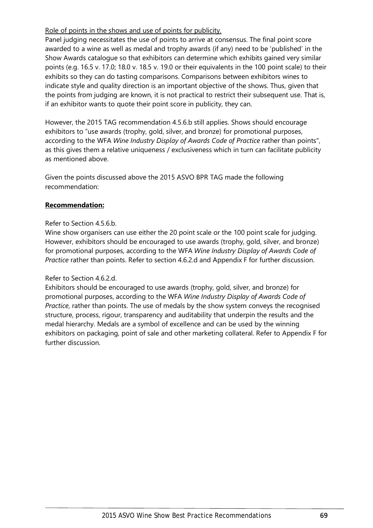Role of points in the shows and use of points for publicity.

Panel judging necessitates the use of points to arrive at consensus. The final point score awarded to a wine as well as medal and trophy awards (if any) need to be 'published' in the Show Awards catalogue so that exhibitors can determine which exhibits gained very similar points (e.g. 16.5 v. 17.0; 18.0 v. 18.5 v. 19.0 or their equivalents in the 100 point scale) to their exhibits so they can do tasting comparisons. Comparisons between exhibitors wines to indicate style and quality direction is an important objective of the shows. Thus, given that the points from judging are known, it is not practical to restrict their subsequent use. That is, if an exhibitor wants to quote their point score in publicity, they can.

However, the 2015 TAG recommendation [4.5.6.b](#page-33-1) still applies. Shows should encourage exhibitors to "use awards (trophy, gold, silver, and bronze) for promotional purposes, according to the WFA *Wine Industry Display of Awards Code of Practice* rather than points", as this gives them a relative uniqueness / exclusiveness which in turn can facilitate publicity as mentioned above.

Given the points discussed above the 2015 ASVO BPR TAG made the following recommendation:

## **Recommendation:**

#### Refer to Section [4.5.6.b.](#page-33-1)

[Wine show organisers can use either the 20 point scale or the 100 point scale for judging.](#page-33-1)  [However, exhibitors should be encouraged to use awards \(trophy, gold, silver, and bronze\)](#page-33-1)  [for promotional purposes, according to the WFA](#page-33-1) *Wine Industry Display of Awards Code of Practice* [rather than points. Refer to section 4.6.2.d](#page-33-1) and Appendix F for further discussion.

## Refer to Section [4.6.2.d.](#page-36-1)

[Exhibitors should be encouraged to use awards \(trophy, gold, silver, and bronze\) for](#page-36-1)  [promotional purposes, according to the WFA](#page-36-1) *Wine Industry Display of Awards Code of Practice*[, rather than points. The use of medals by the show system conveys the recognised](#page-36-1)  [structure, process, rigour, transparency and auditability that underpin the results and the](#page-36-1)  [medal hierarchy. Medals are a symbol of excellence and can be used by the winning](#page-36-1)  [exhibitors on packaging, point of sale and other marketing collateral. Refer to Appendix F](#page-36-1) for [further discussion.](#page-36-1)